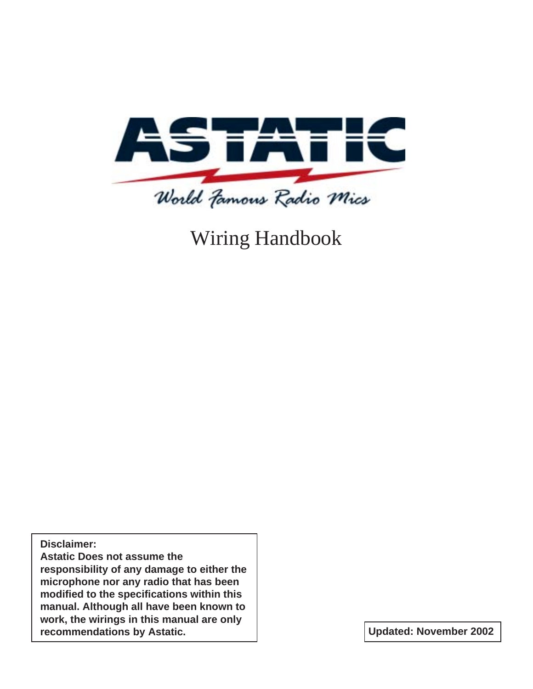

Wiring Handbook

**Disclaimer:**

**Astatic Does not assume the responsibility of any damage to either the microphone nor any radio that has been modified to the specifications within this manual. Although all have been known to work, the wirings in this manual are only recommendations by Astatic. Updated: November 2002**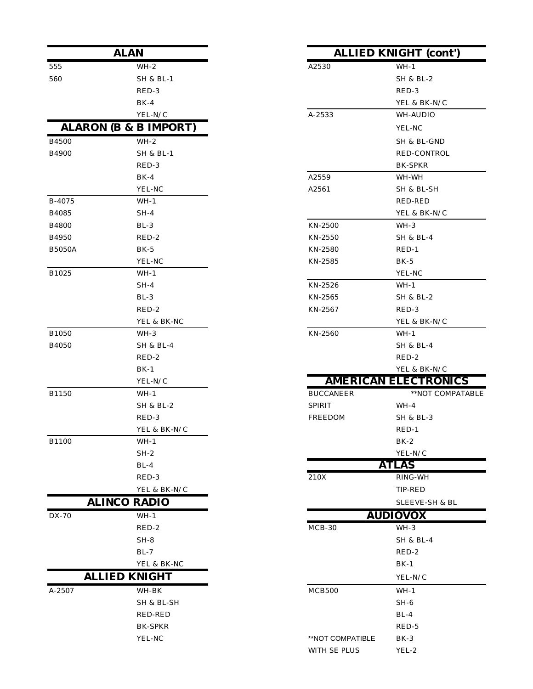|               | <b>ALAN</b>                      |                  | <b>ALLIED KNIGHT (con</b> |
|---------------|----------------------------------|------------------|---------------------------|
| 555           | $WH-2$                           | A2530            | $WH-1$                    |
| 560           | <b>SH &amp; BL-1</b>             |                  | <b>SH &amp; BL-2</b>      |
|               | RED-3                            |                  | RED-3                     |
|               | $BK-4$                           |                  | YEL & BK-N/C              |
|               | YEL-N/C                          | A-2533           | WH-AUDIO                  |
|               | <b>ALARON (B &amp; B IMPORT)</b> |                  | YEL-NC                    |
| B4500         | $WH-2$                           |                  | SH & BL-GND               |
| B4900         | <b>SH &amp; BL-1</b>             |                  | RED-CONTROL               |
|               | RED-3                            |                  | <b>BK-SPKR</b>            |
|               | $BK-4$                           | A2559            | WH-WH                     |
|               | YEL-NC                           | A2561            | SH & BL-SH                |
| B-4075        | $WH-1$                           |                  | RED-RED                   |
| B4085         | $SH-4$                           |                  | YEL & BK-N/C              |
| <b>B4800</b>  | $BL-3$                           | KN-2500          | $WH-3$                    |
| B4950         | RED-2                            | KN-2550          | SH & BL-4                 |
| <b>B5050A</b> | $BK-5$                           | KN-2580          | RED-1                     |
|               | YEL-NC                           | KN-2585          | $BK-5$                    |
| B1025         | $WH-1$                           |                  | YEL-NC                    |
|               | $SH-4$                           | KN-2526          | $WH-1$                    |
|               | $BL-3$                           | KN-2565          | SH & BL-2                 |
|               | RED-2                            | KN-2567          | RED-3                     |
|               | YEL & BK-NC                      |                  | YEL & BK-N/C              |
| B1050         | $WH-3$                           | KN-2560          | $WH-1$                    |
| B4050         | <b>SH &amp; BL-4</b>             |                  | <b>SH &amp; BL-4</b>      |
|               | RED-2                            |                  | RED-2                     |
|               | $BK-1$                           |                  | YEL & BK-N/C              |
|               | YEL-N/C                          |                  | <b>AMERICAN ELECTRON</b>  |
| B1150         | $WH-1$                           | <b>BUCCANEER</b> | **NOT COM                 |
|               | SH & BL-2                        | <b>SPIRIT</b>    | $WH-4$                    |
|               | RED-3                            | FREEDOM          | <b>SH &amp; BL-3</b>      |
|               | YEL & BK-N/C                     |                  | $RED-1$                   |
| B1100         | $WH-1$                           |                  | $BK-2$                    |
|               | $SH-2$                           |                  | YEL-N/C                   |
|               | $BL-4$                           |                  | <b>ATLAS</b>              |
|               | RED-3                            | $210X$           | $RING-WH$                 |
|               | YEL & BK-N/C                     |                  | TIP-RED                   |
|               | <b>ALINCO RADIO</b>              |                  | SLEEVE-SH & I             |
| DX-70         | $WH-1$                           |                  | <b>AUDIOVOX</b>           |
|               | RED-2                            | $MCB-30$         | $WH-3$                    |
|               | $SH-8$                           |                  | <b>SH &amp; BL-4</b>      |
|               | $BL-7$                           |                  | RED-2                     |
|               | YEL & BK-NC                      |                  | $BK-1$                    |
|               | <b>ALLIED KNIGHT</b>             |                  | YEL-N/C                   |
| A-2507        | WH-BK                            | MCB500           | $WH-1$                    |
|               | SH & BL-SH                       |                  | $SH-6$                    |
|               | <b>RED-RED</b>                   |                  | $BL-4$                    |
|               | <b>BK-SPKR</b>                   |                  | RED-5                     |
|               | YEL-NC                           | **NOT COMPATIBLE | $BK-3$                    |
|               |                                  |                  |                           |

| V                |                  | <b>ALLIED KNIGHT (cont')</b> |
|------------------|------------------|------------------------------|
| WH-2             | A2530            | $WH-1$                       |
| SH & BL-1        |                  | SH & BL-2                    |
| RED-3            |                  | RED-3                        |
| BK-4             |                  | YEL & BK-N/C                 |
| YEL-N/C          | A-2533           | WH-AUDIO                     |
| <b>B IMPORT)</b> |                  | YEL-NC                       |
| WH-2             |                  | SH & BL-GND                  |
| SH & BL-1        |                  | RED-CONTROL                  |
| RED-3            |                  | <b>BK-SPKR</b>               |
| BK-4             | A2559            | WH-WH                        |
| YEL-NC           | A2561            | SH & BL-SH                   |
| WH-1             |                  | RED-RED                      |
| SH-4             |                  | YEL & BK-N/C                 |
| $BL-3$           | KN-2500          | WH-3                         |
| RED-2            | KN-2550          | SH & BL-4                    |
| BK-5             | KN-2580          | RED-1                        |
| YEL-NC           | KN-2585          | $BK-5$                       |
| WH-1             |                  | YEL-NC                       |
| SH-4             | KN-2526          | WH-1                         |
| BL-3             | KN-2565          | SH & BL-2                    |
| RED-2            | KN-2567          | RED-3                        |
| YEL & BK-NC      |                  | YEL & BK-N/C                 |
| WH-3             | KN-2560          | $WH-1$                       |
| SH & BL-4        |                  | SH & BL-4                    |
| RED-2            |                  | RED-2                        |
| BK-1             |                  | YEL & BK-N/C                 |
| YEL-N/C          |                  | <b>AMERICAN ELECTRONICS</b>  |
| WH-1             | <b>BUCCANEER</b> | **NOT COMPATABLE             |
| SH & BL-2        | SPIRIT           | WH-4                         |
| RED-3            | FREEDOM          | SH & BL-3                    |
| YEL & BK-N/C     |                  | RED-1                        |
| WH-1             |                  | $BK-2$                       |
| $SH-2$           |                  | YEL-N/C                      |
| BL-4             |                  | <b>ATLAS</b>                 |
| RED-3            | 210X             | RING-WH                      |
| YEL & BK-N/C     |                  | TIP-RED                      |
| RADIO            |                  | SLEEVE-SH & BL               |
| WH-1             |                  | <b>AUDIOVOX</b>              |
| RED-2            | $MCB-30$         | WH-3                         |
| SH-8             |                  | <b>SH &amp; BL-4</b>         |
| BL-7             |                  | RED-2                        |
| YEL & BK-NC      |                  | $BK-1$                       |
| NIGHT            |                  | YEL-N/C                      |
| WH-BK            | MCB500           | WH-1                         |
| SH & BL-SH       |                  | $SH-6$                       |
| RED-RED          |                  | $BL-4$                       |
| BK-SPKR          |                  | RED-5                        |
| YEL-NC           | **NOT COMPATIBLE | BK-3                         |
|                  | WITH SE PLUS     | YEL-2                        |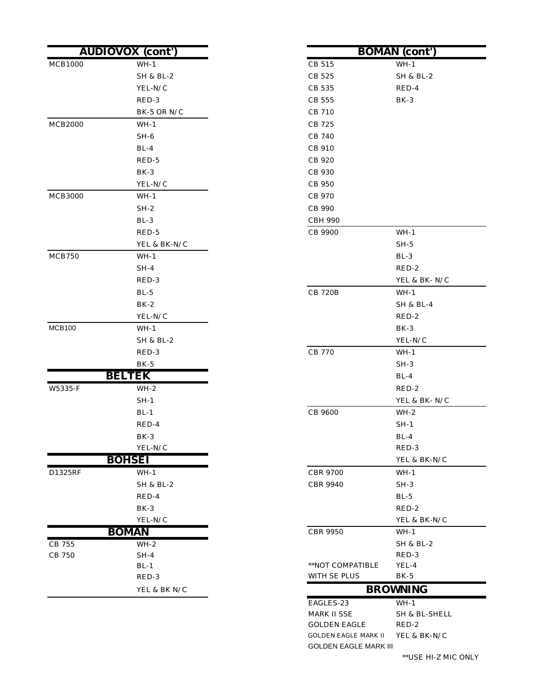|                | <b>AUDIOVOX</b> (cont') |                  | <b>BOMAN</b> (cont'  |
|----------------|-------------------------|------------------|----------------------|
| <b>MCB1000</b> | $WH-1$                  | CB 515           | $WH-1$               |
|                | <b>SH &amp; BL-2</b>    | CB 525           | SH & BL-2            |
|                | YEL-N/C                 | CB 535           | RED-4                |
|                | RED-3                   | CB 555           | BK-3                 |
|                | BK-5 OR N/C             | CB 710           |                      |
| <b>MCB2000</b> | $WH-1$                  | CB 725           |                      |
|                | $SH-6$                  | CB 740           |                      |
|                | $BL-4$                  | CB 910           |                      |
|                | RED-5                   | CB 920           |                      |
|                | $BK-3$                  | CB 930           |                      |
|                | YEL-N/C                 | CB 950           |                      |
| <b>MCB3000</b> | WH-1                    | CB 970           |                      |
|                | $SH-2$                  | CB 990           |                      |
|                | $BL-3$                  | <b>CBH 990</b>   |                      |
|                | RED-5                   | CB 9900          | $WH-1$               |
|                | YEL & BK-N/C            |                  | $SH-5$               |
| MCB750         | $WH-1$                  |                  | $BL-3$               |
|                | $SH-4$                  |                  | RED-2                |
|                | RED-3                   |                  | YEL & BK-            |
|                | $BL-5$                  | <b>CB 720B</b>   | $WH-1$               |
|                | $BK-2$                  |                  | SH & BL-4            |
|                | YEL-N/C                 |                  | RED-2                |
| <b>MCB100</b>  | WH-1                    |                  | BK-3                 |
|                | SH & BL-2               |                  | YEL-N/C              |
|                | RED-3                   | CB 770           | $WH-1$               |
|                | $BK-5$                  |                  | $SH-3$               |
|                | <b>BELTEK</b>           |                  | $BL-4$               |
| W5335-F        | $WH-2$                  |                  | RED-2                |
|                | $SH-1$                  |                  | YEL & BK-            |
|                | $BL-1$                  | CB 9600          | $WH-2$               |
|                | RED-4                   |                  | $SH-1$               |
|                | $\rm BK\text{-}3$       |                  | $BL-4$               |
|                | YEL-N/C                 |                  | RED-3                |
|                | <b>BOHSEI</b>           |                  | YEL & BK-            |
| D1325RF        | $WH-1$                  | <b>CBR 9700</b>  | $WH-1$               |
|                | SH & BL-2               | <b>CBR 9940</b>  | $SH-3$               |
|                | RED-4                   |                  | $BL-5$               |
|                | BK-3                    |                  | RED-2                |
|                | YEL-N/C                 |                  | YEL & BK-            |
|                | <b>BOMAN</b>            | <b>CBR 9950</b>  | $WH-1$               |
| CB 755         | $WH-2$                  |                  | <b>SH &amp; BL-2</b> |
| CB 750         | $SH-4$                  |                  | RED-3                |
|                | $BL-1$                  | **NOT COMPATIBLE | YEL-4                |
|                | RED-3                   | WITH SE PLUS     | $BK-5$               |
|                | YEL & BK N/C            |                  | <b>BROWNING</b>      |

| <u>l</u> (cont') |                              | <b>BOMAN</b> (cont') |  |  |
|------------------|------------------------------|----------------------|--|--|
| WH-1             | CB 515                       | $WH-1$               |  |  |
| SH & BL-2        | CB 525                       | SH & BL-2            |  |  |
| YEL-N/C          | CB 535                       | RED-4                |  |  |
| RED-3            | CB 555                       | BK-3                 |  |  |
| BK-5 OR N/C      | CB 710                       |                      |  |  |
| WH-1             | CB 725                       |                      |  |  |
| $SH-6$           | CB 740                       |                      |  |  |
| BL-4             | CB 910                       |                      |  |  |
| RED-5            | CB 920                       |                      |  |  |
| BK-3             | CB 930                       |                      |  |  |
| YEL-N/C          | <b>CB 950</b>                |                      |  |  |
| WH-1             | CB 970                       |                      |  |  |
| SH-2             | CB 990                       |                      |  |  |
| BL-3             | <b>CBH 990</b>               |                      |  |  |
| RED-5            | CB 9900                      | WH-1                 |  |  |
| YEL & BK-N/C     |                              | $SH-5$               |  |  |
| WH-1             |                              | $BL-3$               |  |  |
| $SH-4$           |                              | RED-2                |  |  |
| RED-3            |                              | YEL & BK- N/C        |  |  |
| BL-5             | <b>CB 720B</b>               | WH-1                 |  |  |
| BK-2             |                              | SH & BL-4            |  |  |
| YEL-N/C          |                              | RED-2                |  |  |
| $WH-1$           |                              | BK-3                 |  |  |
| SH & BL-2        |                              | YEL-N/C              |  |  |
| RED-3            | <b>CB 770</b>                | WH-1                 |  |  |
| BK-5             |                              | $SH-3$               |  |  |
| $E\mathbf{K}$    |                              | $BL-4$               |  |  |
| WH-2             |                              | RED-2                |  |  |
| SH-1             |                              | YEL & BK- N/C        |  |  |
| <b>BL-1</b>      | CB 9600                      | $WH-2$               |  |  |
| RED-4            |                              | $SH-1$               |  |  |
| BK-3             |                              | $BL-4$               |  |  |
| YEL-N/C          |                              | RED-3                |  |  |
| ΈI               |                              | YEL & BK-N/C         |  |  |
| WH-1             | <b>CBR 9700</b>              | $WH-1$               |  |  |
| SH & BL-2        | <b>CBR 9940</b>              | $SH-3$               |  |  |
| RED-4            |                              | $BL-5$               |  |  |
| BK-3             |                              | RED-2                |  |  |
| YEL-N/C          |                              | YEL & BK-N/C         |  |  |
| VV.              | <b>CBR 9950</b>              | $WH-1$               |  |  |
| WH-2             |                              | <b>SH &amp; BL-2</b> |  |  |
| $SH-4$           |                              | RED-3                |  |  |
| <b>BL-1</b>      | **NOT COMPATIBLE             | YEL-4                |  |  |
| RED-3            | WITH SE PLUS                 | BK-5                 |  |  |
| YEL & BK N/C     |                              | <b>BROWNING</b>      |  |  |
|                  | EAGLES-23                    | $WH-1$               |  |  |
|                  | MARK II SSE                  | SH & BL-SHELL        |  |  |
|                  | <b>GOLDEN EAGLE</b>          | RED-2                |  |  |
|                  | GOLDEN EAGLE MARK II         | YEL & BK-N/C         |  |  |
|                  | <b>GOLDEN EAGLE MARK III</b> |                      |  |  |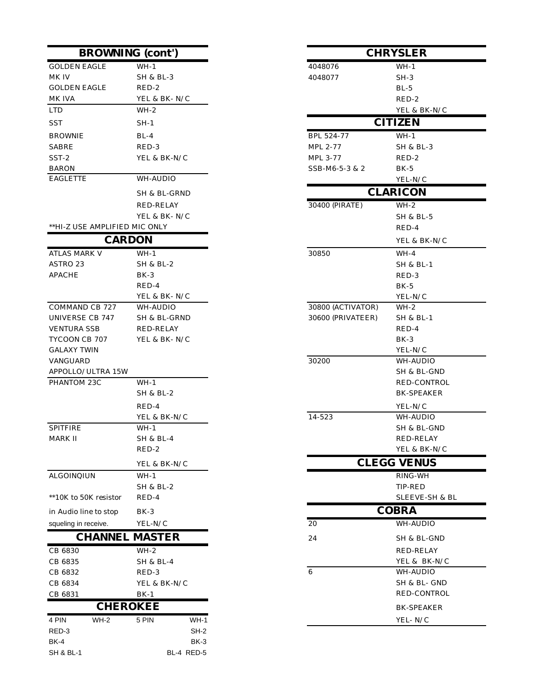|                               | <b>BROWNING</b> (cont') |                   | <b>CHRYSLER</b>      |
|-------------------------------|-------------------------|-------------------|----------------------|
| <b>GOLDEN EAGLE</b>           | $WH-1$                  | 4048076           | $WH-1$               |
| MK IV                         | SH & BL-3               | 4048077           | $SH-3$               |
| <b>GOLDEN EAGLE</b>           | RED-2                   |                   | $BL-5$               |
| MK IVA                        | YEL & BK-N/C            |                   | RED-2                |
| <b>LTD</b>                    | $WH-2$                  |                   | YEL & BK-N/C         |
| SST                           | $SH-1$                  |                   | <b>CITIZEN</b>       |
| <b>BROWNIE</b>                | $BL-4$                  | BPL 524-77        | $WH-1$               |
| <b>SABRE</b>                  | RED-3                   | MPL 2-77          | <b>SH &amp; BL-3</b> |
| SST-2                         | YEL & BK-N/C            | MPL 3-77          | RED-2                |
| <b>BARON</b>                  |                         | SSB-M6-5-3 & 2    | $BK-5$               |
| <b>EAGLETTE</b>               | WH-AUDIO                |                   | YEL-N/C              |
|                               | SH & BL-GRND            |                   | <b>CLARICON</b>      |
|                               | RED-RELAY               | 30400 (PIRATE)    | $WH-2$               |
|                               | YEL & BK-N/C            |                   | SH & BL-5            |
| **HI-Z USE AMPLIFIED MIC ONLY |                         |                   | RED-4                |
|                               | <b>CARDON</b>           |                   | YEL & BK-N/C         |
| <b>ATLAS MARK V</b>           | $WH-1$                  | 30850             | $WH-4$               |
| ASTRO 23                      | SH & BL-2               |                   | SH & BL-1            |
| <b>APACHE</b>                 | $BK-3$                  |                   | RED-3                |
|                               | RED-4                   |                   | $BK-5$               |
|                               | YEL & BK-N/C            |                   | YEL-N/C              |
| COMMAND CB 727                | WH-AUDIO                | 30800 (ACTIVATOR) | $WH-2$               |
| UNIVERSE CB 747               | SH & BL-GRND            | 30600 (PRIVATEER) | SH & BL-1            |
| <b>VENTURA SSB</b>            | RED-RELAY               |                   | RED-4                |
| TYCOON CB 707                 | YEL & BK-N/C            |                   | BK-3                 |
| <b>GALAXY TWIN</b>            |                         |                   | YEL-N/C              |
| VANGUARD                      |                         | 30200             | WH-AUDIO             |
| APPOLLO/ULTRA 15W             |                         |                   | SH & BL-GND          |
| PHANTOM 23C                   | WH-1                    |                   | RED-CONTROL          |
|                               | SH & BL-2               |                   | <b>BK-SPEAKER</b>    |
|                               | RED-4                   |                   | YEL-N/C              |
|                               | YEL & BK-N/C            | 14-523            | WH-AUDIO             |
| <b>SPITFIRE</b>               | $WH-1$                  |                   | SH & BL-GND          |
| MARK II                       | <b>SH &amp; BL-4</b>    |                   | <b>RED-RELAY</b>     |
|                               | RED-2                   |                   | YEL & BK-N/C         |
|                               | YEL & BK-N/C            |                   | <b>CLEGG VENUS</b>   |
| ALGOINQIUN                    | $WH-1$                  |                   | RING-WH              |
|                               | <b>SH &amp; BL-2</b>    |                   | TIP-RED              |
| **10K to 50K resistor         | RED-4                   |                   | SLEEVE-SH & BL       |
| in Audio line to stop         | $BK-3$                  |                   | <b>COBRA</b>         |
| squeling in receive.          | YEL-N/C                 | 20                | <b>WH-AUDIO</b>      |
|                               | <b>CHANNEL MASTER</b>   | 24                | SH & BL-GND          |
| CB 6830                       | $WH-2$                  |                   | RED-RELAY            |
| CB 6835                       | <b>SH &amp; BL-4</b>    |                   | YEL & BK-N/C         |
| CB 6832                       | RED-3                   | 6                 | WH-AUDIO             |
| CB 6834                       | YEL & BK-N/C            |                   | SH & BL- GND         |
| CB 6831                       | $BK-1$                  |                   | RED-CONTROL          |
|                               | <b>CHEROKEE</b>         |                   | <b>BK-SPEAKER</b>    |
| $WH-2$<br>4 PIN               | 5 PIN<br>$WH-1$         |                   | YEL-N/C              |
| RED-3                         | $SH-2$                  |                   |                      |
| <b>BK-4</b>                   | BK-3                    |                   |                      |
| <b>SH &amp; BL-1</b>          | BL-4 RED-5              |                   |                      |

| a (cont')       |                   | <b>CHRYSLER</b>    |
|-----------------|-------------------|--------------------|
| WH-1            | 4048076           | $WH-1$             |
| SH & BL-3       | 4048077           | $SH-3$             |
| RED-2           |                   | $BL-5$             |
| YEL & BK- N/C   |                   | RED-2              |
| WH-2            |                   | YEL & BK-N/C       |
| SH-1            |                   | <b>CITIZEN</b>     |
| $BL-4$          | BPL 524-77        | WH-1               |
| RED-3           | MPL 2-77          | SH & BL-3          |
| YEL & BK-N/C    | MPL 3-77          | RED-2              |
|                 | SSB-M6-5-3 & 2    | BK-5               |
| WH-AUDIO        |                   | YEL-N/C            |
| SH & BL-GRND    |                   | <b>CLARICON</b>    |
| RED-RELAY       | 30400 (PIRATE)    | $WH-2$             |
| YEL & BK- N/C   |                   | SH & BL-5          |
| IIC ONLY        |                   | RED-4              |
| ON              |                   | YEL & BK-N/C       |
| WH-1            | 30850             | WH-4               |
| SH & BL-2       |                   | SH & BL-1          |
| BK-3            |                   | RED-3              |
| RED-4           |                   | BK-5               |
| YEL & BK-N/C    |                   | YEL-N/C            |
| WH-AUDIO        | 30800 (ACTIVATOR) | $WH-2$             |
| SH & BL-GRND    | 30600 (PRIVATEER) | SH & BL-1          |
| RED-RELAY       |                   | RED-4              |
| YEL & BK- N/C   |                   | $BK-3$             |
|                 |                   | YEL-N/C            |
|                 | 30200             | WH-AUDIO           |
|                 |                   | SH & BL-GND        |
| WH-1            |                   | RED-CONTROL        |
| SH & BL-2       |                   | <b>BK-SPEAKER</b>  |
| RED-4           |                   | YEL-N/C            |
| YEL & BK-N/C    | 14-523            | <b>WH-AUDIO</b>    |
| $WH-1$          |                   | SH & BL-GND        |
| SH & BL-4       |                   | RED-RELAY          |
| RED-2           |                   | YEL & BK-N/C       |
| YEL & BK-N/C    |                   | <b>CLEGG VENUS</b> |
| $WH-1$          |                   | $RING-WH$          |
| SH & BL-2       |                   | TIP-RED            |
| RED-4           |                   | SLEEVE-SH & BL     |
| BK-3            |                   | <b>COBRA</b>       |
| YEL-N/C         | 20                | WH-AUDIO           |
| AASTER          | 24                | SH & BL-GND        |
| $WH-2$          |                   | <b>RED-RELAY</b>   |
| SH & BL-4       |                   | YEL & BK-N/C       |
| RED-3           | 6                 | WH-AUDIO           |
| YEL & BK-N/C    |                   | SH & BL- GND       |
| BK-1            |                   | RED-CONTROL        |
| KEE             |                   |                    |
|                 |                   | <b>BK-SPEAKER</b>  |
| 5 PIN<br>$WH-1$ |                   | YEL-N/C            |
| $SH-2$          |                   |                    |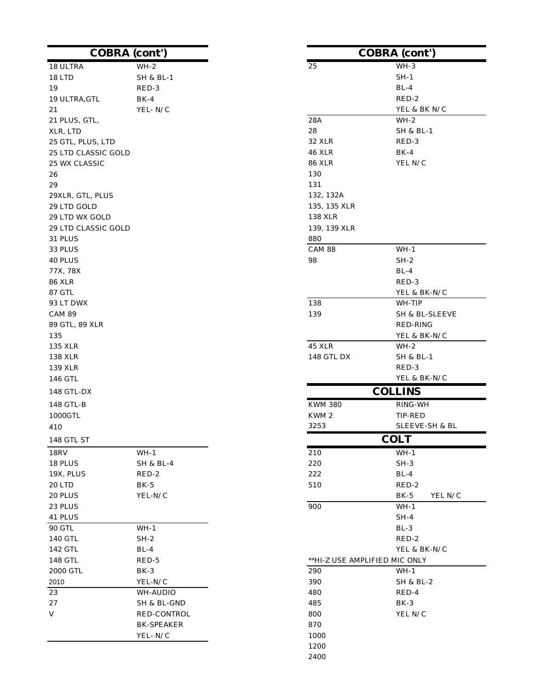|                     | <b>COBRA</b> (cont') |                               | <b>COBRA</b> (cont')          |
|---------------------|----------------------|-------------------------------|-------------------------------|
| 18 ULTRA            | $WH-2$               | 25                            | $WH-3$                        |
| 18 LTD              | <b>SH &amp; BL-1</b> |                               | $SH-1$                        |
| 19                  | RED-3                |                               | $BL-4$                        |
| 19 ULTRA, GTL       | $BK-4$               |                               | RED-2                         |
| 21                  | YEL-N/C              |                               | YEL & BK N/C                  |
| 21 PLUS, GTL,       |                      | 28A                           | $WH-2$                        |
| XLR, LTD            |                      | 28                            | <b>SH &amp; BL-1</b>          |
| 25 GTL, PLUS, LTD   |                      | <b>32 XLR</b>                 | RED-3                         |
| 25 LTD CLASSIC GOLD |                      | <b>46 XLR</b>                 | $BK-4$                        |
| 25 WX CLASSIC       |                      | <b>86 XLR</b>                 | YEL N/C                       |
| 26                  |                      | 130                           |                               |
| 29                  |                      | 131                           |                               |
| 29XLR, GTL, PLUS    |                      | 132, 132A                     |                               |
| 29 LTD GOLD         |                      | 135, 135 XLR                  |                               |
| 29 LTD WX GOLD      |                      | 138 XLR                       |                               |
| 29 LTD CLASSIC GOLD |                      | 139, 139 XLR                  |                               |
| 31 PLUS             |                      | 880                           |                               |
| 33 PLUS             |                      | <b>CAM 88</b>                 | $WH-1$                        |
| 40 PLUS             |                      | 98                            | $SH-2$                        |
| 77X, 78X            |                      |                               | $BL-4$                        |
| <b>86 XLR</b>       |                      |                               | RED-3                         |
| 87 GTL              |                      |                               | YEL & BK-N/C                  |
| 93 LT DWX           |                      | 138                           | WH-TIP                        |
| <b>CAM 89</b>       |                      | 139                           | SH & BL-SLEEVE                |
| 89 GTL, 89 XLR      |                      |                               | RED-RING                      |
| 135                 |                      |                               | YEL & BK-N/C                  |
| 135 XLR             |                      | 45 XLR                        | $WH-2$                        |
| 138 XLR             |                      | 148 GTL DX                    | <b>SH &amp; BL-1</b>          |
| 139 XLR             |                      |                               | RED-3                         |
| 146 GTL             |                      |                               | YEL & BK-N/C                  |
| 148 GTL-DX          |                      |                               | <b>COLLINS</b>                |
| 148 GTL-B           |                      | <b>KWM 380</b>                | $\mathop{\rm RING\text{-}WH}$ |
| 1000GTL             |                      | KWM 2                         | TIP-RED                       |
| 410                 |                      | 3253                          | SLEEVE-SH & BL                |
| 148 GTL ST          |                      |                               | <b>COLT</b>                   |
| 18RV                | $WH-1$               | 210                           | $WH-1$                        |
| 18 PLUS             | <b>SH &amp; BL-4</b> | 220                           | $SH-3$                        |
| 19X, PLUS           | RED-2                | 222                           | $BL-4$                        |
| 20 LTD              | $BK-5$               | 510                           | RED-2                         |
| 20 PLUS             | YEL-N/C              |                               | $BK-5$<br>YEL N/C             |
| 23 PLUS             |                      | 900                           | $WH-1$                        |
| 41 PLUS             |                      |                               | $SH-4$                        |
| <b>90 GTL</b>       | $WH-1$               |                               | $BL-3$                        |
| 140 GTL             | $SH-2$               |                               | RED-2                         |
| 142 GTL             | $BL-4$               |                               | YEL & BK-N/C                  |
| 148 GTL             | RED-5                | **HI-Z USE AMPLIFIED MIC ONLY |                               |
| 2000 GTL            | $BK-3$               | 290                           | $WH-1$                        |
| 2010                | YEL-N/C              | 390                           | <b>SH &amp; BL-2</b>          |
| 23                  | WH-AUDIO             | 480                           | RED-4                         |
| 27                  | SH & BL-GND          | 485                           | BK-3                          |
| V                   | RED-CONTROL          | 800                           | YEL N/C                       |
|                     | <b>BK-SPEAKER</b>    | 870                           |                               |
|                     | YEL-N/C              | 1000                          |                               |
|                     |                      | 1200                          |                               |
|                     |                      | 2400                          |                               |
|                     |                      |                               |                               |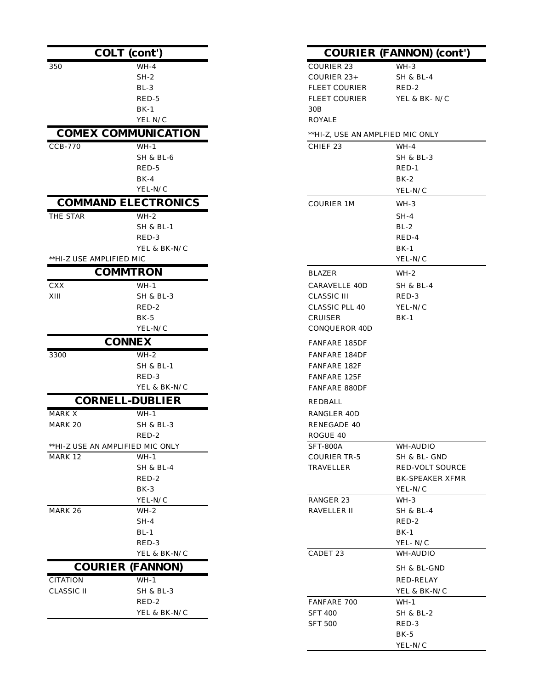|                          | <b>COLT</b> (cont')              |                                  | <b>COURIER (FANNON) (co</b> |
|--------------------------|----------------------------------|----------------------------------|-----------------------------|
| 350                      | $WH-4$                           | <b>COURIER 23</b>                | $WH-3$                      |
|                          | $SH-2$                           | COURIER 23+                      | SH & BL-4                   |
|                          | $BL-3$                           | <b>FLEET COURIER</b>             | RED-2                       |
|                          | RED-5                            | <b>FLEET COURIER</b>             | YEL & BK-N/C                |
|                          | $BK-1$                           | 30B                              |                             |
|                          | YEL N/C                          | <b>ROYALE</b>                    |                             |
|                          | <b>COMEX COMMUNICATION</b>       | **HI-Z, USE AN AMPLFIED MIC ONLY |                             |
| <b>CCB-770</b>           | $WH-1$                           | CHIEF <sub>23</sub>              | $WH-4$                      |
|                          | <b>SH &amp; BL-6</b>             |                                  | <b>SH &amp; BL-3</b>        |
|                          | RED-5                            |                                  | $RED-1$                     |
|                          | $BK-4$                           |                                  | $BK-2$                      |
|                          | YEL-N/C                          |                                  | YEL-N/C                     |
|                          | <b>COMMAND ELECTRONICS</b>       | <b>COURIER 1M</b>                | WH-3                        |
| THE STAR                 | $WH-2$                           |                                  | $SH-4$                      |
|                          | SH & BL-1                        |                                  | $BL-2$                      |
|                          | RED-3                            |                                  | RED-4                       |
|                          | YEL & BK-N/C                     |                                  | $BK-1$                      |
| **HI-Z USE AMPLIFIED MIC |                                  |                                  | YEL-N/C                     |
|                          | <b>COMMTRON</b>                  | <b>BLAZER</b>                    | $WH-2$                      |
| ${\rm CXX}$              | $WH-1$                           | <b>CARAVELLE 40D</b>             | SH & BL-4                   |
| $\bold{XIII}$            | SH & BL-3                        | <b>CLASSIC III</b>               | RED-3                       |
|                          | RED-2                            | CLASSIC PLL 40                   | YEL-N/C                     |
|                          | $BK-5$                           | CRUISER                          | $BK-1$                      |
|                          | YEL-N/C                          | CONQUEROR 40D                    |                             |
|                          | <b>CONNEX</b>                    | <b>FANFARE 185DF</b>             |                             |
| 3300                     | $WH-2$                           | FANFARE 184DF                    |                             |
|                          | SH & BL-1                        | FANFARE 182F                     |                             |
|                          | RED-3                            | FANFARE 125F                     |                             |
|                          | YEL & BK-N/C                     | <b>FANFARE 880DF</b>             |                             |
|                          | <b>CORNELL-DUBLIER</b>           | REDBALL                          |                             |
| MARK X                   | $WH-1$                           | RANGLER 40D                      |                             |
| <b>MARK 20</b>           | <b>SH &amp; BL-3</b>             | RENEGADE 40                      |                             |
|                          | $RED-2$                          | ROGUE 40                         |                             |
|                          | **HI-Z USE AN AMPLIFIED MIC ONLY | <b>SFT-800A</b>                  | WH-AUDIO                    |
| MARK 12                  | $WH-1$                           | <b>COURIER TR-5</b>              | SH & BL- GND                |
|                          | <b>SH &amp; BL-4</b>             | <b>TRAVELLER</b>                 | RED-VOLT SO                 |
|                          | RED-2                            |                                  | <b>BK-SPEAKER</b>           |
|                          | $BK-3$                           |                                  | YEL-N/C                     |
|                          | YEL-N/C                          | RANGER 23                        | WH-3                        |
| MARK 26                  | $WH-2$                           | RAVELLER II                      | <b>SH &amp; BL-4</b>        |
|                          | SH-4                             |                                  | RED-2                       |
|                          | $BL-1$                           |                                  | $BK-1$                      |
|                          | RED-3<br>YEL & BK-N/C            | CADET 23                         | YEL-N/C<br>WH-AUDIO         |
|                          | <b>COURIER (FANNON)</b>          |                                  | SH & BL-GND                 |
| <b>CITATION</b>          | $WH-1$                           |                                  | RED-RELAY                   |
| <b>CLASSIC II</b>        | SH & BL-3                        |                                  | YEL & BK-N/C                |
|                          | RED-2                            | FANFARE 700                      | $WH-1$                      |
|                          | YEL & BK-N/C                     | <b>SFT 400</b>                   | SH & BL-2                   |
|                          |                                  | <b>SFT 500</b>                   | RED-3                       |

| ont')             |                                  | <b>COURIER (FANNON) (cont')</b> |
|-------------------|----------------------------------|---------------------------------|
| $WH-4$            | COURIER 23                       | WH-3                            |
| $SH-2$            | COURIER 23+                      | <b>SH &amp; BL-4</b>            |
| BL-3              | <b>FLEET COURIER</b>             | RED-2                           |
| RED-5             | FLEET COURIER                    | YEL & BK-N/C                    |
| BK-1              | 30B                              |                                 |
| YEL N/C           | <b>ROYALE</b>                    |                                 |
| <b>UNICATION</b>  | **HI-Z, USE AN AMPLFIED MIC ONLY |                                 |
| WH-1              | CHIEF <sub>23</sub>              | $WH-4$                          |
| SH & BL-6         |                                  | SH & BL-3                       |
| RED-5             |                                  | RED-1                           |
| BK-4              |                                  | BK-2                            |
| YEL-N/C           |                                  | YEL-N/C                         |
| <b>ECTRONICS</b>  | COURIER 1M                       | WH-3                            |
| WH-2              |                                  | SH-4                            |
| SH & BL-1         |                                  | $BL-2$                          |
| RED-3             |                                  | RED-4                           |
| YEL & BK-N/C      |                                  | $BK-1$                          |
| IIС               |                                  | YEL-N/C                         |
| <b>RON</b>        | BLAZER                           | WH-2                            |
| WH-1              | <b>CARAVELLE 40D</b>             | SH & BL-4                       |
| SH & BL-3         | CLASSIC III                      | RED-3                           |
| RED-2             | CLASSIC PLL 40                   | YEL-N/C                         |
| BK-5              | <b>CRUISER</b>                   | $BK-1$                          |
| YEL-N/C           | CONQUEROR 40D                    |                                 |
| EX                | FANFARE 185DF                    |                                 |
| WH-2              | <b>FANFARE 184DF</b>             |                                 |
| SH & BL-1         | FANFARE 182F                     |                                 |
| RED-3             | FANFARE 125F                     |                                 |
| YEL & BK-N/C      | FANFARE 880DF                    |                                 |
| <b>)UBLIER</b>    | REDBALL                          |                                 |
| WH-1              | RANGLER 40D                      |                                 |
| SH & BL-3         | RENEGADE 40                      |                                 |
| RED-2             | $\rm ROGUE$ $40$                 |                                 |
| D MIC ONLY        | SFT-800A                         | WH-AUDIO                        |
| WH-1              | <b>COURIER TR-5</b>              | SH & BL- GND                    |
| SH & BL-4         | TRAVELLER                        | RED-VOLT SOURCE                 |
| RED-2             |                                  | <b>BK-SPEAKER XFMR</b>          |
| BK-3              |                                  | YEL-N/C                         |
| YEL-N/C<br>$WH-2$ | RANGER 23<br><b>RAVELLER II</b>  | WH-3                            |
| SH-4              |                                  | SH & BL-4<br>RED-2              |
| BL-1              |                                  | $BK-1$                          |
| RED-3             |                                  | YEL-N/C                         |
| YEL & BK-N/C      | CADET 23                         | WH-AUDIO                        |
| FANNON)           |                                  |                                 |
|                   |                                  | SH & BL-GND                     |
| WH-1              |                                  | RED-RELAY                       |
| SH & BL-3         |                                  | YEL & BK-N/C                    |
| RED-2             | FANFARE 700                      | WH-1                            |
| YEL & BK-N/C      | <b>SFT 400</b>                   | <b>SH &amp; BL-2</b>            |
|                   | <b>SFT 500</b>                   | RED-3<br>$BK-5$                 |
|                   |                                  | YEL-N/C                         |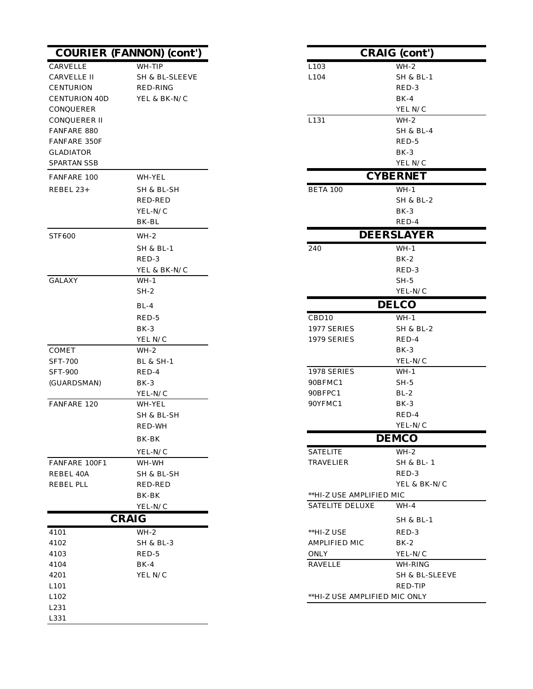|                      | <b>COURIER (FANNON) (cont')</b> |                               | <b>CRAIG</b> (cont') |
|----------------------|---------------------------------|-------------------------------|----------------------|
| CARVELLE             | WH-TIP                          | L103                          | $WH-2$               |
| CARVELLE II          | SH & BL-SLEEVE                  | L104                          | <b>SH &amp; BL-1</b> |
| <b>CENTURION</b>     | RED-RING                        |                               | RED-3                |
| <b>CENTURION 40D</b> | YEL & BK-N/C                    |                               | $BK-4$               |
| CONQUERER            |                                 |                               | YEL N/C              |
| CONQUERER II         |                                 | L131                          | $WH-2$               |
| <b>FANFARE 880</b>   |                                 |                               | <b>SH &amp; BL-4</b> |
| <b>FANFARE 350F</b>  |                                 |                               | RED-5                |
| <b>GLADIATOR</b>     |                                 |                               | $BK-3$               |
| <b>SPARTAN SSB</b>   |                                 |                               | YEL N/C              |
| FANFARE 100          | WH-YEL                          |                               | <b>CYBERNET</b>      |
| REBEL 23+            | SH & BL-SH                      | <b>BETA 100</b>               | $WH-1$               |
|                      | RED-RED                         |                               | <b>SH &amp; BL-2</b> |
|                      | YEL-N/C                         |                               | $BK-3$               |
|                      | BK-BL                           |                               | RED-4                |
| <b>STF600</b>        | WH-2                            |                               | <b>DEERSLAYER</b>    |
|                      | <b>SH &amp; BL-1</b>            | 240                           | $WH-1$               |
|                      | RED-3                           |                               | $BK-2$               |
|                      | YEL & BK-N/C                    |                               | RED-3                |
| <b>GALAXY</b>        | $WH-1$                          |                               | $SH-5$               |
|                      | $SH-2$                          |                               | YEL-N/C              |
|                      | $BL-4$                          |                               | <b>DELCO</b>         |
|                      | RED-5                           | CBD10                         | $WH-1$               |
|                      | $BK-3$                          | 1977 SERIES                   | <b>SH &amp; BL-2</b> |
|                      | YEL N/C                         | 1979 SERIES                   | RED-4                |
| <b>COMET</b>         | WH-2                            |                               | $BK-3$               |
| <b>SFT-700</b>       | <b>BL &amp; SH-1</b>            |                               | YEL-N/C              |
| <b>SFT-900</b>       | RED-4                           | 1978 SERIES                   | $WH-1$               |
| (GUARDSMAN)          | $BK-3$                          | 90BFMC1                       | $SH-5$               |
|                      | YEL-N/C                         | 90BFPC1                       | $BL-2$               |
| FANFARE 120          | WH-YEL                          | 90YFMC1                       | $BK-3$               |
|                      | SH & BL-SH                      |                               | RED-4                |
|                      | RED-WH                          |                               | YEL-N/C              |
|                      | BK-BK                           |                               | <b>DEMCO</b>         |
|                      | YEL-N/C                         | <b>SATELITE</b>               | $WH-2$               |
| FANFARE 100F1        | WH-WH                           | <b>TRAVELIER</b>              | SH & BL-1            |
| REBEL 40A            | SH & BL-SH                      |                               | RED-3                |
| REBEL PLL            | <b>RED-RED</b>                  |                               | YEL & BK-N/C         |
|                      | BK-BK                           | **HI-Z USE AMPLIFIED MIC      |                      |
|                      | YEL-N/C                         | <b>SATELITE DELUXE</b>        | $WH-4$               |
|                      | <b>CRAIG</b>                    |                               | <b>SH &amp; BL-1</b> |
| 4101                 | $WH-2$                          | **HI-Z USE                    | RED-3                |
| 4102                 | SH & BL-3                       | AMPLIFIED MIC                 | $BK-2$               |
| 4103                 | RED-5                           | ONLY                          | YEL-N/C              |
| 4104                 | $BK-4$                          | <b>RAVELLE</b>                | WH-RING              |
| 4201                 | YEL N/C                         |                               | SH & BL-SLEEVE       |
| L101                 |                                 |                               | RED-TIP              |
| L102                 |                                 | **HI-Z USE AMPLIFIED MIC ONLY |                      |
| L231                 |                                 |                               |                      |
| L331                 |                                 |                               |                      |

| <b>NON)</b> (cont')  |                                    | <b>CRAIG</b> (cont') |
|----------------------|------------------------------------|----------------------|
| WH-TIP               | L103                               | $WH-2$               |
| SH & BL-SLEEVE       | L104                               | SH & BL-1            |
| RED-RING             |                                    | RED-3                |
| YEL & BK-N/C         |                                    | $BK-4$               |
|                      |                                    | YEL N/C              |
|                      | L131                               | WH-2                 |
|                      |                                    | SH & BL-4            |
|                      |                                    | RED-5                |
|                      |                                    | $BK-3$               |
|                      |                                    | YEL N/C              |
| WH-YEL               |                                    | <b>CYBERNET</b>      |
| SH & BL-SH           | BETA 100                           | $WH-1$               |
| RED-RED              |                                    | SH & BL-2            |
| YEL-N/C              |                                    | $BK-3$               |
| BK-BL                |                                    | RED-4                |
| WH-2                 |                                    | <b>DEERSLAYER</b>    |
| SH & BL-1            | 240                                | $WH-1$               |
| RED-3                |                                    | $BK-2$               |
| YEL & BK-N/C         |                                    | RED-3                |
| WH-1                 |                                    | $SH-5$               |
| $SH-2$               |                                    | YEL-N/C              |
| BL-4                 |                                    | <b>DELCO</b>         |
| RED-5                | CBD <sub>10</sub>                  | $WH-1$               |
| BK-3                 | 1977 SERIES                        | SH & BL-2            |
| YEL N/C              | 1979 SERIES                        | RED-4                |
| $WH-2$               |                                    | $BK-3$               |
| BL & SH-1            |                                    | YEL-N/C              |
| RED-4                | 1978 SERIES                        | WH-1                 |
| BK-3                 | 90BFMC1                            | SH-5                 |
| YEL-N/C              | 90BFPC1<br>90YFMC1                 | $BL-2$               |
| WH-YEL<br>SH & BL-SH |                                    | BK-3<br>RED-4        |
| RED-WH               |                                    | YEL-N/C              |
| BK-BK                |                                    | <b>DEMCO</b>         |
|                      |                                    |                      |
| YEL-N/C              | <b>SATELITE</b><br>TRAVELIER       | $WH-2$               |
| WH-WH<br>SH & BL-SH  |                                    | SH & BL- 1<br>RED-3  |
| RED-RED              |                                    | YEL & BK-N/C         |
| BK-BK                | **HI-Z USE AMPLIFIED MIC           |                      |
| YEL-N/C              | <b>SATELITE DELUXE</b>             | $WH-4$               |
| G                    |                                    | SH & BL-1            |
|                      |                                    |                      |
| WH-2                 | **HI-Z USE<br><b>AMPLIFIED MIC</b> | RED-3                |
| SH & BL-3<br>RED-5   | <b>ONLY</b>                        | BK-2<br>YEL-N/C      |
| BK-4                 | RAVELLE                            | WH-RING              |
| YEL N/C              |                                    | SH & BL-SLEEVE       |
|                      |                                    | RED-TIP              |
|                      | **HI-Z USE AMPLIFIED MIC ONLY      |                      |
|                      |                                    |                      |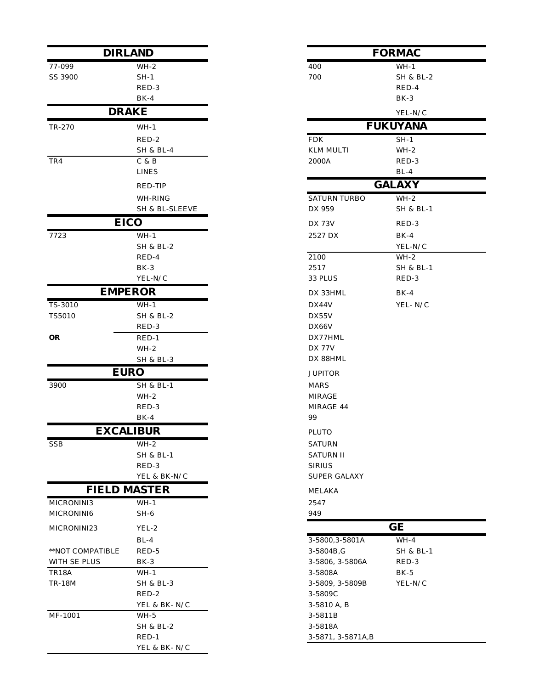|                  | <b>DIRLAND</b>               |                                   | <b>FORMAC</b>        |
|------------------|------------------------------|-----------------------------------|----------------------|
| 77-099           | WH-2                         | 400                               | $WH-1$               |
| SS 3900          | $SH-1$                       | 700                               | <b>SH &amp; BL-2</b> |
|                  | RED-3                        |                                   | RED-4                |
|                  | $BK-4$                       |                                   | $BK-3$               |
|                  | <b>DRAKE</b>                 |                                   | YEL-N/C              |
| TR-270           | $WH-1$                       |                                   | <b>FUKUYANA</b>      |
|                  | RED-2                        | <b>FDK</b>                        | $SH-1$               |
|                  | <b>SH &amp; BL-4</b>         | <b>KLM MULTI</b>                  | $WH-2$               |
| TR4              | C & B                        | 2000A                             | RED-3                |
|                  | <b>LINES</b>                 |                                   | $BL-4$               |
|                  | RED-TIP                      |                                   | <b>GALAXY</b>        |
|                  | WH-RING                      | <b>SATURN TURBO</b>               | $WH-2$               |
|                  | SH & BL-SLEEVE               | DX 959                            | <b>SH &amp; BL-1</b> |
|                  | <b>EICO</b>                  | <b>DX 73V</b>                     | RED-3                |
| 7723             | $WH-1$                       | 2527 DX                           | $BK-4$               |
|                  | <b>SH &amp; BL-2</b>         |                                   | YEL-N/C              |
|                  | RED-4                        | 2100                              | WH-2                 |
|                  | $BK-3$                       | 2517                              | SH & BL-1            |
|                  | YEL-N/C                      | 33 PLUS                           | RED-3                |
|                  | <b>EMPEROR</b>               | DX 33HML                          | $BK-4$               |
| TS-3010          | $WH-1$                       | DX44V                             | YEL-N/C              |
| TS5010           | <b>SH &amp; BL-2</b>         | DX55V                             |                      |
|                  | RED-3                        | DX66V                             |                      |
| <b>OR</b>        | $RED-1$                      | DX77HML                           |                      |
|                  | $WH-2$                       | <b>DX 77V</b>                     |                      |
|                  | SH & BL-3                    | DX 88HML                          |                      |
|                  | <b>EURO</b>                  | <b>JUPITOR</b>                    |                      |
| 3900             | <b>SH &amp; BL-1</b>         | <b>MARS</b>                       |                      |
|                  | $WH-2$                       | MIRAGE                            |                      |
|                  | RED-3                        | MIRAGE 44<br>99                   |                      |
|                  | $BK-4$<br><b>EXCALIBUR</b>   |                                   |                      |
|                  |                              | <b>PLUTO</b>                      |                      |
| SSB              | WH-2<br><b>SH &amp; BL-1</b> | <b>SATURN</b><br><b>SATURN II</b> |                      |
|                  | RED-3                        | <b>SIRIUS</b>                     |                      |
|                  | YEL & BK-N/C                 | SUPER GALAXY                      |                      |
|                  | <b>FIELD MASTER</b>          | MELAKA                            |                      |
| MICRONINI3       | WH-1                         | 2547                              |                      |
| MICRONINI6       | $SH-6$                       | 949                               |                      |
| MICRONINI23      | YEL-2                        |                                   | GE                   |
|                  | $BL-4$                       | 3-5800, 3-5801A                   | $WH-4$               |
| **NOT COMPATIBLE | RED-5                        | 3-5804B,G                         | SH & BL-1            |
| WITH SE PLUS     | BK-3                         | 3-5806, 3-5806A                   | RED-3                |
| TR18A            | $WH-1$                       | 3-5808A                           | $BK-5$               |
| <b>TR-18M</b>    | <b>SH &amp; BL-3</b>         | 3-5809, 3-5809B                   | YEL-N/C              |
|                  | RED-2                        | 3-5809C                           |                      |
|                  | YEL & BK-N/C                 | 3-5810 A, B                       |                      |
| MF-1001          | $WH-5$                       | 3-5811B                           |                      |
|                  | SH & BL-2                    | 3-5818A                           |                      |
|                  | $RED-1$                      | 3-5871, 3-5871A, B                |                      |
|                  | YEL & BK-N/C                 |                                   |                      |

|      | DIRLAND                |                              | <b>FORMAC</b>        |
|------|------------------------|------------------------------|----------------------|
|      | $WH-2$                 | 400                          | $WH-1$               |
|      | $SH-1$                 | 700                          | <b>SH &amp; BL-2</b> |
|      | RED-3                  |                              | RED-4                |
|      | $BK-4$                 |                              | $BK-3$               |
|      | <b>DRAKE</b>           |                              | YEL-N/C              |
|      | $WH-1$                 |                              | <b>FUKUYANA</b>      |
|      | RED-2                  | <b>FDK</b>                   | $SH-1$               |
|      | <b>SH &amp; BL-4</b>   | <b>KLM MULTI</b>             | $WH-2$               |
|      | C & B                  | 2000A                        | RED-3                |
|      | <b>LINES</b>           |                              | $BL-4$               |
|      | RED-TIP                |                              | <b>GALAXY</b>        |
|      | WH-RING                | <b>SATURN TURBO</b>          | $WH-2$               |
|      | SH & BL-SLEEVE         | DX 959                       | <b>SH &amp; BL-1</b> |
|      | <b>EICO</b>            | <b>DX 73V</b>                | RED-3                |
|      | $WH-1$                 | 2527 DX                      | $BK-4$               |
|      | <b>SH &amp; BL-2</b>   |                              | YEL-N/C              |
|      | RED-4                  | 2100                         | $WH-2$               |
|      | $BK-3$                 | 2517                         | <b>SH &amp; BL-1</b> |
|      | YEL-N/C                | 33 PLUS                      | RED-3                |
|      | EMPEROR                | DX 33HML                     | $BK-4$               |
|      | $WH-1$                 | DX44V                        | YEL-N/C              |
|      | <b>SH &amp; BL-2</b>   | DX55V                        |                      |
|      | RED-3                  | DX66V                        |                      |
|      | $RED-1$                | DX77HML<br><b>DX 77V</b>     |                      |
|      | $WH-2$<br>SH & BL-3    | DX 88HML                     |                      |
|      | <b>EURO</b>            |                              |                      |
|      | <b>SH &amp; BL-1</b>   | <b>JUPITOR</b>               |                      |
|      | $WH-2$                 | <b>MARS</b><br><b>MIRAGE</b> |                      |
|      | RED-3                  | MIRAGE 44                    |                      |
|      | $BK-4$                 | 99                           |                      |
|      | <b>XCALIBUR</b>        | PLUTO                        |                      |
|      | $WH-2$                 | <b>SATURN</b>                |                      |
|      | <b>SH &amp; BL-1</b>   | <b>SATURN II</b>             |                      |
|      | RED-3                  | <b>SIRIUS</b>                |                      |
|      | YEL & BK-N/C           | <b>SUPER GALAXY</b>          |                      |
|      | <b>LD MASTER</b>       | MELAKA                       |                      |
|      | $WH-1$                 | 2547                         |                      |
|      | $SH-6$                 | 949                          |                      |
|      | YEL-2                  |                              | GE                   |
|      | $BL-4$                 | 3-5800, 3-5801A              | $WH-4$               |
| IBLE | RED-5                  | 3-5804B,G                    | SH & BL-1            |
|      | BK-3                   | 3-5806, 3-5806A              | RED-3                |
|      | $WH-1$                 | 3-5808A                      | BK-5                 |
|      | <b>SH &amp; BL-3</b>   | 3-5809, 3-5809B              | YEL-N/C              |
|      | RED-2                  | 3-5809C                      |                      |
|      | YEL & BK-N/C<br>$WH-5$ | 3-5810 A, B<br>3-5811B       |                      |
|      | <b>SH &amp; BL-2</b>   | 3-5818A                      |                      |
|      | $RED-1$                | 3-5871, 3-5871A, B           |                      |
|      |                        |                              |                      |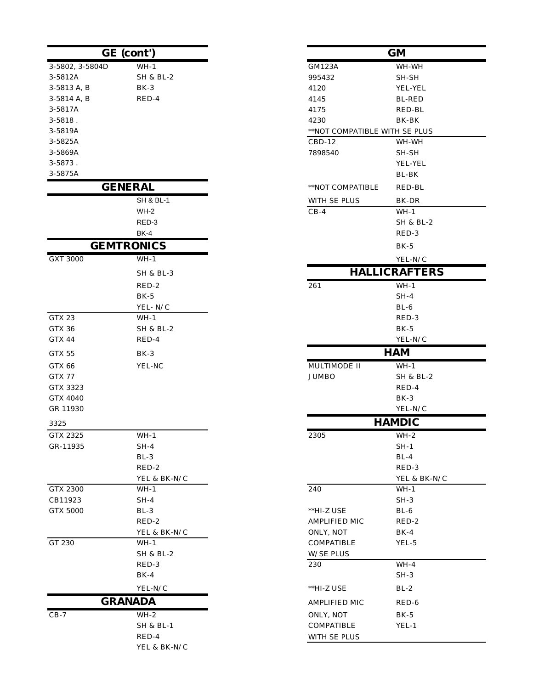|                     | GE (cont')           |                               | <b>GM</b>            |
|---------------------|----------------------|-------------------------------|----------------------|
| 3-5802, 3-5804D     | $WH-1$               | GM123A                        | WH-WH                |
| 3-5812A             | <b>SH &amp; BL-2</b> | 995432                        | SH-SH                |
| 3-5813 A, B         | BK-3                 | 4120                          | YEL-YEL              |
| 3-5814 A, B         | RED-4                | 4145                          | <b>BL-RED</b>        |
| 3-5817A             |                      | 4175                          | RED-BL               |
| $3 - 5818$ .        |                      | 4230                          | BK-BK                |
| 3-5819A             |                      | **NOT COMPATIBLE WITH SE PLUS |                      |
| 3-5825A             |                      | $CBD-12$                      | WH-WH                |
| 3-5869A             |                      | 7898540                       | SH-SH                |
| 3-5873.             |                      |                               | YEL-YEL              |
| 3-5875A             |                      |                               | BL-BK                |
|                     | <b>GENERAL</b>       | **NOT COMPATIBLE              | RED-BL               |
|                     | <b>SH &amp; BL-1</b> | WITH SE PLUS                  | BK-DR                |
|                     | $WH-2$               | $CB-4$                        | WH-1                 |
|                     | RED-3                |                               | SH & BL-2            |
|                     | <b>BK-4</b>          |                               | RED-3                |
|                     | <b>GEMTRONICS</b>    |                               | $BK-5$               |
| <b>GXT 3000</b>     | $WH-1$               |                               | YEL-N/C              |
|                     | SH & BL-3            |                               | <b>HALLICRAFTER</b>  |
|                     | RED-2                | 261                           | $WH-1$               |
|                     | $BK-5$               |                               | $SH-4$               |
|                     | YEL-N/C              |                               | $BL-6$               |
| GTX 23              | WH-1                 |                               | RED-3                |
| GTX 36              | <b>SH &amp; BL-2</b> |                               | $BK-5$               |
| GTX 44              | RED-4                |                               | YEL-N/C              |
| GTX 55              | $BK-3$               |                               | <b>HAM</b>           |
| GTX 66              | YEL-NC               | MULTIMODE II                  | $WH-1$               |
| GTX 77              |                      | <b>JUMBO</b>                  | <b>SH &amp; BL-2</b> |
| GTX 3323            |                      |                               | RED-4                |
| GTX 4040            |                      |                               | $BK-3$               |
| GR 11930            |                      |                               | YEL-N/C              |
| 3325                |                      |                               | <b>HAMDIC</b>        |
| GTX 2325            | $WH-1$               | 2305                          | $WH-2$               |
| GR-11935            | SH-4                 |                               | $SH-1$               |
|                     | $BL-3$               |                               | $BL-4$               |
|                     | RED-2                |                               | RED-3                |
|                     | YEL & BK-N/C         |                               | YEL & BK-            |
| GTX 2300<br>CB11923 | $WH-1$<br>$SH-4$     | 240                           | $WH-1$<br>$SH-3$     |
| <b>GTX 5000</b>     | $BL-3$               | **HI-Z USE                    | $BL-6$               |
|                     | RED-2                | AMPLIFIED MIC                 | RED-2                |
|                     | YEL & BK-N/C         | ONLY, NOT                     | $BK-4$               |
| GT 230              | $WH-1$               | COMPATIBLE                    | YEL-5                |
|                     | <b>SH &amp; BL-2</b> | <b>W/SE PLUS</b>              |                      |
|                     | RED-3                | 230                           | $WH-4$               |
|                     | $BK-4$               |                               | $SH-3$               |
|                     | YEL-N/C              | **HI-Z USE                    | $BL-2$               |
|                     | <b>GRANADA</b>       | AMPLIFIED MIC                 | RED-6                |
| $CB-7$              | $WH-2$               | ONLY, NOT                     | BK-5                 |
|                     | <b>SH &amp; BL-1</b> | COMPATIBLE                    | $YEL-1$              |
|                     | RED-4                | WITH SE PLUS                  |                      |
|                     | YEL & BK-N/C         |                               |                      |
|                     |                      |                               |                      |

| nt')                       |                               | <b>GM</b>              |
|----------------------------|-------------------------------|------------------------|
| WH-1                       | GM123A                        | WH-WH                  |
| <b>SH &amp; BL-2</b>       | 995432                        | SH-SH                  |
| BK-3                       | 4120                          | YEL-YEL                |
| RED-4                      | 4145                          | <b>BL-RED</b>          |
|                            | 4175                          | RED-BL                 |
|                            | 4230                          | BK-BK                  |
|                            | **NOT COMPATIBLE WITH SE PLUS |                        |
|                            | $CBD-12$                      | WH-WH                  |
|                            | 7898540                       | SH-SH                  |
|                            |                               | YEL-YEL                |
|                            |                               | BL-BK                  |
| ծ<br>ՀАL                   | **NOT COMPATIBLE              | RED-BL                 |
| SH & BL-1                  | WITH SE PLUS                  | BK-DR                  |
| WH-2                       | $CB-4$                        | WH-1                   |
| RED-3                      |                               | <b>SH &amp; BL-2</b>   |
| BK-4                       |                               | RED-3                  |
| NICS                       |                               | $BK-5$                 |
| WH-1                       |                               | ${\it YEL\text{-}N/C}$ |
| SH & BL-3                  |                               | <b>HALLICRAFTERS</b>   |
| RED-2                      | 261                           | $WH-1$                 |
| BK-5                       |                               | $SH-4$                 |
| YEL-N/C                    |                               | BL-6                   |
| WH-1                       |                               | RED-3                  |
| SH & BL-2                  |                               | $BK-5$                 |
| RED-4                      |                               | YEL-N/C                |
| BK-3                       |                               | <b>HAM</b>             |
| YEL-NC                     | MULTIMODE II                  | WH-1                   |
|                            | <b>JUMBO</b>                  | SH & BL-2              |
|                            |                               | RED-4                  |
|                            |                               | $BK-3$                 |
|                            |                               | YEL-N/C                |
|                            |                               | <b>HAMDIC</b>          |
| WH-1                       | 2305                          | $WH-2$                 |
| $SH-4$                     |                               | $SH-1$                 |
| BL-3                       |                               | $BL-4$                 |
| RED-2                      |                               | RED-3                  |
| YEL & BK-N/C               |                               | YEL & BK-N/C           |
| WH-1<br>$SH-4$             | 240                           | WH-1                   |
| BL-3                       | **HI-Z USE                    | SH-3<br>BL-6           |
| RED-2                      | AMPLIFIED MIC                 | RED-2                  |
| YEL & BK-N/C               | ONLY, NOT                     | BK-4                   |
| $WH-1$                     | COMPATIBLE                    | YEL-5                  |
| SH & BL-2                  | <b>W/SE PLUS</b>              |                        |
| RED-3                      | 230                           | $WH-4$                 |
| BK-4                       |                               | SH-3                   |
| YEL-N/C                    | **HI-Z USE                    | $BL-2$                 |
| <b>\DA</b>                 |                               |                        |
|                            | AMPLIFIED MIC                 | RED-6                  |
| WH-2                       | ONLY, NOT                     | BK-5                   |
| SH & BL-1                  | COMPATIBLE                    | YEL-1                  |
| RED-4<br>VEI $\ell$ RK N/C | WITH SE PLUS                  |                        |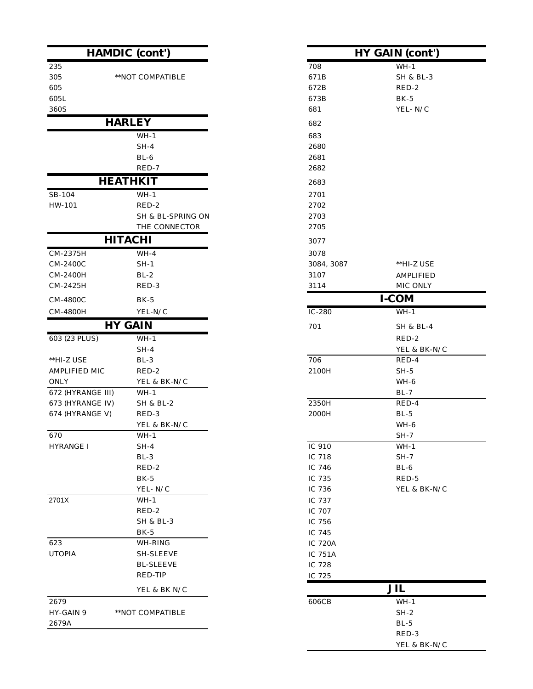|                   | <b>HAMDIC</b> (cont')      |                | <b>HY GAIN (cont'</b> |
|-------------------|----------------------------|----------------|-----------------------|
| 235               |                            | 708            | $WH-1$                |
| 305               | **NOT COMPATIBLE           | 671B           | <b>SH &amp; BL-3</b>  |
| 605               |                            | 672B           | RED-2                 |
| 605L              |                            | 673B           | $BK-5$                |
| 360S              |                            | 681            | YEL-N/C               |
|                   | <b>HARLEY</b>              | 682            |                       |
|                   | $WH-1$                     | 683            |                       |
|                   | $SH-4$                     | 2680           |                       |
|                   | $BL-6$                     | 2681           |                       |
|                   | RED-7                      | 2682           |                       |
|                   | <b>HEATHKIT</b>            | 2683           |                       |
| SB-104            | $WH-1$                     | 2701           |                       |
| HW-101            | RED-2                      | 2702           |                       |
|                   | SH & BL-SPRING ON          | 2703           |                       |
|                   | THE CONNECTOR              | 2705           |                       |
|                   | <b>HITACHI</b>             | 3077           |                       |
| CM-2375H          | $WH-4$                     | 3078           |                       |
| CM-2400C          | $SH-1$                     | 3084, 3087     | **HI-Z USE            |
| CM-2400H          | $BL-2$                     | 3107           | <b>AMPLIFIED</b>      |
| CM-2425H          | RED-3                      | 3114           | MIC ONLY              |
| CM-4800C          | $BK-5$                     |                | $I-COM$               |
| CM-4800H          | YEL-N/C                    | $IC-280$       | $WH-1$                |
|                   | <b>HY GAIN</b>             | 701            | <b>SH &amp; BL-4</b>  |
| 603 (23 PLUS)     | $WH-1$                     |                | RED-2                 |
|                   | $SH-4$                     |                | YEL & BK-N            |
| **HI-Z USE        | $BL-3$                     | 706            | RED-4                 |
| AMPLIFIED MIC     | RED-2                      | 2100H          | $SH-5$                |
| <b>ONLY</b>       | YEL & BK-N/C               |                | WH-6                  |
| 672 (HYRANGE III) | $WH-1$                     |                | $BL-7$                |
| 673 (HYRANGE IV)  | $\rm SH$ & BL-2            | 2350H          | RED-4                 |
| 674 (HYRANGE V)   | RED-3                      | 2000H          | $BL-5$                |
|                   | YEL & BK-N/C               |                | WH-6                  |
| 670               | $WH-1$                     |                | $\rm SH\text{-}7$     |
| HYRANGE I         | $SH-4$                     | IC 910         | $WH-1$                |
|                   | $BL-3$                     | IC 718         | $SH-7$                |
|                   | RED-2                      | IC 746         | $BL-6$                |
|                   | $BK-5$                     | IC 735         | RED-5                 |
|                   | YEL-N/C                    | IC 736         | YEL & BK-N            |
| 2701X             | $WH-1$                     | IC 737         |                       |
|                   | RED-2                      | IC 707         |                       |
|                   | SH & BL-3                  | IC 756         |                       |
|                   | BK-5                       | IC 745         |                       |
| 623               | WH-RING                    | <b>IC 720A</b> |                       |
| <b>UTOPIA</b>     | SH-SLEEVE                  | IC 751A        |                       |
|                   | <b>BL-SLEEVE</b>           | IC 728         |                       |
|                   | RED-TIP                    | IC 725         |                       |
|                   | YEL & BK ${\rm N}/{\rm C}$ |                | JIL                   |
| 2679              |                            | 606CB          | $WH-1$                |
| HY-GAIN 9         | **NOT COMPATIBLE           |                | $SH-2$                |
| 2679A             |                            |                | $BL-5$                |
|                   |                            |                | RED-3                 |

| (cont')                   |                | HY GAIN (cont')       |  |
|---------------------------|----------------|-----------------------|--|
|                           | 708            | $WH-1$                |  |
| COMPATIBLE                | 671B           | <b>SH &amp; BL-3</b>  |  |
|                           | 672B           | RED-2                 |  |
|                           | 673B           | $BK-5$                |  |
|                           | 681            | YEL-N/C               |  |
| EY                        | 682            |                       |  |
| WH-1                      | 683            |                       |  |
| $SH-4$                    | 2680           |                       |  |
| $BL-6$                    | 2681           |                       |  |
| RED-7                     | 2682           |                       |  |
| KIT                       | 2683           |                       |  |
| $WH-1$                    | 2701           |                       |  |
| RED-2                     | 2702           |                       |  |
| SH & BL-SPRING ON         | 2703           |                       |  |
| THE CONNECTOR             | 2705           |                       |  |
| ЖI                        | 3077           |                       |  |
| WH-4                      | 3078           |                       |  |
| $SH-1$                    | 3084, 3087     | **HI-Z USE            |  |
| $BL-2$                    | 3107           | <b>AMPLIFIED</b>      |  |
| RED-3                     | 3114           | MIC ONLY              |  |
| BK-5                      |                | <b>I-COM</b>          |  |
| YEL-N/C                   | $IC-280$       | $WH-1$                |  |
| $\overline{\mathbf{I}}$ N | 701            | <b>SH &amp; BL-4</b>  |  |
|                           |                |                       |  |
| $WH-1$                    |                | RED-2                 |  |
| $SH-4$                    | 706            | YEL & BK-N/C<br>RED-4 |  |
| BL-3<br>RED-2             | 2100H          | $SH-5$                |  |
| YEL & BK-N/C              |                | WH-6                  |  |
| $WH-1$                    |                | $BL-7$                |  |
| SH & BL-2                 | 2350H          | RED-4                 |  |
| RED-3                     | 2000H          | $BL-5$                |  |
| YEL & BK-N/C              |                | WH-6                  |  |
| WH-1                      |                | $SH-7$                |  |
| SH-4                      | IC 910         | $WH-1$                |  |
| $BL-3$                    | IC 718         | $SH-7$                |  |
| RED-2                     | IC 746         | $BL-6$                |  |
| <b>BK-5</b>               | IC 735         | RED-5                 |  |
| YEL- N/C                  | IC 736         | YEL & BK-N/C          |  |
| WH-1                      | IC 737         |                       |  |
| RED-2                     | IC 707         |                       |  |
| SH & BL-3                 | IC 756         |                       |  |
| BK-5                      | IC 745         |                       |  |
| WH-RING                   | <b>IC 720A</b> |                       |  |
| SH-SLEEVE                 | <b>IC 751A</b> |                       |  |
| <b>BL-SLEEVE</b>          | IC 728         |                       |  |
| RED-TIP                   | IC 725         |                       |  |
| YEL & BK N/C              |                | <b>JIL</b>            |  |
|                           | 606CB          | $WH-1$                |  |
| COMPATIBLE                |                | $SH-2$                |  |
|                           |                | $BL-5$                |  |
|                           |                | RED-3                 |  |
|                           |                | YEL & BK-N/C          |  |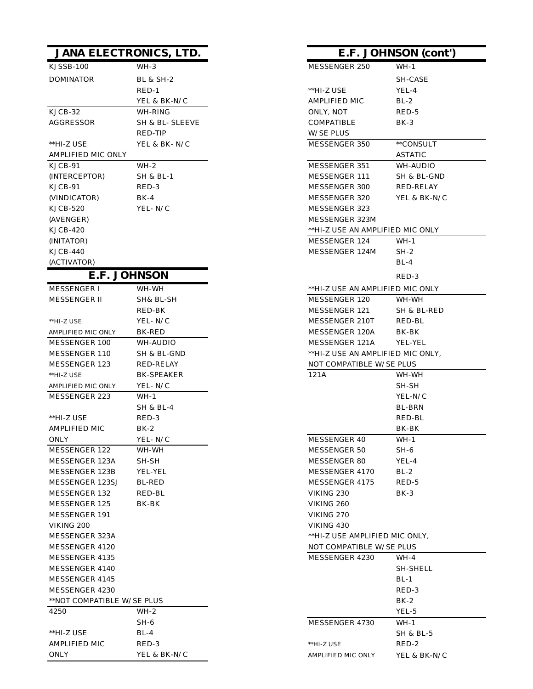|                            | <b>JANA ELECTRONICS, LTD.</b> |                                   | E.F. JOHNSON (cont') |
|----------------------------|-------------------------------|-----------------------------------|----------------------|
| KJSSB-100                  | $WH-3$                        | MESSENGER 250                     | $WH-1$               |
| <b>DOMINATOR</b>           | <b>BL &amp; SH-2</b>          |                                   | SH-CASE              |
|                            | RED-1                         | **HI-Z USE                        | YEL-4                |
|                            | YEL & BK-N/C                  | AMPLIFIED MIC                     | $BL-2$               |
| KJCB-32                    | WH-RING                       | ONLY, NOT                         | RED-5                |
| AGGRESSOR                  | SH & BL- SLEEVE               | COMPATIBLE                        | BK-3                 |
|                            | RED-TIP                       | <b>W/SE PLUS</b>                  |                      |
| **HI-Z USE                 | YEL & BK-N/C                  | MESSENGER 350                     | **CONSULT            |
| AMPLIFIED MIC ONLY         |                               |                                   | <b>ASTATIC</b>       |
| KJCB-91                    | $WH-2$                        | MESSENGER 351                     | WH-AUDIO             |
| (INTERCEPTOR)              | SH & BL-1                     | MESSENGER 111                     | SH & BL-GND          |
| KJCB-91                    | RED-3                         | MESSENGER 300                     | RED-RELAY            |
| (VINDICATOR)               | BK-4                          | MESSENGER 320                     | YEL & BK-N/C         |
| KJCB-520                   | YEL- N/C                      | MESSENGER 323                     |                      |
| (AVENGER)                  |                               | MESSENGER 323M                    |                      |
| KJCB-420                   |                               | **HI-Z USE AN AMPLIFIED MIC ONLY  |                      |
| (INITATOR)                 |                               | MESSENGER 124                     | $WH-1$               |
| KJCB-440                   |                               | MESSENGER 124M                    | $SH-2$               |
| (ACTIVATOR)                |                               |                                   | $BL-4$               |
|                            | E.F. JOHNSON                  |                                   | RED-3                |
| MESSENGER I                | WH-WH                         | **HI-Z USE AN AMPLIFIED MIC ONLY  |                      |
| <b>MESSENGER II</b>        | SH& BL-SH                     | MESSENGER 120                     | WH-WH                |
|                            | RED-BK                        | MESSENGER 121                     | SH & BL-RED          |
| **HI-Z USE                 | YEL-N/C                       | MESSENGER 210T                    | RED-BL               |
| AMPLIFIED MIC ONLY         | BK-RED                        | MESSENGER 120A                    | BK-BK                |
| MESSENGER 100              | WH-AUDIO                      | MESSENGER 121A                    | YEL-YEL              |
| MESSENGER 110              | SH & BL-GND                   | **HI-Z USE AN AMPLIFIED MIC ONLY, |                      |
| MESSENGER 123              | RED-RELAY                     | NOT COMPATIBLE W/SE PLUS          |                      |
| **HI-Z USE                 | <b>BK-SPEAKER</b>             | 121A                              | WH-WH                |
| AMPLIFIED MIC ONLY         | YEL-N/C                       |                                   | SH-SH                |
| MESSENGER 223              | WH-1                          |                                   | YEL-N/C              |
|                            | SH & BL-4                     |                                   | <b>BL-BRN</b>        |
| **HI-Z USE                 | RED-3                         |                                   | RED-BL               |
| AMPLIFIED MIC              | $BK-2$                        |                                   | BK-BK                |
| <b>ONLY</b>                | YEL-N/C                       | MESSENGER 40                      | $WH-1$               |
| MESSENGER 122              | WH-WH                         | MESSENGER 50                      | SH-6                 |
| MESSENGER 123A             | SH-SH                         | MESSENGER 80                      | YEL-4                |
| MESSENGER 123B             | YEL-YEL                       | MESSENGER 4170                    | $BL-2$               |
| MESSENGER 123SJ            | <b>BL-RED</b>                 | MESSENGER 4175                    | RED-5                |
| MESSENGER 132              | RED-BL                        | VIKING 230                        | BK-3                 |
| MESSENGER 125              | BK-BK                         | VIKING 260                        |                      |
| MESSENGER 191              |                               | VIKING 270                        |                      |
| VIKING 200                 |                               | VIKING 430                        |                      |
| MESSENGER 323A             |                               | **HI-Z USE AMPLIFIED MIC ONLY,    |                      |
| MESSENGER 4120             |                               | NOT COMPATIBLE W/SE PLUS          |                      |
| MESSENGER 4135             |                               | MESSENGER 4230                    | WH-4                 |
| MESSENGER 4140             |                               |                                   | SH-SHELL             |
| MESSENGER 4145             |                               |                                   | $BL-1$               |
| MESSENGER 4230             |                               |                                   | RED-3                |
| **NOT COMPATIBLE W/SE PLUS |                               |                                   | $BK-2$               |
| 4250                       | WH-2                          |                                   | YEL-5                |
|                            | SH-6                          | MESSENGER 4730                    | WH-1                 |
| **HI-Z USE                 | BL-4                          |                                   | SH & BL-5            |
| AMPLIFIED MIC              | RED-3                         | $^{\ast\ast}$ HI-Z USE            | RED-2                |

ONLY  $\hbox{VEL & BK-N/C}$ 

| DNICS, LTD.     |                                   | E.F. JOHNSON (cont') |
|-----------------|-----------------------------------|----------------------|
| $WH-3$          | MESSENGER 250                     | $WH-1$               |
| BL & SH-2       |                                   | SH-CASE              |
| RED-1           | **HI-Z USE                        | YEL-4                |
| YEL & BK-N/C    | <b>AMPLIFIED MIC</b>              | $BL-2$               |
| WH-RING         | ONLY, NOT                         | RED-5                |
| SH & BL- SLEEVE | COMPATIBLE                        | BK-3                 |
| RED-TIP         | <b>W/SE PLUS</b>                  |                      |
| YEL & BK- N/C   | MESSENGER 350                     | **CONSULT            |
|                 |                                   | ASTATIC              |
| WH-2            | MESSENGER 351                     | WH-AUDIO             |
| SH & BL-1       | MESSENGER 111                     | SH & BL-GND          |
| RED-3           | MESSENGER 300                     | RED-RELAY            |
| BK-4            | MESSENGER 320                     | YEL & BK-N/C         |
| YEL- N/C        | MESSENGER 323                     |                      |
|                 | MESSENGER 323M                    |                      |
|                 | **HI-Z USE AN AMPLIFIED MIC ONLY  |                      |
|                 | MESSENGER 124                     | WH-1                 |
|                 | MESSENGER 124M                    | $SH-2$               |
|                 |                                   | $BL-4$               |
| NSON            |                                   | RED-3                |
| WH-WH           | **HI-Z USE AN AMPLIFIED MIC ONLY  |                      |
| SH& BL-SH       | MESSENGER 120                     | WH-WH                |
| RED-BK          | MESSENGER 121                     | SH & BL-RED          |
| YEL- N/C        | MESSENGER 210T                    | RED-BL               |
| BK-RED          | MESSENGER 120A                    | BK-BK                |
| WH-AUDIO        | MESSENGER 121A                    | YEL-YEL              |
| SH & BL-GND     | **HI-Z USE AN AMPLIFIED MIC ONLY, |                      |
| RED-RELAY       | NOT COMPATIBLE W/SE PLUS          |                      |
| BK-SPEAKER      | 121A                              | WH-WH                |
| YEL- N/C        |                                   | SH-SH                |
| $WH-1$          |                                   | YEL-N/C              |
| SH & BL-4       |                                   | BL-BRN               |
| RED-3           |                                   | RED-BL               |
| BK-2            |                                   | BK-BK                |
| YEL- N/C        | MESSENGER 40                      | WH-1                 |
| WH-WH           | MESSENGER 50                      | SH-6                 |
| SH-SH           | MESSENGER 80                      | YEL-4                |
| YEL-YEL         | MESSENGER 4170                    | $BL-2$               |
| BL-RED          | MESSENGER 4175                    | RED-5                |
| RED-BL          | VIKING 230                        | BK-3                 |
| BK-BK           | VIKING 260                        |                      |
|                 | VIKING 270                        |                      |
|                 | VIKING 430                        |                      |
|                 | **HI-Z USE AMPLIFIED MIC ONLY.    |                      |
|                 | NOT COMPATIBLE W/SE PLUS          |                      |
|                 | MESSENGER 4230                    | WH-4                 |
|                 |                                   | SH-SHELL             |
|                 |                                   | $BL-1$               |
|                 |                                   | RED-3                |
| E PLUS          |                                   | BK-2                 |
| WH-2            |                                   | YEL-5                |
| SH-6            | MESSENGER 4730                    | WH-1                 |
| BL-4            |                                   | SH & BL-5            |
| RED-3           | **HI-Z USE                        | RED-2                |
| YEL & BK-N/C    | AMPLIFIED MIC ONLY                | YEL & BK-N/C         |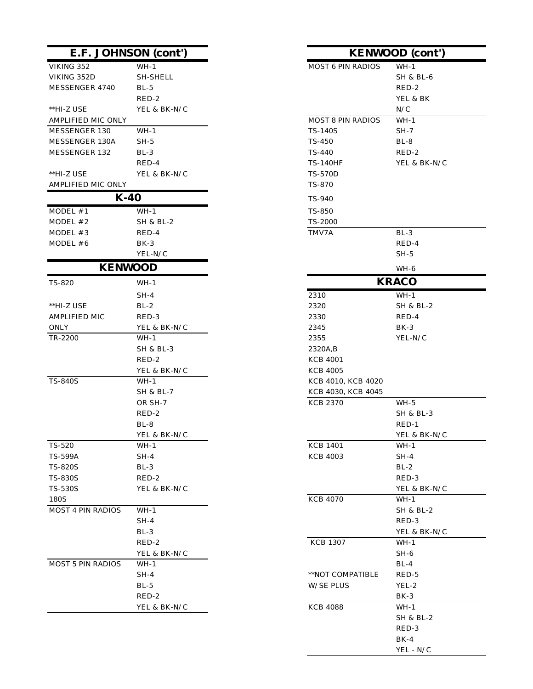|                          | E.F. JOHNSON (cont') |                          | <b>KENWOOD</b> (cont') |
|--------------------------|----------------------|--------------------------|------------------------|
| VIKING 352               | $WH-1$               | <b>MOST 6 PIN RADIOS</b> | $WH-1$                 |
| VIKING 352D              | <b>SH-SHELL</b>      |                          | SH & BL-6              |
| MESSENGER 4740           | $BL-5$               |                          | RED-2                  |
|                          | RED-2                |                          | YEL & BK               |
| **HI-Z USE               | YEL & BK-N/C         |                          | N/C                    |
| AMPLIFIED MIC ONLY       |                      | <b>MOST 8 PIN RADIOS</b> | $WH-1$                 |
| MESSENGER 130            | $WH-1$               | TS-140S                  | SH-7                   |
| MESSENGER 130A           | $SH-5$               | TS-450                   | $BL-8$                 |
| MESSENGER 132            | $BL-3$               | TS-440                   | RED-2                  |
|                          | RED-4                | <b>TS-140HF</b>          | YEL & BK-N/C           |
| **HI-Z USE               | YEL & BK-N/C         | <b>TS-570D</b>           |                        |
| AMPLIFIED MIC ONLY       |                      | TS-870                   |                        |
|                          | $K-40$               | TS-940                   |                        |
| $MODEL$ #1               | $WH-1$               | <b>TS-850</b>            |                        |
| $MODEL$ #2               | SH & BL-2            | TS-2000                  |                        |
| MODEL #3                 | RED-4                | TMV7A                    | $BL-3$                 |
| $MODEL \# 6$             | $BK-3$               |                          | RED-4                  |
|                          | YEL-N/C              |                          | $SH-5$                 |
|                          | <b>KENWOOD</b>       |                          | WH-6                   |
| <b>TS-820</b>            | $WH-1$               |                          | <b>KRACO</b>           |
|                          | $SH-4$               | 2310                     | $WH-1$                 |
| **HI-Z USE               | $BL-2$               | 2320                     | <b>SH &amp; BL-2</b>   |
| AMPLIFIED MIC            | RED-3                | 2330                     | RED-4                  |
| <b>ONLY</b>              | YEL & BK-N/C         | 2345                     | BK-3                   |
| TR-2200                  | $WH-1$               | 2355                     | YEL-N/C                |
|                          | <b>SH &amp; BL-3</b> | 2320A, B                 |                        |
|                          | RED-2                | <b>KCB 4001</b>          |                        |
|                          | YEL & BK-N/C         | <b>KCB 4005</b>          |                        |
| <b>TS-840S</b>           | $WH-1$               | KCB 4010, KCB 4020       |                        |
|                          | <b>SH &amp; BL-7</b> | KCB 4030, KCB 4045       |                        |
|                          | OR SH-7              | <b>KCB 2370</b>          | $WH-5$                 |
|                          | RED-2                |                          | SH & BL-3              |
|                          | $BL-8$               |                          | $RED-1$                |
|                          | YEL & BK-N/C         |                          | YEL & BK-N/C           |
| TS-520                   | $WH-1$               | <b>KCB 1401</b>          | $WH-1$                 |
| <b>TS-599A</b>           | $SH-4$               | <b>KCB 4003</b>          | $SH-4$                 |
| <b>TS-820S</b>           | $BL-3$               |                          | $BL-2$                 |
| <b>TS-830S</b>           | RED-2                |                          | RED-3                  |
| <b>TS-530S</b>           | YEL & BK-N/C         |                          | YEL & BK-N/C           |
| 180S                     |                      | <b>KCB 4070</b>          | $WH-1$                 |
| <b>MOST 4 PIN RADIOS</b> | $WH-1$               |                          | SH & BL-2              |
|                          | $SH-4$               |                          | RED-3                  |
|                          | $BL-3$               |                          | YEL & BK-N/C           |
|                          | RED-2                | <b>KCB 1307</b>          | $WH-1$                 |
|                          | YEL & BK-N/C         |                          | SH-6                   |
| MOST 5 PIN RADIOS        | $WH-1$               |                          | $BL-4$                 |
|                          | $SH-4$               | **NOT COMPATIBLE         | RED-5                  |
|                          | $BL-5$               | <b>W/SE PLUS</b>         | YEL-2                  |
|                          | RED-2                |                          | BK-3                   |
|                          | YEL & BK-N/C         | <b>KCB 4088</b>          | WH-1                   |
|                          |                      |                          | <b>SH &amp; BL-2</b>   |

| <b>DN</b> (cont')      |                          | <b>KENWOOD</b> (cont') |
|------------------------|--------------------------|------------------------|
| WH-1                   | MOST 6 PIN RADIOS        | $WH-1$                 |
| SH-SHELL               |                          | <b>SH &amp; BL-6</b>   |
| BL-5                   |                          | RED-2                  |
| RED-2                  |                          | YEL & BK               |
| YEL & BK-N/C           |                          | N/C                    |
|                        | <b>MOST 8 PIN RADIOS</b> | $WH-1$                 |
| $WH-1$                 | TS-140S                  | $SH-7$                 |
| $SH-5$                 | TS-450                   | BL-8                   |
| BL-3                   | TS-440                   | RED-2                  |
| RED-4                  | <b>TS-140HF</b>          | YEL & BK-N/C           |
| YEL & BK-N/C           | <b>TS-570D</b>           |                        |
|                        | TS-870                   |                        |
| J                      | TS-940                   |                        |
| WH-1                   | <b>TS-850</b>            |                        |
| SH & BL-2              | TS-2000                  |                        |
| RED-4                  | TMV7A                    | $BL-3$                 |
| BK-3                   |                          | RED-4                  |
| YEL-N/C                |                          | $SH-5$                 |
| )OD                    |                          | WH-6                   |
|                        |                          | <b>KRACO</b>           |
| WH-1                   |                          |                        |
| $SH-4$                 | 2310                     | $WH-1$                 |
| $BL-2$                 | 2320                     | <b>SH &amp; BL-2</b>   |
| RED-3                  | 2330                     | RED-4                  |
| YEL & BK-N/C<br>$WH-1$ | 2345<br>2355             | $BK-3$<br>YEL-N/C      |
| SH & BL-3              | 2320A, B                 |                        |
| RED-2                  | <b>KCB 4001</b>          |                        |
| YEL & BK-N/C           | <b>KCB 4005</b>          |                        |
| WH-1                   | KCB 4010, KCB 4020       |                        |
| SH & BL-7              | KCB 4030, KCB 4045       |                        |
| OR SH-7                | <b>KCB 2370</b>          | $WH-5$                 |
| RED-2                  |                          | SH & BL-3              |
| BL-8                   |                          | $RED-1$                |
| YEL & BK-N/C           |                          | YEL & BK-N/C           |
| WH-1                   | <b>KCB 1401</b>          | $WH-1$                 |
| SH-4                   | <b>KCB 4003</b>          | $SH-4$                 |
| BL-3                   |                          | $BL-2$                 |
| RED-2                  |                          | RED-3                  |
| YEL & BK-N/C           |                          | YEL & BK-N/C           |
|                        | <b>KCB 4070</b>          | $WH-1$                 |
| $WH-1$                 |                          | SH & BL-2              |
| SH-4                   |                          | RED-3                  |
| BL-3                   |                          | YEL & BK-N/C           |
| RED-2                  | <b>KCB 1307</b>          | WH-1                   |
| YEL & BK-N/C           |                          | $SH-6$                 |
| WH-1                   |                          | $BL-4$                 |
| SH-4                   | **NOT COMPATIBLE         | RED-5                  |
| $BL-5$                 | <b>W/SE PLUS</b>         | YEL-2                  |
| RED-2                  |                          | BK-3                   |
| YEL & BK-N/C           | <b>KCB 4088</b>          | WH-1                   |
|                        |                          | SH & BL-2              |
|                        |                          | RED-3                  |
|                        |                          | $BK-4$                 |
|                        |                          | YEL - N/C              |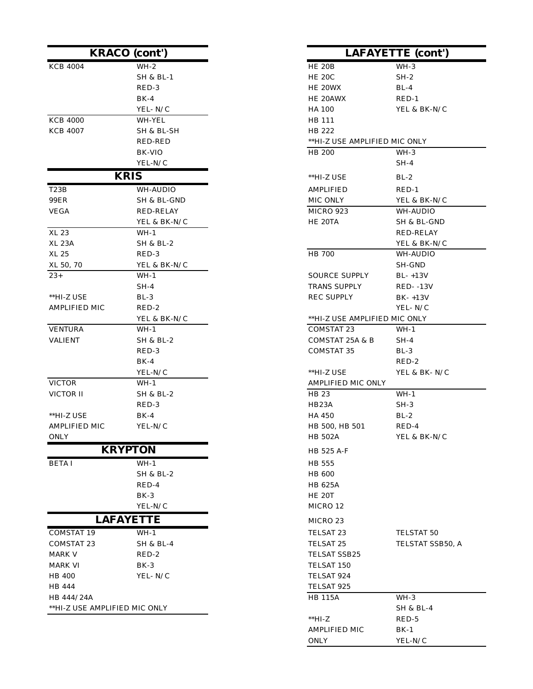|                               | <b>KRACO</b> (cont') |                               | <b>LAFAYETTE</b> (cont') |
|-------------------------------|----------------------|-------------------------------|--------------------------|
| <b>KCB 4004</b>               | $WH-2$               | <b>HE 20B</b>                 | $WH-3$                   |
|                               | SH & BL-1            | <b>HE 20C</b>                 | $SH-2$                   |
|                               | RED-3                | HE 20WX                       | $BL-4$                   |
|                               | $BK-4$               | HE 20AWX                      | $RED-1$                  |
|                               | YEL-N/C              | HA 100                        | YEL & BK-N/C             |
| <b>KCB 4000</b>               | WH-YEL               | HB 111                        |                          |
| <b>KCB 4007</b>               | SH & BL-SH           | HB 222                        |                          |
|                               | RED-RED              | **HI-Z USE AMPLIFIED MIC ONLY |                          |
|                               | BK-VIO               | HB 200                        | WH-3                     |
|                               | YEL-N/C              |                               | SH-4                     |
|                               | <b>KRIS</b>          | **HI-Z USE                    | $BL-2$                   |
| T <sub>23</sub> B             | WH-AUDIO             | AMPLIFIED                     | RED-1                    |
| <b>99ER</b>                   | SH & BL-GND          | MIC ONLY                      | YEL & BK-N/C             |
| <b>VEGA</b>                   | RED-RELAY            | MICRO 923                     | WH-AUDIO                 |
|                               | YEL & BK-N/C         | HE 20TA                       | SH & BL-GND              |
| XL 23                         | WH-1                 |                               | RED-RELAY                |
| XL 23A                        | SH & BL-2            |                               | YEL & BK-N/C             |
| XL 25                         | RED-3                | HB 700                        | WH-AUDIO                 |
| XL 50, 70                     | YEL & BK-N/C         |                               | SH-GND                   |
| $23+$                         | $WH-1$               | <b>SOURCE SUPPLY</b>          | $BL-+13V$                |
|                               | $SH-4$               | <b>TRANS SUPPLY</b>           | <b>RED- -13V</b>         |
| **HI-Z USE                    | $BL-3$               | <b>REC SUPPLY</b>             | $BK-+13V$                |
| AMPLIFIED MIC                 | RED-2                |                               | YEL-N/C                  |
|                               | YEL & BK-N/C         | **HI-Z USE AMPLIFIED MIC ONLY |                          |
| <b>VENTURA</b>                | WH-1                 | COMSTAT 23                    | WH-1                     |
| <b>VALIENT</b>                | SH & BL-2            | COMSTAT 25A & B               | SH-4                     |
|                               | RED-3                | <b>COMSTAT 35</b>             | $BL-3$                   |
|                               | $BK-4$               |                               | RED-2                    |
|                               | YEL-N/C              | **HI-Z USE                    | YEL & BK-N/C             |
| <b>VICTOR</b>                 | WH-1                 | AMPLIFIED MIC ONLY            |                          |
| VICTOR II                     | SH & BL-2            | HB 23                         | $WH-1$                   |
|                               | RED-3                | HB <sub>23</sub> A            | $SH-3$                   |
| **HI-Z USE                    | $BK-4$               | HA 450                        | $BL-2$                   |
| <b>AMPLIFIED MIC</b>          | YEL-N/C              | HB 500, HB 501                | RED-4                    |
| ONLY                          |                      | <b>HB 502A</b>                | YEL & BK-N/C             |
|                               | <b>KRYPTON</b>       | HB 525 A-F                    |                          |
| <b>BETAI</b>                  | $WH-1$               | HB 555                        |                          |
|                               | <b>SH &amp; BL-2</b> | <b>HB 600</b>                 |                          |
|                               | RED-4                | HB 625A                       |                          |
|                               | $BK-3$               | <b>HE 20T</b>                 |                          |
|                               | YEL-N/C              | MICRO 12                      |                          |
|                               | <b>LAFAYETTE</b>     | MICRO 23                      |                          |
| <b>COMSTAT 19</b>             | $WH-1$               | TELSAT 23                     | TELSTAT 50               |
| <b>COMSTAT 23</b>             | <b>SH &amp; BL-4</b> | TELSAT 25                     | TELSTAT SSB50, A         |
| <b>MARK V</b>                 | RED-2                | TELSAT SSB25                  |                          |
| <b>MARK VI</b>                | $BK-3$               | TELSAT 150                    |                          |
| HB 400                        | YEL-N/C              | TELSAT 924                    |                          |
| HB 444                        |                      | TELSAT 925                    |                          |
| HB 444/24A                    |                      | <b>HB 115A</b>                | WH-3                     |
| **HI-Z USE AMPLIFIED MIC ONLY |                      |                               | SH & BL-4                |
|                               |                      | $**HI-Z$                      | RED-5                    |

|     | KRACO (cont')        | LAFAYETTE (cont')             |                      |
|-----|----------------------|-------------------------------|----------------------|
|     | $WH-2$               | <b>HE 20B</b>                 | $WH-3$               |
|     | <b>SH &amp; BL-1</b> | <b>HE 20C</b>                 | $SH-2$               |
|     | RED-3                | HE 20WX                       | $BL-4$               |
|     | $BK-4$               | HE 20AWX                      | $RED-1$              |
|     | YEL-N/C              | HA 100                        | YEL & BK-N/C         |
|     | WH-YEL               | HB 111                        |                      |
|     | SH & BL-SH           | HB 222                        |                      |
|     | RED-RED              | **HI-Z USE AMPLIFIED MIC ONLY |                      |
|     | BK-VIO               | HB 200                        | $WH-3$               |
|     | YEL-N/C              |                               | $SH-4$               |
|     | <b>KRIS</b>          | **HI-Z USE                    | $BL-2$               |
|     | WH-AUDIO             | <b>AMPLIFIED</b>              | $RED-1$              |
|     | SH & BL-GND          | MIC ONLY                      | YEL & BK-N/C         |
|     | RED-RELAY            | MICRO 923                     | WH-AUDIO             |
|     | YEL & BK-N/C         | HE 20TA                       | SH & BL-GND          |
|     | $WH-1$               |                               | RED-RELAY            |
|     | SH & BL-2            |                               | YEL & BK-N/C         |
|     | RED-3                | HB 700                        | WH-AUDIO             |
|     | YEL & BK-N/C         |                               | SH-GND               |
|     | $WH-1$               | <b>SOURCE SUPPLY</b>          | $BL-+13V$            |
|     | $SH-4$               | <b>TRANS SUPPLY</b>           | <b>RED- -13V</b>     |
|     | $BL-3$               | <b>REC SUPPLY</b>             | $BK - +13V$          |
| MIC | RED-2                |                               | YEL-N/C              |
|     | YEL & BK-N/C         | **HI-Z USE AMPLIFIED MIC ONLY |                      |
|     | $WH-1$               | COMSTAT 23                    | $WH-1$               |
|     | SH & BL-2            | COMSTAT 25A & B               | $SH-4$               |
|     | RED-3                | <b>COMSTAT 35</b>             | $BL-3$               |
|     | $BK-4$               |                               | RED-2                |
|     | YEL-N/C              | **HI-Z USE                    | YEL & BK-N/C         |
|     | $WH-1$               | AMPLIFIED MIC ONLY            |                      |
|     | <b>SH &amp; BL-2</b> | HB 23                         | $WH-1$               |
|     | RED-3                | HB23A                         | $SH-3$               |
|     | $BK-4$               | HA 450                        | $BL-2$               |
| МIС | YEL-N/C              | HB 500, HB 501                | RED-4                |
|     |                      | HB 502A                       | YEL & BK-N/C         |
|     | <b>KRYPTON</b>       | HB 525 A-F                    |                      |
|     | $WH-1$               | HB 555                        |                      |
|     | SH & BL-2            | HB 600                        |                      |
|     | RED-4                | HB 625A                       |                      |
|     | BK-3                 | <b>HE 20T</b>                 |                      |
|     | YEL-N/C              | MICRO 12                      |                      |
|     | <b>LAFAYETTE</b>     | MICRO 23                      |                      |
| 9   | $WH-1$               | TELSAT <sub>23</sub>          | TELSTAT 50           |
| :3  | <b>SH &amp; BL-4</b> | TELSAT <sub>25</sub>          | TELSTAT SSB50, A     |
|     | RED-2                | TELSAT SSB25                  |                      |
|     | $BK-3$               | TELSAT 150                    |                      |
|     | YEL-N/C              | TELSAT 924                    |                      |
|     |                      | TELSAT 925                    |                      |
|     |                      | <b>HB 115A</b>                | WH-3                 |
|     | AMPLIFIED MIC ONLY   |                               | <b>SH &amp; BL-4</b> |
|     |                      | $**HI-Z$                      | RED-5                |
|     |                      | AMPLIFIED MIC                 | $BK-1$               |
|     |                      | <b>ONLY</b>                   | YEL-N/C              |
|     |                      |                               |                      |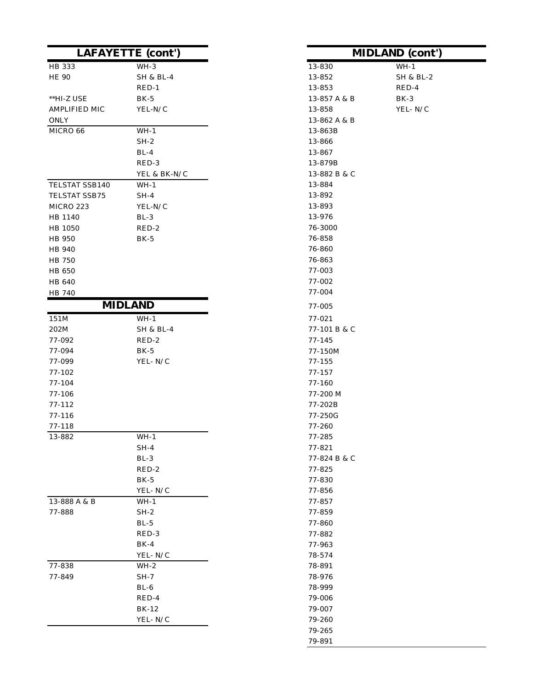|                | <b>LAFAYETTE</b> (cont') |              | <b>MIDLAND</b> (cont |
|----------------|--------------------------|--------------|----------------------|
| HB 333         | $WH-3$                   | 13-830       | $WH-1$               |
| <b>HE 90</b>   | <b>SH &amp; BL-4</b>     | 13-852       | <b>SH &amp; BL-2</b> |
|                | $RED-1$                  | 13-853       | RED-4                |
| **HI-Z USE     | $BK-5$                   | 13-857 A & B | BK-3                 |
| AMPLIFIED MIC  | YEL-N/C                  | 13-858       | YEL-N/C              |
| ONLY           |                          | 13-862 A & B |                      |
| MICRO 66       | $WH-1$                   | 13-863B      |                      |
|                | $SH-2$                   | 13-866       |                      |
|                | $BL-4$                   | 13-867       |                      |
|                | RED-3                    | 13-879B      |                      |
|                | YEL & BK-N/C             | 13-882 B & C |                      |
| TELSTAT SSB140 | $WH-1$                   | 13-884       |                      |
| TELSTAT SSB75  | $SH-4$                   | 13-892       |                      |
| MICRO 223      | YEL-N/C                  | 13-893       |                      |
| HB 1140        | $BL-3$                   | 13-976       |                      |
| HB 1050        | RED-2                    | 76-3000      |                      |
| HB 950         | $BK-5$                   | 76-858       |                      |
| HB 940         |                          | 76-860       |                      |
| <b>HB 750</b>  |                          | 76-863       |                      |
| HB 650         |                          | 77-003       |                      |
| HB 640         |                          | 77-002       |                      |
| HB 740         |                          | 77-004       |                      |
|                | <b>MIDLAND</b>           | 77-005       |                      |
| 151M           | $WH-1$                   | 77-021       |                      |
| 202M           | <b>SH &amp; BL-4</b>     | 77-101 B & C |                      |
| 77-092         | RED-2                    | $77 - 145$   |                      |
| 77-094         | $BK-5$                   | 77-150M      |                      |
| 77-099         | YEL-N/C                  | 77-155       |                      |
| 77-102         |                          | 77-157       |                      |
| 77-104         |                          | 77-160       |                      |
| 77-106         |                          | 77-200 M     |                      |
| $77 - 112$     |                          | 77-202B      |                      |
| 77-116         |                          | 77-250G      |                      |
| 77-118         |                          | 77-260       |                      |
| 13-882         | $WH-1$                   | 77-285       |                      |
|                | $SH-4$                   | 77-821       |                      |
|                | $BL-3$                   | 77-824 B & C |                      |
|                | RED-2                    | 77-825       |                      |
|                | $BK-5$                   | 77-830       |                      |
|                | YEL-N/C                  | 77-856       |                      |
| 13-888 A & B   | $WH-1$                   | 77-857       |                      |
| 77-888         | $SH-2$                   | 77-859       |                      |
|                | $BL-5$                   | 77-860       |                      |
|                | RED-3                    | 77-882       |                      |
|                | $BK-4$                   | 77-963       |                      |
|                | YEL-N/C                  | 78-574       |                      |
| 77-838         | $WH-2$                   | 78-891       |                      |
| 77-849         | $SH-7$                   | 78-976       |                      |
|                | $BL-6$                   | 78-999       |                      |
|                | RED-4                    | 79-006       |                      |
|                | BK-12                    | 79-007       |                      |
|                | YEL- ${\rm N}/{\rm C}$   | 79-260       |                      |
|                |                          | 79-265       |                      |

| E (cont')            | <b>MIDLAND</b> (cont') |           |  |
|----------------------|------------------------|-----------|--|
| WH-3                 | 13-830                 | $WH-1$    |  |
| <b>SH &amp; BL-4</b> | 13-852                 | SH & BL-2 |  |
| RED-1                | 13-853                 | RED-4     |  |
| BK-5                 | 13-857 A & B           | BK-3      |  |
| YEL-N/C              | 13-858                 | YEL-N/C   |  |
|                      | 13-862 A & B           |           |  |
| $WH-1$               | 13-863B                |           |  |
| SH-2                 | 13-866                 |           |  |
| $BL-4$               | 13-867                 |           |  |
| RED-3                | 13-879B                |           |  |
| YEL & BK-N/C         | 13-882 B & C           |           |  |
| WH-1                 | 13-884                 |           |  |
| $SH-4$               | 13-892                 |           |  |
| YEL-N/C              | 13-893                 |           |  |
| BL-3                 | 13-976                 |           |  |
| RED-2                | 76-3000                |           |  |
| <b>BK-5</b>          | 76-858                 |           |  |
|                      | 76-860                 |           |  |
|                      | 76-863                 |           |  |
|                      | 77-003                 |           |  |
|                      | 77-002                 |           |  |
|                      | 77-004                 |           |  |
| ND                   | 77-005                 |           |  |
| WH-1                 | 77-021                 |           |  |
| SH & BL-4            | 77-101 B & C           |           |  |
| RED-2                | $77 - 145$             |           |  |
| BK-5                 | 77-150M                |           |  |
| YEL-N/C              | $77 - 155$             |           |  |
|                      | 77-157                 |           |  |
|                      | 77-160                 |           |  |
|                      | 77-200 M               |           |  |
|                      | 77-202B                |           |  |
|                      | 77-250G                |           |  |
|                      | 77-260                 |           |  |
| WH-1                 | 77-285                 |           |  |
| SH-4                 | 77-821                 |           |  |
| $BL-3$               | 77-824 B & C           |           |  |
| RED-2                | 77-825                 |           |  |
| BK-5                 | 77-830                 |           |  |
| YEL- N/C<br>$WH-1$   | 77-856                 |           |  |
| SH-2                 | 77-857<br>77-859       |           |  |
| $BL-5$               | 77-860                 |           |  |
| RED-3                | 77-882                 |           |  |
| BK-4                 | 77-963                 |           |  |
| YEL-N/C              | 78-574                 |           |  |
| WH-2                 | 78-891                 |           |  |
| SH-7                 | 78-976                 |           |  |
| $BL-6$               | 78-999                 |           |  |
| RED-4                | 79-006                 |           |  |
| BK-12                | 79-007                 |           |  |
| YEL-N/C              | 79-260                 |           |  |
|                      | 79-265                 |           |  |
|                      | 79-891                 |           |  |
|                      |                        |           |  |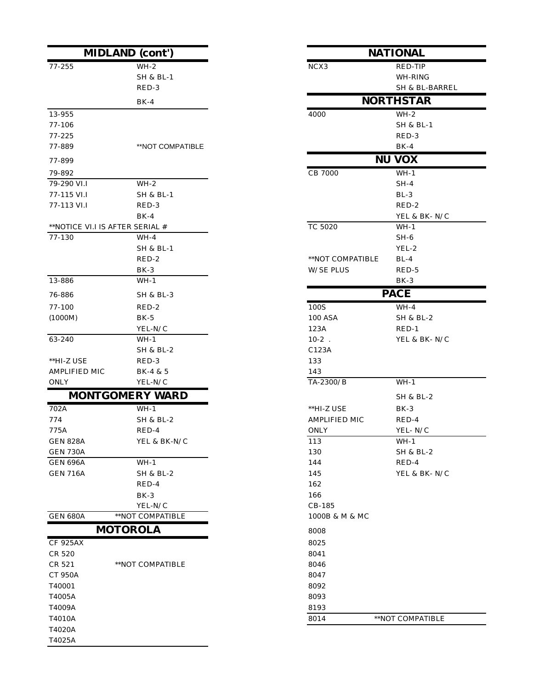| <b>MIDLAND</b> (cont')             |                        |                  | <b>NATIONAL</b>      |
|------------------------------------|------------------------|------------------|----------------------|
| 77-255                             | $WH-2$                 | NCX3             | RED-TIP              |
|                                    | <b>SH &amp; BL-1</b>   |                  | WH-RING              |
|                                    | RED-3                  |                  | SH & BL-BARR         |
|                                    | $BK-4$                 |                  | <b>NORTHSTAR</b>     |
| 13-955                             |                        | 4000             | $WH-2$               |
| 77-106                             |                        |                  | SH & BL-1            |
| 77-225                             |                        |                  | RED-3                |
| 77-889                             | **NOT COMPATIBLE       |                  | $BK-4$               |
| 77-899                             |                        |                  | <b>NU VOX</b>        |
| 79-892                             |                        | CB 7000          | $WH-1$               |
| 79-290 VI.I                        | $WH-2$                 |                  | $SH-4$               |
| 77-115 VI.I                        | <b>SH &amp; BL-1</b>   |                  | $BL-3$               |
| 77-113 VI.I                        | RED-3                  |                  | RED-2                |
|                                    | $BK-4$                 |                  | YEL & BK-N/C         |
| **NOTICE VI.I IS AFTER SERIAL #    |                        | TC 5020          | $WH-1$               |
| 77-130                             | $WH-4$                 |                  | $SH-6$               |
|                                    | <b>SH &amp; BL-1</b>   |                  | YEL-2                |
|                                    | RED-2                  | **NOT COMPATIBLE | $BL-4$               |
|                                    | $BK-3$                 | <b>W/SE PLUS</b> | RED-5                |
| 13-886                             | $WH-1$                 |                  | BK-3                 |
| 76-886                             | <b>SH &amp; BL-3</b>   |                  | <b>PACE</b>          |
| $77 - 100$                         | RED-2                  | 100S             | $WH-4$               |
| (1000M)                            | $BK-5$                 | <b>100 ASA</b>   | <b>SH &amp; BL-2</b> |
|                                    | YEL-N/C                | 123A             | $RED-1$              |
| 63-240                             | $WH-1$                 | $10-2$ .         | YEL & BK-N/C         |
|                                    | SH & BL-2              | C123A            |                      |
| **HI-Z USE                         | RED-3                  | 133              |                      |
| AMPLIFIED MIC                      | BK-4 & 5               | 143              |                      |
| ONLY                               | YEL-N/C                | TA-2300/B        | $WH-1$               |
|                                    | <b>MONTGOMERY WARD</b> |                  | <b>SH &amp; BL-2</b> |
| 702A                               | $WH-1$                 | **HI-Z USE       | $BK-3$               |
| 774                                | SH & BL-2              | AMPLIFIED MIC    | RED-4                |
| 775A                               | RED-4                  | ONLY             | YEL-N/C              |
| <b>GEN 828A</b>                    | YEL & BK-N/C           | 113              | $WH-1$               |
| <b>GEN 730A</b><br><b>GEN 696A</b> | $WH-1$                 | 130<br>144       | SH & BL-2<br>RED-4   |
| <b>GEN 716A</b>                    | SH & BL-2              | 145              | YEL & BK-N/C         |
|                                    | RED-4                  | 162              |                      |
|                                    | $BK-3$                 | 166              |                      |
|                                    | YEL-N/C                | CB-185           |                      |
| <b>GEN 680A</b>                    | **NOT COMPATIBLE       | 1000B & M & MC   |                      |
|                                    | <b>MOTOROLA</b>        |                  |                      |
| <b>CF 925AX</b>                    |                        | 8008<br>8025     |                      |
| CR 520                             |                        | 8041             |                      |
| CR 521                             | **NOT COMPATIBLE       | 8046             |                      |
| <b>CT 950A</b>                     |                        | 8047             |                      |
| T40001                             |                        | 8092             |                      |
| T4005A                             |                        | 8093             |                      |
| T4009A                             |                        | 8193             |                      |
| T4010A                             |                        | 8014             | **NOT COMPATIBLE     |
| T4020A                             |                        |                  |                      |
| T4025A                             |                        |                  |                      |

| (cont')              | <b>NATIONAL</b>  |                      |
|----------------------|------------------|----------------------|
| WH-2                 | NCX <sub>3</sub> | RED-TIP              |
| SH & BL-1            |                  | WH-RING              |
| RED-3                |                  | SH & BL-BARREL       |
| BK-4                 |                  | <b>NORTHSTAR</b>     |
|                      | 4000             | $WH-2$               |
|                      |                  | SH & BL-1            |
|                      |                  | RED-3                |
| **NOT COMPATIBLE     |                  | $BK-4$               |
|                      |                  | <b>NU VOX</b>        |
|                      | CB 7000          | $WH-1$               |
| $WH-2$               |                  | $SH-4$               |
| SH & BL-1            |                  | $BL-3$               |
| RED-3                |                  | RED-2                |
| BK-4                 |                  | YEL & BK-N/C         |
| ERIAL #              | <b>TC 5020</b>   | $WH-1$               |
| WH-4                 |                  | SH-6                 |
| SH & BL-1            |                  | YEL-2                |
| RED-2                | **NOT COMPATIBLE | $BL-4$               |
| BK-3                 | <b>W/SE PLUS</b> | RED-5                |
| $WH-1$               |                  | $BK-3$               |
| SH & BL-3            |                  | <b>PACE</b>          |
| RED-2                | 100S             | WH-4                 |
| BK-5                 | 100 ASA          | SH & BL-2            |
| YEL-N/C              | 123A             | $RED-1$              |
| $WH-1$               | $10-2$ .         | YEL & BK-N/C         |
| SH & BL-2            | C123A            |                      |
| RED-3                | 133              |                      |
| BK-4 & 5             | 143              |                      |
| YEL-N/C              | TA-2300/B        | $WH-1$               |
| RY WARD              |                  | SH & BL-2            |
| WH-1                 | **HI-Z USE       | BK-3                 |
| SH & BL-2            | AMPLIFIED MIC    | RED-4                |
| RED-4                | <b>ONLY</b>      | YEL-N/C              |
| YEL & BK-N/C         | 113              | $WH-1$               |
|                      | 130              | <b>SH &amp; BL-2</b> |
| WH-1                 | 144              | RED-4                |
| <b>SH &amp; BL-2</b> | 145              | YEL & BK-N/C         |
| RED-4                | 162              |                      |
| BK-3                 | 166              |                      |
| YEL-N/C              | CB-185           |                      |
| COMPATIBLE           | 1000B & M & MC   |                      |
| OLA                  | 8008             |                      |
|                      | 8025             |                      |
|                      | 8041             |                      |
| COMPATIBLE           | 8046             |                      |
|                      | 8047             |                      |
|                      | 8092             |                      |
|                      | 8093             |                      |
|                      | 8193             |                      |
|                      | 8014             | **NOT COMPATIBLE     |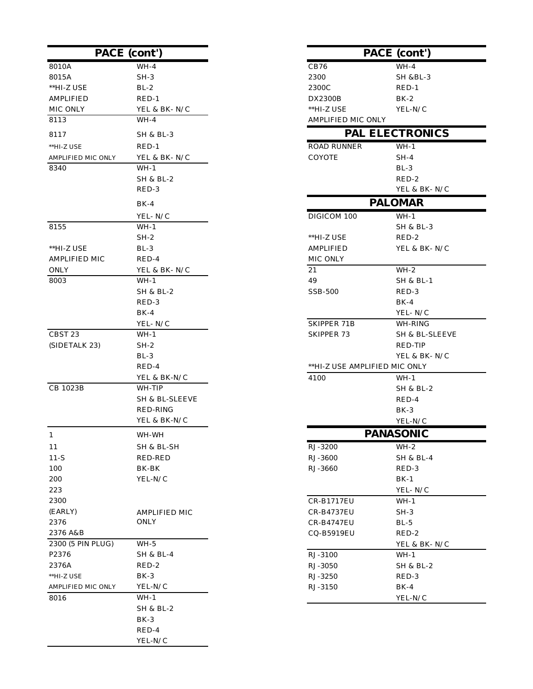|                            | PACE (cont')                        |                               | PACE (cont')           |
|----------------------------|-------------------------------------|-------------------------------|------------------------|
| 8010A                      | $WH-4$                              | CB76                          | $WH-4$                 |
| 8015A                      | $SH-3$                              | 2300                          | <b>SH &amp;BL-3</b>    |
| **HI-Z USE                 | $BL-2$                              | 2300C                         | $RED-1$                |
| <b>AMPLIFIED</b>           | $RED-1$                             | DX2300B                       | $BK-2$                 |
| MIC ONLY                   | YEL & BK-N/C                        | **HI-Z USE                    | YEL-N/C                |
| 8113                       | $WH-4$                              | AMPLIFIED MIC ONLY            |                        |
| 8117                       | <b>SH &amp; BL-3</b>                |                               | <b>PAL ELECTRONICS</b> |
| **HI-Z USE                 | $RED-1$                             | <b>ROAD RUNNER</b>            | $WH-1$                 |
| AMPLIFIED MIC ONLY         | YEL & BK-N/C                        | COYOTE                        | $SH-4$                 |
| 8340                       | $WH-1$                              |                               | $BL-3$                 |
|                            | SH & BL-2                           |                               | RED-2                  |
|                            | RED-3                               |                               | YEL & BK-N/C           |
|                            | $BK-4$                              |                               | <b>PALOMAR</b>         |
|                            | YEL-N/C                             | DIGICOM 100                   | $WH-1$                 |
| 8155                       | $WH-1$                              |                               | <b>SH &amp; BL-3</b>   |
|                            | $SH-2$                              | **HI-Z USE                    | RED-2                  |
| **HI-Z USE                 | $BL-3$                              | <b>AMPLIFIED</b>              | YEL & BK-N/C           |
| <b>AMPLIFIED MIC</b>       | RED-4                               | MIC ONLY                      |                        |
| ONLY                       | YEL & BK-N/C                        | 21                            | $WH-2$                 |
| 8003                       | $WH-1$                              | 49                            | <b>SH &amp; BL-1</b>   |
|                            | SH & BL-2                           | SSB-500                       | RED-3                  |
|                            | RED-3                               |                               | $BK-4$                 |
|                            | $BK-4$                              |                               | YEL-N/C                |
|                            | YEL-N/C                             | SKIPPER 71B                   | WH-RING                |
| CBST 23                    | $WH-1$                              | <b>SKIPPER 73</b>             | SH & BL-SLEEVE         |
| (SIDETALK 23)              | $SH-2$                              |                               | RED-TIP                |
|                            | $BL-3$                              |                               | YEL & BK-N/C           |
|                            | RED-4                               | **HI-Z USE AMPLIFIED MIC ONLY |                        |
|                            | YEL & BK-N/C                        | 4100                          | WH-1                   |
| CB 1023B                   | WH-TIP                              |                               | SH & BL-2              |
|                            | SH & BL-SLEEVE                      |                               | RED-4                  |
|                            | RED-RING                            |                               | $BK-3$                 |
|                            | YEL & BK-N/C                        |                               | YEL-N/C                |
| 1                          | WH-WH                               |                               | <b>PANASONIC</b>       |
| 11                         | SH & BL-SH                          | RJ-3200                       | $WH-2$                 |
| $11-S$                     | RED-RED                             | RJ-3600                       | SH & BL-4              |
| 100                        | BK-BK                               | RJ-3660                       | RED-3                  |
| 200                        | YEL-N/C                             |                               | $BK-1$                 |
| 223                        |                                     |                               | YEL-N/C                |
| 2300                       |                                     | CR-B1717EU                    | $WH-1$                 |
| (EARLY)                    | AMPLIFIED MIC                       | <b>CR-B4737EU</b>             | $SH-3$                 |
| 2376                       | ONLY                                | <b>CR-B4747EU</b>             | $BL-5$                 |
| 2376 A&B                   |                                     | CQ-B5919EU                    | RED-2                  |
| 2300 (5 PIN PLUG)          | $WH-5$                              |                               | YEL & BK-N/C           |
| P2376                      | <b>SH &amp; BL-4</b>                | RJ-3100                       | $WH-1$                 |
| 2376A                      | RED-2                               | RJ-3050                       | <b>SH &amp; BL-2</b>   |
| **HI-Z USE                 | $BK-3$                              | RJ-3250                       | RED-3                  |
| AMPLIFIED MIC ONLY<br>8016 | YEL-N/C<br>$WH-1$                   | RJ-3150                       | $BK-4$<br>YEL-N/C      |
|                            | <b>SH &amp; BL-2</b>                |                               |                        |
|                            | BK-3                                |                               |                        |
|                            | RED-4                               |                               |                        |
|                            | ${\it YEL}\mbox{-} {\rm N}/{\rm C}$ |                               |                        |

|        | <b>PACE</b> (cont')  |                               | <b>PACE</b> (cont')    |
|--------|----------------------|-------------------------------|------------------------|
|        | $WH-4$               | CB76                          | $WH-4$                 |
|        | $SH-3$               | 2300                          | <b>SH &amp;BL-3</b>    |
|        | $BL-2$               | 2300C                         | $RED-1$                |
|        | $RED-1$              | DX2300B                       | $BK-2$                 |
|        | YEL & BK-N/C         | **HI-Z USE                    | YEL-N/C                |
|        | $WH-4$               | AMPLIFIED MIC ONLY            |                        |
|        | <b>SH &amp; BL-3</b> |                               | <b>PAL ELECTRONICS</b> |
|        | $RED-1$              | <b>ROAD RUNNER</b>            | $WH-1$                 |
| C ONLY | YEL & BK-N/C         | COYOTE                        | $SH-4$                 |
|        | $WH-1$               |                               | $BL-3$                 |
|        | SH & BL-2            |                               | RED-2                  |
|        | RED-3                |                               | YEL & BK-N/C           |
|        | $BK-4$               |                               | <b>PALOMAR</b>         |
|        | YEL-N/C              | DIGICOM 100                   | $WH-1$                 |
|        | WH-1                 |                               | SH & BL-3              |
|        | $SH-2$               | **HI-Z USE                    | RED-2                  |
|        | BL-3                 | <b>AMPLIFIED</b>              | YEL & BK- N/C          |
| ⁄ІС    | RED-4                | MIC ONLY                      |                        |
|        | YEL & BK-N/C         | 21                            | $WH-2$                 |
|        | $WH-1$               | 49                            | <b>SH &amp; BL-1</b>   |
|        | SH & BL-2            | <b>SSB-500</b>                | RED-3                  |
|        | RED-3                |                               | $BK-4$                 |
|        | $BK-4$               |                               | YEL-N/C                |
|        | YEL-N/C              | SKIPPER 71B                   | WH-RING                |
|        | $WH-1$               | SKIPPER 73                    | SH & BL-SLEEVE         |
| 3)     | $SH-2$               |                               | RED-TIP                |
|        | $BL-3$               |                               | YEL & BK-N/C           |
|        | RED-4                | **HI-Z USE AMPLIFIED MIC ONLY |                        |
|        | YEL & BK-N/C         | 4100                          | WH-1                   |
|        | WH-TIP               |                               | SH & BL-2              |
|        | SH & BL-SLEEVE       |                               | RED-4                  |
|        | RED-RING             |                               | BK-3                   |
|        | YEL & BK-N/C         |                               | YEL-N/C                |
|        | WH-WH                |                               | <b>PANASONIC</b>       |
|        | SH & BL-SH           | RJ-3200                       | $WH-2$                 |
|        | RED-RED              | RJ-3600                       | SH & BL-4              |
|        | BK-BK                | RJ-3660                       | RED-3                  |
|        | YEL-N/C              |                               | $BK-1$                 |
|        |                      |                               | YEL-N/C                |
|        |                      | CR-B1717EU                    | $WH-1$                 |
|        | AMPLIFIED MIC        | CR-B4737EU                    | $SH-3$                 |
|        | ONLY                 | CR-B4747EU                    | $BL-5$                 |
|        |                      | CQ-B5919EU                    | RED-2                  |
| LUG)   | $WH-5$               |                               | YEL & BK-N/C           |
|        | <b>SH &amp; BL-4</b> | RJ-3100                       | $WH-1$                 |
|        | RED-2                | RJ-3050                       | SH & BL-2              |
|        | $BK-3$               | RJ-3250                       | RED-3                  |
| ONLY   | YEL-N/C              | RJ-3150                       | $BK-4$                 |
|        | WH-1                 |                               | YEL-N/C                |
|        | $SH 8$ $RI - 2$      |                               |                        |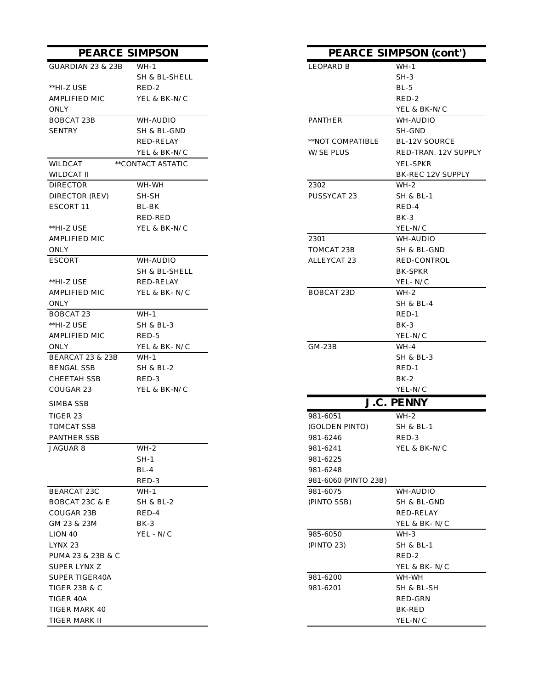| GUARDIAN 23 & 23B           | $WH-1$               | LEOPARD B            | $WH-1$            |
|-----------------------------|----------------------|----------------------|-------------------|
|                             | SH & BL-SHELL        |                      | $SH-3$            |
| **HI-Z USE                  | RED-2                |                      | $BL-5$            |
| AMPLIFIED MIC               | YEL & BK-N/C         |                      | RED-2             |
| ONLY                        |                      |                      | YEL & BK-N        |
| <b>BOBCAT 23B</b>           | WH-AUDIO             | PANTHER              | WH-AUDIO          |
| <b>SENTRY</b>               | SH & BL-GND          |                      | SH-GND            |
|                             | RED-RELAY            | **NOT COMPATIBLE     | BL-12V SOU        |
|                             | YEL & BK-N/C         | W/SE PLUS            | RED-TRAN.         |
| WILDCAT                     | **CONTACT ASTATIC    |                      | YEL-SPKR          |
| WILDCAT II                  |                      |                      | BK-REC 12V        |
| <b>DIRECTOR</b>             | WH-WH                | 2302                 | $WH-2$            |
| DIRECTOR (REV)              | SH-SH                | PUSSYCAT 23          | SH & BL-1         |
| ESCORT 11                   | BL-BK                |                      | RED-4             |
|                             | RED-RED              |                      | $BK-3$            |
| **HI-Z USE                  | YEL & BK-N/C         |                      | YEL-N/C           |
| AMPLIFIED MIC               |                      | 2301                 | WH-AUDIO          |
| <b>ONLY</b>                 |                      | TOMCAT 23B           | SH & BL-GN        |
| <b>ESCORT</b>               | WH-AUDIO             | ALLEYCAT 23          | <b>RED-CONTR</b>  |
|                             | SH & BL-SHELL        |                      | BK-SPKR           |
| **HI-Z USE                  | RED-RELAY            |                      | YEL-N/C           |
| AMPLIFIED MIC               | YEL & BK-N/C         | <b>BOBCAT 23D</b>    | $WH-2$            |
| ONLY                        |                      |                      | SH & BL-4         |
| BOBCAT 23                   | WH-1                 |                      | $RED-1$           |
| **HI-Z USE                  | <b>SH &amp; BL-3</b> |                      | $BK-3$            |
| AMPLIFIED MIC               | RED-5                |                      | YEL-N/C           |
| <b>ONLY</b>                 | YEL & BK-N/C         | $GM-23B$             | WH-4              |
| <b>BEARCAT 23 &amp; 23B</b> | $WH-1$               |                      | SH & BL-3         |
| <b>BENGAL SSB</b>           | SH & BL-2            |                      | RED-1             |
| <b>CHEETAH SSB</b>          | RED-3                |                      | BK-2              |
| COUGAR 23                   | YEL & BK-N/C         |                      | YEL-N/C           |
| <b>SIMBA SSB</b>            |                      |                      | <b>J.C. PENNY</b> |
| TIGER 23                    |                      | 981-6051             | $WH-2$            |
| <b>TOMCAT SSB</b>           |                      | (GOLDEN PINTO)       | SH & BL-1         |
| <b>PANTHER SSB</b>          |                      | 981-6246             | RED-3             |
| <b>JAGUAR 8</b>             | $WH-2$               | 981-6241             | YEL & BK-N        |
|                             | $SH-1$               | 981-6225             |                   |
|                             | $BL-4$               | 981-6248             |                   |
|                             | RED-3                | 981-6060 (PINTO 23B) |                   |
| BEARCAT 23C                 | WH-1                 | 981-6075             | WH-AUDIO          |
| BOBCAT 23C & E              | SH & BL-2            | (PINTO SSB)          | SH & BL-GN        |
| COUGAR 23B                  | RED-4                |                      | RED-RELAY         |
| GM 23 & 23M                 | BK-3                 |                      | YEL & BK- N       |
| LION 40                     | YEL - N/C            | 985-6050             | WH-3              |
| LYNX 23                     |                      | (PINTO 23)           | SH & BL-1         |
| PUMA 23 & 23B & C           |                      |                      | RED-2             |
| SUPER LYNX Z                |                      |                      | YEL & BK- N       |
| SUPER TIGER40A              |                      | 981-6200             | WH-WH             |
| TIGER 23B & C               |                      | 981-6201             | SH & BL-SH        |
| TIGER 40A                   |                      |                      | RED-GRN           |
| TIGER MARK 40               |                      |                      | BK-RED            |
| TIGER MARK II               |                      |                      | YEL-N/C           |
|                             |                      |                      |                   |

## LEOPARD B WH-1 SH & BL-SHELL SH-3 YEL & BK-N/C  $\,$ \*\*NOT COMPATIBLE BL-12V SOURCE W/SE PLUS RED-TRAN. 12V SUPPLY BK-REC 12V SUPPLY PUSSYCAT 23 SH & BL-1 RED-RED BK-3 TOMCAT 23B SH & BL-GND ALLEYCAT 23 RED-CONTROL SH & BL-SHELL BK-SPKR BOBCAT 23D WH-2 (GOLDEN PINTO) SH & BL-1 981-6241 YEL & BK-N/C 981-6225 981-6248 981-6060 (PINTO 23B) (PINTO SSB) SH & BL-GND RED-RELAY YEL & BK- $N/C$ YEL & BK-  $N/C$ **PEARCE SIMPSON PEARCE SIMPSON (cont') J.C. PENNY**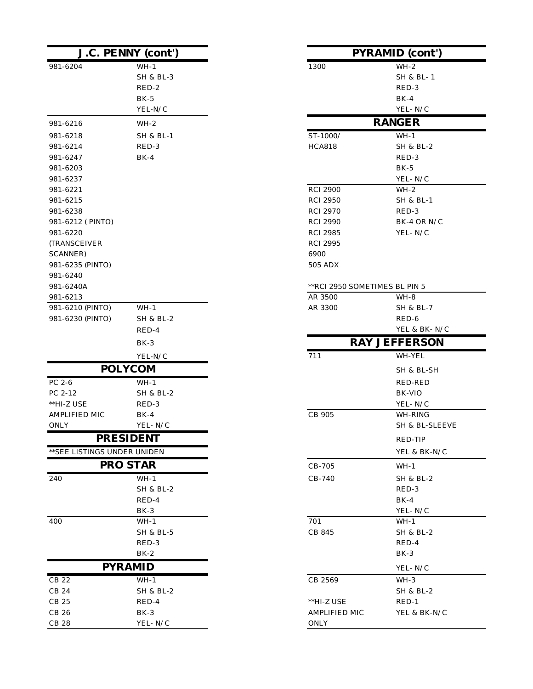|                              | J.C. PENNY (cont')   |                               | <b>PYRAMID</b> (cont') |
|------------------------------|----------------------|-------------------------------|------------------------|
| 981-6204                     | $WH-1$               | 1300                          | $WH-2$                 |
|                              | <b>SH &amp; BL-3</b> |                               | SH & BL-1              |
|                              | RED-2                |                               | RED-3                  |
|                              | $BK-5$               |                               | $BK-4$                 |
|                              | YEL-N/C              |                               | YEL-N/C                |
| 981-6216                     | $WH-2$               |                               | <b>RANGER</b>          |
| 981-6218                     | <b>SH &amp; BL-1</b> | ST-1000/                      | $WH-1$                 |
| 981-6214                     | RED-3                | <b>HCA818</b>                 | <b>SH &amp; BL-2</b>   |
| 981-6247                     | $BK-4$               |                               | RED-3                  |
| 981-6203                     |                      |                               | $BK-5$                 |
| 981-6237                     |                      |                               | YEL-N/C                |
| 981-6221                     |                      | <b>RCI 2900</b>               | $WH-2$                 |
| 981-6215                     |                      | <b>RCI 2950</b>               | SH & BL-1              |
| 981-6238                     |                      | <b>RCI 2970</b>               | RED-3                  |
| 981-6212 (PINTO)             |                      | <b>RCI 2990</b>               | BK-4 OR N/C            |
| 981-6220                     |                      | <b>RCI 2985</b>               | YEL-N/C                |
| <b>(TRANSCEIVER)</b>         |                      | <b>RCI 2995</b>               |                        |
| SCANNER)                     |                      | 6900                          |                        |
| 981-6235 (PINTO)             |                      | 505 ADX                       |                        |
| 981-6240                     |                      |                               |                        |
| 981-6240A                    |                      | **RCI 2950 SOMETIMES BL PIN 5 |                        |
| 981-6213                     |                      | AR 3500                       | WH-8                   |
| 981-6210 (PINTO)             | $WH-1$               | AR 3300                       | SH & BL-7              |
| 981-6230 (PINTO)             | SH & BL-2            |                               | RED-6                  |
|                              | RED-4                |                               | YEL & BK-N/C           |
|                              | $BK-3$               |                               | <b>RAY JEFFERSON</b>   |
|                              | YEL-N/C              | 711                           | WH-YEL                 |
|                              | <b>POLYCOM</b>       |                               | SH & BL-SH             |
| PC 2-6                       | $WH-1$               |                               | RED-RED                |
| PC 2-12                      | SH & BL-2            |                               | BK-VIO                 |
| **HI-Z USE                   | RED-3                |                               | YEL-N/C                |
| AMPLIFIED MIC                | $BK-4$               | CB 905                        | WH-RING                |
| <b>ONLY</b>                  | YEL-N/C              |                               | SH & BL-SLEEVE         |
|                              | <b>PRESIDENT</b>     |                               | RED-TIP                |
| ** SEE LISTINGS UNDER UNIDEN |                      |                               | YEL & BK-N/C           |
|                              | <b>PRO STAR</b>      | CB-705                        | $WH-1$                 |
| 240                          | $WH-1$               | CB-740                        | <b>SH &amp; BL-2</b>   |
|                              | <b>SH &amp; BL-2</b> |                               | RED-3                  |
|                              | RED-4                |                               | $BK-4$                 |
|                              | BK-3                 |                               | YEL-N/C                |
| 400                          | $WH-1$               | 701                           | $WH-1$                 |
|                              | <b>SH &amp; BL-5</b> | CB 845                        | SH & BL-2              |
|                              | RED-3                |                               | RED-4                  |
|                              | $BK-2$               |                               | BK-3                   |
|                              | <b>PYRAMID</b>       |                               | YEL-N/C                |
| CB 22                        | $WH-1$               | CB 2569                       | $WH-3$                 |
| CB 24                        | <b>SH &amp; BL-2</b> |                               | SH & BL-2              |
| CB 25                        | RED-4                | $^{\ast\ast}$ HI-Z USE        | $RED-1$                |
| CB 26                        | $BK-3$               | AMPLIFIED MIC                 | YEL & BK-N/C           |
| <b>CB 28</b>                 | YEL-N/C              | ONLY                          |                        |

| <b>J.C. PENNY (cont')</b> |                      | <b>PYRAMID</b> (cont')                  |  |  |
|---------------------------|----------------------|-----------------------------------------|--|--|
| 4                         | $WH-1$               | $WH-2$<br>1300                          |  |  |
|                           | <b>SH &amp; BL-3</b> | SH & BL-1                               |  |  |
|                           | RED-2                | RED-3                                   |  |  |
|                           | $BK-5$               | $BK-4$                                  |  |  |
|                           | YEL-N/C              | YEL-N/C                                 |  |  |
| 6                         | $WH-2$               | <b>RANGER</b>                           |  |  |
| 8                         | <b>SH &amp; BL-1</b> | ST-1000/<br>$WH-1$                      |  |  |
| 4                         | RED-3                | <b>HCA818</b><br><b>SH &amp; BL-2</b>   |  |  |
| 7                         | $BK-4$               | RED-3                                   |  |  |
| 3                         |                      | $BK-5$                                  |  |  |
| 7                         |                      | YEL-N/C                                 |  |  |
| $\mathbf{1}$              |                      | <b>RCI 2900</b><br>$WH-2$               |  |  |
| 5                         |                      | <b>RCI 2950</b><br><b>SH &amp; BL-1</b> |  |  |
| 8                         |                      | <b>RCI 2970</b><br>RED-3                |  |  |
| 2 (PINTO)                 |                      | <b>RCI 2990</b><br>BK-4 OR N/C          |  |  |
| 0                         |                      | <b>RCI 2985</b><br>YEL-N/C              |  |  |
| 'EIVER                    |                      | <b>RCI 2995</b>                         |  |  |
| R)                        |                      | 6900                                    |  |  |
| 5 (PINTO)                 |                      | 505 ADX                                 |  |  |
| 0                         |                      |                                         |  |  |
| 0A                        |                      | ** RCI 2950 SOMETIMES BL PIN 5          |  |  |
| 3                         |                      | AR 3500<br>WH-8                         |  |  |
| 0 (PINTO)                 | $WH-1$               | AR 3300<br>SH & BL-7                    |  |  |
| 0 (PINTO)                 | <b>SH &amp; BL-2</b> | RED-6                                   |  |  |
|                           | RED-4                | YEL & BK- N/C                           |  |  |
|                           | $BK-3$               | <b>RAY JEFFERSON</b>                    |  |  |
|                           | YEL-N/C              | 711<br>WH-YEL                           |  |  |
|                           | <b>POLYCOM</b>       | SH & BL-SH                              |  |  |
|                           | $WH-1$               | RED-RED                                 |  |  |
|                           | <b>SH &amp; BL-2</b> | BK-VIO                                  |  |  |
| SЕ                        | RED-3                | YEL-N/C                                 |  |  |
| ED MIC                    | $BK-4$               | CB 905<br>WH-RING                       |  |  |
|                           | YEL-N/C              | SH & BL-SLEEVE                          |  |  |
|                           | <b>PRESIDENT</b>     | RED-TIP                                 |  |  |
| STINGS UNDER UNIDEN       |                      | YEL & BK-N/C                            |  |  |
|                           | <b>PRO STAR</b>      | CB-705<br>$WH-1$                        |  |  |
|                           | $WH-1$               | CB-740<br><b>SH &amp; BL-2</b>          |  |  |
|                           | <b>SH &amp; BL-2</b> | RED-3                                   |  |  |
|                           | RED-4                | $BK-4$                                  |  |  |
|                           | $BK-3$               | YEL-N/C                                 |  |  |
|                           | $WH-1$               | 701<br>$WH-1$                           |  |  |
|                           | <b>SH &amp; BL-5</b> | CB 845<br><b>SH &amp; BL-2</b>          |  |  |
|                           | RED-3                | RED-4                                   |  |  |
|                           | $BK-2$               | $BK-3$                                  |  |  |
|                           | <b>PYRAMID</b>       | YEL-N/C                                 |  |  |
|                           | $WH-1$               | CB 2569<br>$WH-3$                       |  |  |
|                           | <b>SH &amp; BL-2</b> | <b>SH &amp; BL-2</b>                    |  |  |
|                           | RED-4                | **HI-Z USE<br>$RED-1$                   |  |  |
|                           | $BK-3$               | AMPLIFIED MIC<br>YEL & BK-N/C           |  |  |
|                           | YEL-N/C              | ONLY                                    |  |  |
|                           |                      |                                         |  |  |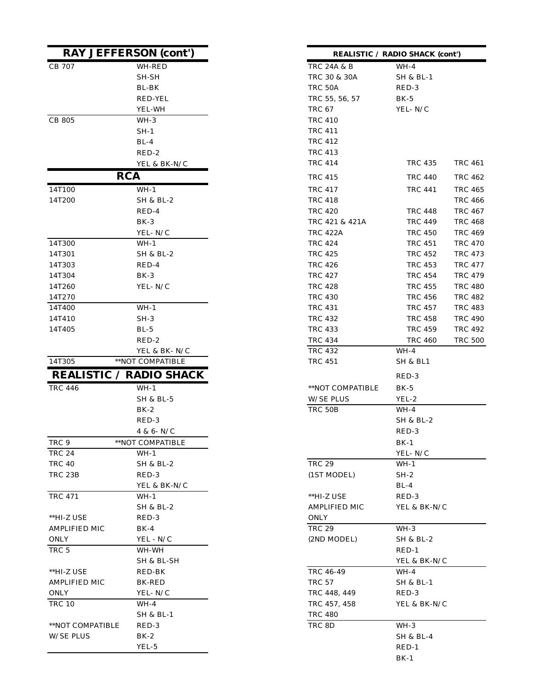| <b>RAY JEFFERSON (cont')</b>   |                                   |                        | <b>REALISTIC / RADIO SHACK (co</b> |
|--------------------------------|-----------------------------------|------------------------|------------------------------------|
| CB 707                         | WH-RED                            | <b>TRC 24A &amp; B</b> | $WH-4$                             |
|                                | SH-SH                             | TRC 30 & 30A           | <b>SH &amp; BL-1</b>               |
|                                | BL-BK                             | TRC 50A                | RED-3                              |
|                                | <b>RED-YEL</b>                    | TRC 55, 56, 57         | BK-5                               |
|                                | YEL-WH                            | <b>TRC 67</b>          | YEL-N/C                            |
| CB 805                         | WH-3                              | <b>TRC 410</b>         |                                    |
|                                | $SH-1$                            | <b>TRC 411</b>         |                                    |
|                                | $BL-4$                            | TRC 412                |                                    |
|                                | RED-2                             | <b>TRC 413</b>         |                                    |
|                                | YEL & BK-N/C                      | <b>TRC 414</b>         | <b>TRC 435</b>                     |
| <b>RCA</b>                     |                                   | <b>TRC 415</b>         | <b>TRC 440</b>                     |
| 14T100                         | $WH-1$                            | TRC 417                | <b>TRC 441</b>                     |
| 14T200                         | SH & BL-2                         | <b>TRC 418</b>         |                                    |
|                                | RED-4                             | <b>TRC 420</b>         | TRC 448                            |
|                                | $BK-3$                            | TRC 421 & 421A         | <b>TRC 449</b>                     |
|                                | YEL-N/C                           | <b>TRC 422A</b>        | <b>TRC 450</b>                     |
| 14T300                         | WH-1                              | <b>TRC 424</b>         | TRC 451                            |
| 14T301                         | <b>SH &amp; BL-2</b>              | <b>TRC 425</b>         | TRC 452                            |
| 14T303                         | RED-4                             | <b>TRC 426</b>         | <b>TRC 453</b>                     |
| 14T304                         | $BK-3$                            | <b>TRC 427</b>         | <b>TRC 454</b>                     |
| 14T260                         | YEL-N/C                           | <b>TRC 428</b>         | <b>TRC 455</b>                     |
| 14T270                         |                                   | <b>TRC 430</b>         | <b>TRC 456</b>                     |
| 14T400                         | $WH-1$                            | <b>TRC 431</b>         | <b>TRC 457</b>                     |
| 14T410                         | $SH-3$                            | <b>TRC 432</b>         | <b>TRC 458</b>                     |
| 14T405                         | BL-5                              | <b>TRC 433</b>         | <b>TRC 459</b>                     |
|                                | RED-2                             | TRC 434                | <b>TRC 460</b>                     |
|                                | YEL & BK-N/C                      | <b>TRC 432</b>         | $WH-4$                             |
| 14T305                         | **NOT COMPATIBLE                  | <b>TRC 451</b>         | <b>SH &amp; BL1</b>                |
| <b>REALISTIC / RADIO SHACK</b> |                                   |                        | RED-3                              |
| <b>TRC 446</b>                 | $WH-1$                            | **NOT COMPATIBLE       | BK-5                               |
|                                | <b>SH &amp; BL-5</b>              | W/SE PLUS              | YEL-2                              |
|                                | $BK-2$                            | TRC 50B                | $WH-4$                             |
|                                | RED-3                             |                        | <b>SH &amp; BL-2</b>               |
|                                |                                   |                        | RED-3                              |
| TRC 9                          | $4 & 6 - N/C$<br>**NOT COMPATIBLE |                        | $BK-1$                             |
| <b>TRC 24</b>                  | $WH-1$                            |                        |                                    |
| <b>TRC 40</b>                  |                                   | <b>TRC 29</b>          | YEL-N/C<br>$WH-1$                  |
| <b>TRC 23B</b>                 | SH & BL-2<br>RED-3                |                        | $SH-2$                             |
|                                | YEL & BK-N/C                      | (1ST MODEL)            | $BL-4$                             |
| <b>TRC 471</b>                 | $WH-1$                            | **HI-Z USE             | RED-3                              |
|                                | SH & BL-2                         | AMPLIFIED MIC          | YEL & BK-N/C                       |
| **HI-Z USE                     | RED-3                             | <b>ONLY</b>            |                                    |
| <b>AMPLIFIED MIC</b>           | $BK-4$                            | <b>TRC 29</b>          | $WH-3$                             |
| ONLY                           | YEL - N/C                         | (2ND MODEL)            | SH & BL-2                          |
| TRC 5                          | WH-WH                             |                        |                                    |
|                                |                                   |                        | RED-1                              |
| **HI-Z USE                     | SH & BL-SH<br>RED-BK              | TRC 46-49              | YEL & BK-N/C<br>$WH-4$             |
|                                |                                   |                        |                                    |
| AMPLIFIED MIC                  | <b>BK-RED</b>                     | <b>TRC 57</b>          | SH & BL-1                          |
| ONLY                           | YEL-N/C                           | TRC 448, 449           | RED-3                              |
| <b>TRC 10</b>                  | WH-4                              | TRC 457, 458           | YEL & BK-N/C                       |
|                                | <b>SH &amp; BL-1</b>              | <b>TRC 480</b>         |                                    |
| **NOT COMPATIBLE               | RED-3                             | TRC 8D                 | WH-3                               |
| <b>W/SE PLUS</b>               | $BK-2$                            |                        | <b>SH &amp; BL-4</b>               |
|                                | YEL-5                             |                        | $RED-1$                            |

|                  | <b>RAY JEFFERSON (cont')</b>   | <b>REALISTIC / RADIO SHACK (cont')</b> |                    |
|------------------|--------------------------------|----------------------------------------|--------------------|
| CB 707           | WH-RED                         | TRC 24A & B<br>$WH-4$                  |                    |
|                  | SH-SH                          | TRC 30 & 30A<br>SH & BL-1              |                    |
|                  | BL-BK                          | TRC 50A<br>RED-3                       |                    |
|                  | <b>RED-YEL</b>                 | TRC 55, 56, 57<br>$BK-5$               |                    |
|                  | YEL-WH                         | <b>TRC 67</b><br>YEL-N/C               |                    |
| CB 805           | $WH-3$                         | <b>TRC 410</b>                         |                    |
|                  | $SH-1$                         | <b>TRC 411</b>                         |                    |
|                  | $BL-4$                         | <b>TRC 412</b>                         |                    |
|                  | RED-2                          | <b>TRC 413</b>                         |                    |
|                  | YEL & BK-N/C                   | <b>TRC 414</b><br>TRC 435              | <b>TRC 461</b>     |
|                  | <b>RCA</b>                     | TRC 415                                | TRC 440<br>TRC 462 |
| 14T100           | $WH-1$                         | <b>TRC 417</b><br><b>TRC 441</b>       | <b>TRC 465</b>     |
| 14T200           | <b>SH &amp; BL-2</b>           | <b>TRC 418</b>                         | <b>TRC 466</b>     |
|                  | RED-4                          | <b>TRC 420</b><br><b>TRC 448</b>       | <b>TRC 467</b>     |
|                  |                                | TRC 421 & 421A                         |                    |
|                  | $BK-3$                         | <b>TRC 449</b>                         | <b>TRC 468</b>     |
|                  | YEL- N/C                       | <b>TRC 422A</b><br><b>TRC 450</b>      | <b>TRC 469</b>     |
| 14T300           | $WH-1$                         | <b>TRC 424</b><br><b>TRC 451</b>       | <b>TRC 470</b>     |
| 14T301           | SH & BL-2                      | <b>TRC 425</b><br><b>TRC 452</b>       | <b>TRC 473</b>     |
| 14T303           | RED-4                          | <b>TRC 426</b><br><b>TRC 453</b>       | <b>TRC 477</b>     |
| 14T304           | $BK-3$                         | <b>TRC 427</b><br><b>TRC 454</b>       | <b>TRC 479</b>     |
| 14T260           | YEL-N/C                        | <b>TRC 428</b><br><b>TRC 455</b>       | <b>TRC 480</b>     |
| 14T270           |                                | <b>TRC 430</b><br><b>TRC 456</b>       | <b>TRC 482</b>     |
| 14T400           | $WH-1$                         | <b>TRC 431</b><br><b>TRC 457</b>       | <b>TRC 483</b>     |
| 14T410           | $SH-3$                         | <b>TRC 432</b><br><b>TRC 458</b>       | <b>TRC 490</b>     |
| 14T405           | $BL-5$                         | <b>TRC 433</b><br><b>TRC 459</b>       | <b>TRC 492</b>     |
|                  | RED-2                          | <b>TRC 434</b><br><b>TRC 460</b>       | <b>TRC 500</b>     |
|                  | YEL & BK-N/C                   | <b>TRC 432</b><br>$WH-4$               |                    |
| 14T305           | **NOT COMPATIBLE               | <b>TRC 451</b><br>SH & BL1             |                    |
|                  | <b>REALISTIC / RADIO SHACK</b> | RED-3                                  |                    |
| <b>TRC 446</b>   | $WH-1$                         | **NOT COMPATIBLE<br>$BK-5$             |                    |
|                  | <b>SH &amp; BL-5</b>           | W/SE PLUS<br>YEL-2                     |                    |
|                  | $BK-2$                         | TRC 50B<br>$WH-4$                      |                    |
|                  | RED-3                          | <b>SH &amp; BL-2</b>                   |                    |
|                  | 4 & 6- N/C                     | RED-3                                  |                    |
| TRC 9            | **NOT COMPATIBLE               | $BK-1$                                 |                    |
| TRC 24           | $WH-1$                         | YEL-N/C                                |                    |
| TRC 40           | SH & BL-2                      | <b>TRC 29</b><br>$WH-1$                |                    |
| TRC 23B          | RED-3                          | (1ST MODEL)<br>$SH-2$                  |                    |
|                  | YEL & BK-N/C                   | BL-4                                   |                    |
| TRC 471          | WH-1                           | **HI-Z USE<br>RED-3                    |                    |
|                  | <b>SH &amp; BL-2</b>           | AMPLIFIED MIC<br>YEL & BK-N/C          |                    |
| **HI-Z USE       | RED-3                          | ONLY                                   |                    |
| AMPLIFIED MIC    | BK-4                           | <b>TRC 29</b><br>WH-3                  |                    |
| ONLY             | YEL - N/C                      | (2ND MODEL)<br>SH & BL-2               |                    |
| TRC 5            | WH-WH                          | $RED-1$                                |                    |
|                  | SH & BL-SH                     | YEL & BK-N/C                           |                    |
| **HI-Z USE       | RED-BK                         | TRC 46-49<br>WH-4                      |                    |
| AMPLIFIED MIC    | BK-RED                         | <b>TRC 57</b><br>SH & BL-1             |                    |
| ONLY             | YEL- N/C                       | RED-3<br>TRC 448, 449                  |                    |
| TRC 10           | WH-4                           | TRC 457, 458                           | YEL & BK-N/C       |
|                  | SH & BL-1                      | <b>TRC 480</b>                         |                    |
|                  | RED-3                          |                                        |                    |
| **NOT COMPATIBLE |                                | TRC 8D<br>$WH-3$                       |                    |
| W/SE PLUS        | $BK-2$                         | SH & BL-4                              |                    |
|                  | YEL-5                          | $RED-1$                                |                    |
|                  |                                | $BK-1$                                 |                    |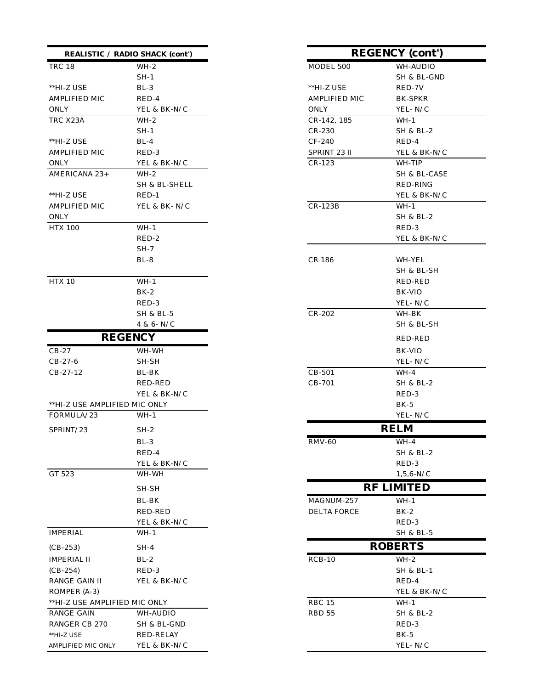| <b>REALISTIC</b> / RADIO SHACK (cont')        |                |                      | <b>REGENCY</b> (cont') |
|-----------------------------------------------|----------------|----------------------|------------------------|
| <b>TRC 18</b>                                 | $WH-2$         | MODEL 500            | WH-AUDIO               |
|                                               | SH-1           |                      | SH & BL-GND            |
| **HI-Z USE                                    | $BL-3$         | **HI-Z USE           | RED-7V                 |
| AMPLIFIED MIC                                 | RED-4          | <b>AMPLIFIED MIC</b> | <b>BK-SPKR</b>         |
| ONLY                                          | YEL & BK-N/C   | ONLY                 | YEL- N/C               |
| TRC X23A                                      | $WH-2$         | CR-142, 185          | $WH-1$                 |
|                                               | SH-1           | CR-230               | SH & BL-2              |
| **HI-Z USE                                    | $BL-4$         | CF-240               | RED-4                  |
| AMPLIFIED MIC                                 | RED-3          | SPRINT 23 II         | YEL & BK-N/C           |
| ONLY                                          | YEL & BK-N/C   | $CR-123$             | WH-TIP                 |
| AMERICANA 23+                                 | WH-2           |                      | SH & BL-CASE           |
|                                               | SH & BL-SHELL  |                      | RED-RING               |
| **HI-Z USE                                    | $RED-1$        |                      | YEL & BK-N/C           |
| AMPLIFIED MIC                                 | YEL & BK-N/C   | CR-123B              | $WH-1$                 |
| ONLY                                          |                |                      | SH & BL-2              |
| <b>HTX 100</b>                                | $WH-1$         |                      | RED-3                  |
|                                               | RED-2          |                      | YEL & BK-N/C           |
|                                               | $SH-7$         |                      |                        |
|                                               | $BL-8$         | CR 186               | WH-YEL                 |
|                                               |                |                      | SH & BL-SH             |
| <b>HTX 10</b>                                 | $WH-1$         |                      | RED-RED                |
|                                               | $BK-2$         |                      | BK-VIO                 |
|                                               | RED-3          |                      | YEL- ${\rm N}/{\rm C}$ |
|                                               | SH & BL-5      | CR-202               | WH-BK                  |
|                                               | 4 & 6- N/C     |                      | SH & BL-SH             |
|                                               | <b>REGENCY</b> |                      | RED-RED                |
| $CB-27$                                       | WH-WH          |                      | BK-VIO                 |
| CB-27-6                                       | SH-SH          |                      | YEL-N/C                |
| CB-27-12                                      | BL-BK          | $CB-501$             | $WH-4$                 |
|                                               | RED-RED        | CB-701               | <b>SH &amp; BL-2</b>   |
|                                               | YEL & BK-N/C   |                      | RED-3                  |
| **HI-Z USE AMPLIFIED MIC ONLY                 |                |                      | $BK-5$                 |
| FORMULA/23                                    | WH-1           |                      | YEL-N/C                |
| SPRINT/23                                     | $SH-2$         |                      | <b>RELM</b>            |
|                                               | BL-3           | <b>RMV-60</b>        | WH-4                   |
|                                               | RED-4          |                      | SH & BL-2              |
|                                               | YEL & BK-N/C   |                      | RED-3                  |
| GT 523                                        | WH-WH          |                      | $1,5,6-N/C$            |
|                                               | SH-SH          |                      | <b>RF LIMITED</b>      |
|                                               | BL-BK          | MAGNUM-257           | $WH-1$                 |
|                                               | RED-RED        | <b>DELTA FORCE</b>   | BK-2                   |
|                                               | YEL & BK-N/C   |                      | RED-3                  |
| <b>IMPERIAL</b>                               | $WH-1$         |                      | <b>SH &amp; BL-5</b>   |
| $(CB-253)$                                    | $SH-4$         |                      | <b>ROBERTS</b>         |
|                                               |                | $RCB-10$             |                        |
| IMPERIAL II                                   | $BL-2$         |                      | $WH-2$                 |
| $(CB-254)$                                    | RED-3          |                      | <b>SH &amp; BL-1</b>   |
| RANGE GAIN II                                 | YEL & BK-N/C   |                      | RED-4                  |
| ROMPER (A-3)<br>**HI-Z USE AMPLIFIED MIC ONLY |                | <b>RBC 15</b>        | YEL & BK-N/C<br>$WH-1$ |
| RANGE GAIN                                    | WH-AUDIO       | RBD 55               | SH & BL-2              |
| RANGER CB 270                                 | SH & BL-GND    |                      | RED-3                  |
| **HI-Z USE                                    | RED-RELAY      |                      | $BK-5$                 |
| AMPLIFIED MIC ONLY                            | YEL & BK-N/C   |                      | YEL-N/C                |
|                                               |                |                      |                        |

| <b>SHACK</b> (cont') | <b>REGENCY</b> (cont') |                   |  |
|----------------------|------------------------|-------------------|--|
| WH-2                 | MODEL 500              | WH-AUDIO          |  |
| $SH-1$               |                        | SH & BL-GND       |  |
| BL-3                 | **HI-Z USE             | RED-7V            |  |
| RED-4                | AMPLIFIED MIC          | BK-SPKR           |  |
| YEL & BK-N/C         | ONLY                   | YEL-N/C           |  |
| WH-2                 | CR-142, 185            | WH-1              |  |
| $SH-1$               | $CR-230$               | SH & BL-2         |  |
| BL-4                 | CF-240                 | RED-4             |  |
| RED-3                | SPRINT 23 II           | YEL & BK-N/C      |  |
| YEL & BK-N/C         | $CR-123$               | WH-TIP            |  |
| WH-2                 |                        | SH & BL-CASE      |  |
| SH & BL-SHELL        |                        | RED-RING          |  |
| RED-1                |                        | YEL & BK-N/C      |  |
| YEL & BK-N/C         | $CR-123B$              | WH-1              |  |
|                      |                        | SH & BL-2         |  |
| WH-1                 |                        | RED-3             |  |
| RED-2                |                        | YEL & BK-N/C      |  |
| $SH-7$               |                        |                   |  |
| BL-8                 | CR 186                 | WH-YEL            |  |
|                      |                        | SH & BL-SH        |  |
| WH-1                 |                        | RED-RED           |  |
| BK-2                 |                        | BK-VIO            |  |
| RED-3                |                        | YEL-N/C           |  |
| SH & BL-5            | $CR-202$               | WH-BK             |  |
| 4 & 6- N/C           |                        | SH & BL-SH        |  |
| <b>ICY</b>           |                        | RED-RED           |  |
| WH-WH                |                        | BK-VIO            |  |
| SH-SH                |                        | YEL-N/C           |  |
| BL-BK                | CB-501                 | WH-4              |  |
| RED-RED              | CB-701                 | SH & BL-2         |  |
| YEL & BK-N/C         |                        | RED-3             |  |
| IIC ONLY             |                        | BK-5              |  |
| WH-1                 |                        | YEL-N/C           |  |
| SH-2                 |                        | <b>RELM</b>       |  |
| BL-3                 | RMV-60                 | WH-4              |  |
| RED-4                |                        | SH & BL-2         |  |
| YEL & BK-N/C         |                        | RED-3             |  |
| WH-WH                |                        | $1,5,6-N/C$       |  |
| SH-SH                |                        | <b>RF LIMITED</b> |  |
|                      | MAGNUM-257             | $WH-1$            |  |
| BL-BK<br>RED-RED     | <b>DELTA FORCE</b>     |                   |  |
|                      |                        | $BK-2$<br>RED-3   |  |
| YEL & BK-N/C<br>WH-1 |                        |                   |  |
|                      |                        | SH & BL-5         |  |
| $SH-4$               |                        | <b>ROBERTS</b>    |  |
| $BL-2$               | $RCB-10$               | $WH-2$            |  |
| RED-3                |                        | SH & BL-1         |  |
| YEL & BK-N/C         |                        | RED-4             |  |
|                      |                        | YEL & BK-N/C      |  |
| IIC ONLY             | <b>RBC 15</b>          | $WH-1$            |  |
| WH-AUDIO             | RBD 55                 | SH & BL-2         |  |
| SH & BL-GND          |                        | RED-3             |  |
| RED-RELAY            |                        | $BK-5$            |  |
| YEL & BK-N/C         |                        | YEL-N/C           |  |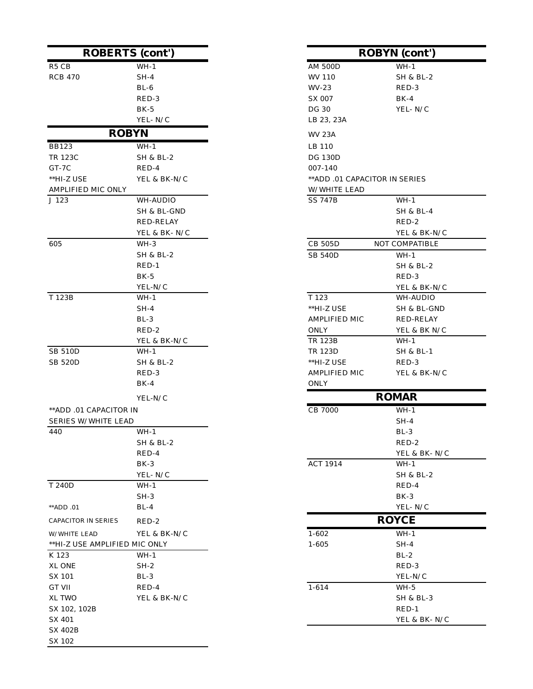|                               | <b>ROBERTS</b> (cont') |                               | <b>ROBYN</b> (cont') |
|-------------------------------|------------------------|-------------------------------|----------------------|
| R <sub>5</sub> C <sub>B</sub> | $WH-1$                 | <b>AM 500D</b>                | $WH-1$               |
| <b>RCB 470</b>                | $SH-4$                 | WV 110                        | SH & BL-2            |
|                               | $BL-6$                 | WV-23                         | RED-3                |
|                               | RED-3                  | SX 007                        | $BK-4$               |
|                               | $BK-5$                 | DG 30                         | YEL-N/C              |
|                               | YEL-N/C                | LB 23, 23A                    |                      |
|                               | <b>ROBYN</b>           | <b>WV 23A</b>                 |                      |
| <b>BB123</b>                  | $WH-1$                 | LB 110                        |                      |
| TR 123C                       | SH & BL-2              | DG 130D                       |                      |
| $GT-7C$                       | RED-4                  | 007-140                       |                      |
| **HI-Z USE                    | YEL & BK-N/C           | **ADD .01 CAPACITOR IN SERIES |                      |
| AMPLIFIED MIC ONLY            |                        | W/WHITE LEAD                  |                      |
| J 123                         | WH-AUDIO               | <b>SS 747B</b>                | $WH-1$               |
|                               | SH & BL-GND            |                               | SH & BL-4            |
|                               | <b>RED-RELAY</b>       |                               | RED-2                |
|                               | YEL & BK-N/C           |                               | YEL & BK-N/C         |
| 605                           | WH-3                   | <b>CB 505D</b>                | NOT COMPATIBLE       |
|                               | SH & BL-2              | <b>SB 540D</b>                | $WH-1$               |
|                               | $RED-1$                |                               | SH & BL-2            |
|                               | $BK-5$                 |                               | RED-3                |
|                               | YEL-N/C                |                               | YEL & BK-N/C         |
| T 123B                        | $WH-1$                 | T 123                         | WH-AUDIO             |
|                               | $SH-4$                 | **HI-Z USE                    | SH & BL-GND          |
|                               | $BL-3$                 | AMPLIFIED MIC                 | RED-RELAY            |
|                               | RED-2                  | <b>ONLY</b>                   | YEL & BK N/C         |
|                               | YEL & BK-N/C           | <b>TR 123B</b>                | $WH-1$               |
| <b>SB 510D</b>                | $WH-1$                 | <b>TR 123D</b>                | <b>SH &amp; BL-1</b> |
| <b>SB 520D</b>                | <b>SH &amp; BL-2</b>   | **HI-Z USE                    | RED-3                |
|                               | RED-3                  | AMPLIFIED MIC                 | YEL & BK-N/C         |
|                               | $BK-4$                 | ONLY                          |                      |
|                               | YEL-N/C                |                               | <b>ROMAR</b>         |
| ** ADD .01 CAPACITOR IN       |                        | CB 7000                       | $WH-1$               |
| <b>SERIES W/WHITE LEAD</b>    |                        |                               | $SH-4$               |
| 440                           | $WH-1$                 |                               | $BL-3$               |
|                               | SH & BL-2              |                               | RED-2                |
|                               | RED-4                  |                               | YEL & BK-N/C         |
|                               | $BK-3$                 | ACT 1914                      | $WH-1$               |
|                               | YEL-N/C                |                               | SH & BL-2            |
| T 240D                        | $WH-1$                 |                               | RED-4                |
|                               | $SH-3$                 |                               | $BK-3$               |
| **ADD .01                     | $BL-4$                 |                               | YEL-N/C              |
| CAPACITOR IN SERIES           | $RED-2$                |                               | <b>ROYCE</b>         |
| W/WHITE LEAD                  | YEL & BK-N/C           | $1 - 602$                     | $WH-1$               |
| **HI-Z USE AMPLIFIED MIC ONLY |                        | $1 - 605$                     | $SH-4$               |
| K 123                         | $WH-1$                 |                               | $BL-2$               |
| XL ONE                        | $SH-2$                 |                               | RED-3                |
| SX 101                        | $BL-3$                 |                               | YEL-N/C              |
| GT VII                        | RED-4                  | $1 - 614$                     | WH-5                 |
| XL TWO                        | YEL & BK-N/C           |                               | SH & BL-3            |
| SX 102, 102B                  |                        |                               | RED-1                |
| SX 401                        |                        |                               | YEL & BK-N/C         |
| <b>SX 402B</b>                |                        |                               |                      |
| SX 102                        |                        |                               |                      |

| <b>ROBERTS (cont')</b> |                      | <b>ROBYN</b> (cont') |                               |                      |
|------------------------|----------------------|----------------------|-------------------------------|----------------------|
|                        | $WH-1$               |                      | <b>AM 500D</b>                | $WH-1$               |
|                        | $SH-4$               |                      | WV 110                        | <b>SH &amp; BL-2</b> |
|                        | $BL-6$               |                      | WV-23                         | RED-3                |
|                        | RED-3                |                      | SX 007                        | $BK-4$               |
|                        | $BK-5$               |                      | DG 30                         | YEL- $N/C$           |
|                        | YEL-N/C              |                      | LB 23, 23A                    |                      |
| <b>ROBYN</b>           |                      |                      |                               |                      |
|                        |                      |                      | <b>WV 23A</b>                 |                      |
|                        | $WH-1$               |                      | LB 110                        |                      |
|                        | <b>SH &amp; BL-2</b> |                      | DG 130D                       |                      |
|                        | RED-4                |                      | $007 - 140$                   |                      |
| E                      | YEL & BK-N/C         |                      | **ADD .01 CAPACITOR IN SERIES |                      |
| D MIC ONLY             |                      |                      | W/WHITE LEAD                  |                      |
|                        | WH-AUDIO             |                      | <b>SS 747B</b>                | $WH-1$               |
|                        | SH & BL-GND          |                      |                               | SH & BL-4            |
|                        | RED-RELAY            |                      |                               | RED-2                |
|                        | YEL & BK-N/C         |                      |                               | YEL & BK-N/C         |
|                        | WH-3                 |                      | <b>CB 505D</b>                | NOT COMPATIBLE       |
|                        | SH & BL-2            |                      | <b>SB 540D</b>                | $WH-1$               |
|                        | $RED-1$              |                      |                               | SH & BL-2            |
|                        | $BK-5$               |                      |                               | RED-3                |
|                        | YEL-N/C              |                      |                               | YEL & BK-N/C         |
|                        | $WH-1$               |                      | T 123                         | WH-AUDIO             |
|                        | $SH-4$               |                      | **HI-Z USE                    | SH & BL-GND          |
|                        | $\rm BL\text{-}3$    |                      | AMPLIFIED MIC                 | <b>RED-RELAY</b>     |
|                        | RED-2                |                      | ONLY                          | YEL & BK N/C         |
|                        | YEL & BK-N/C         |                      | TR 123B                       | $WH-1$               |
|                        | WH-1                 |                      | TR 123D                       | SH & BL-1            |
|                        | <b>SH &amp; BL-2</b> |                      | **HI-Z USE                    | RED-3                |
|                        | RED-3                |                      | AMPLIFIED MIC                 | YEL & BK-N/C         |
|                        | $BK-4$               |                      | ONLY                          |                      |
|                        | YEL-N/C              |                      |                               | <b>ROMAR</b>         |
| CAPACITOR IN           |                      |                      | CB 7000                       | $WH-1$               |
| //WHITE LEAD           |                      |                      |                               | $SH-4$               |
|                        | $WH-1$               |                      |                               | $BL-3$               |
|                        | <b>SH &amp; BL-2</b> |                      |                               | RED-2                |
|                        | RED-4                |                      |                               | YEL & BK-N/C         |
|                        | $BK-3$               |                      | ACT 1914                      | $WH-1$               |
|                        | YEL-N/C              |                      |                               | SH & BL-2            |
|                        | $WH-1$               |                      |                               | RED-4                |
|                        | $SH-3$               |                      |                               | $BK-3$               |
|                        | $BL-4$               |                      |                               | YEL-N/C              |
| २ IN SERIES            | RED-2                |                      |                               | <b>ROYCE</b>         |
| <b>EAD</b>             | YEL & BK-N/C         |                      | $1 - 602$                     | $WH-1$               |
| E AMPLIFIED MIC ONLY   |                      |                      | $1 - 605$                     | $SH-4$               |
|                        | WH-1                 |                      |                               | $BL-2$               |
|                        | $SH-2$               |                      |                               | RED-3                |
|                        | $BL-3$               |                      |                               | YEL-N/C              |
|                        | RED-4                |                      | $1 - 614$                     | WH-5                 |
|                        | YEL & BK-N/C         |                      |                               | SH & BL-3            |
| 02B                    |                      |                      |                               | $RED-1$              |
|                        |                      |                      |                               | YEL & BK- N/C        |
|                        |                      |                      |                               |                      |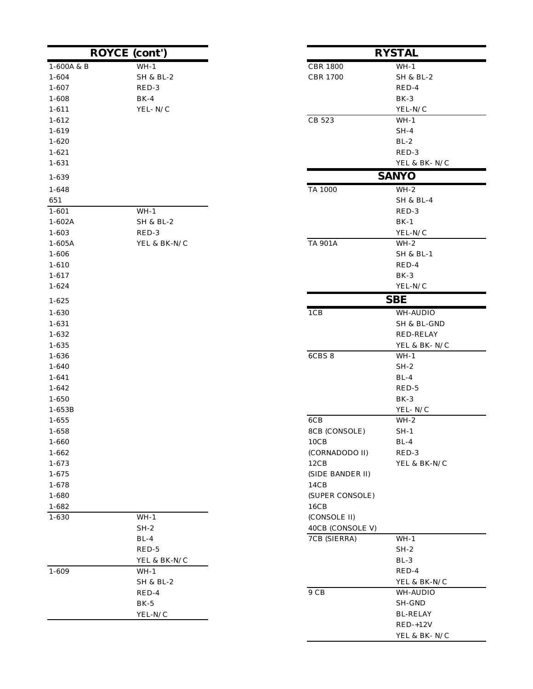|            | <b>ROYCE</b> (cont') |                  | <b>RYSTAL</b>        |
|------------|----------------------|------------------|----------------------|
| 1-600A & B | $WH-1$               | <b>CBR 1800</b>  | $WH-1$               |
| $1 - 604$  | SH & BL-2            | <b>CBR 1700</b>  | SH & BL-2            |
| $1 - 607$  | RED-3                |                  | RED-4                |
| 1-608      | $BK-4$               |                  | $BK-3$               |
| $1 - 611$  | YEL-N/C              |                  | YEL-N/C              |
| $1 - 612$  |                      | CB 523           | $WH-1$               |
| 1-619      |                      |                  | $SH-4$               |
| $1 - 620$  |                      |                  | $BL-2$               |
| $1 - 621$  |                      |                  | RED-3                |
| 1-631      |                      |                  | YEL & BK-N/C         |
| 1-639      |                      |                  | <b>SANYO</b>         |
| $1 - 648$  |                      | TA 1000          | $WH-2$               |
| 651        |                      |                  | <b>SH &amp; BL-4</b> |
| $1 - 601$  | $WH-1$               |                  | RED-3                |
| $1 - 602A$ | <b>SH &amp; BL-2</b> |                  | $BK-1$               |
| $1 - 603$  | RED-3                |                  | YEL-N/C              |
| $1-605A$   | YEL & BK-N/C         | TA 901A          | $WH-2$               |
| 1-606      |                      |                  | <b>SH &amp; BL-1</b> |
| $1 - 610$  |                      |                  | RED-4                |
| $1 - 617$  |                      |                  | BK-3                 |
| $1 - 624$  |                      |                  | YEL-N/C              |
| $1 - 625$  |                      |                  | <b>SBE</b>           |
| 1-630      |                      | 1CB              | WH-AUDIO             |
| 1-631      |                      |                  | SH & BL-GND          |
| 1-632      |                      |                  | RED-RELAY            |
| 1-635      |                      |                  | YEL & BK-N/C         |
| 1-636      |                      | 6CBS 8           | $WH-1$               |
| 1-640      |                      |                  | $SH-2$               |
| $1 - 641$  |                      |                  | $BL-4$               |
| $1 - 642$  |                      |                  | RED-5                |
| $1 - 650$  |                      |                  | BK-3                 |
| 1-653B     |                      |                  | YEL-N/C              |
| $1 - 655$  |                      | 6CB              | $WH-2$               |
| 1-658      |                      | 8CB (CONSOLE)    | $SH-1$               |
| 1-660      |                      | 10CB             | $BL-4$               |
| $1 - 662$  |                      | (CORNADODO II)   | RED-3                |
| 1-673      |                      | 12CB             | YEL & BK-N/C         |
| 1-675      |                      | (SIDE BANDER II) |                      |
| $1 - 678$  |                      | 14CB             |                      |
| $1 - 680$  |                      | (SUPER CONSOLE)  |                      |
| 1-682      |                      | 16CB             |                      |
| 1-630      | $WH-1$               | (CONSOLE II)     |                      |
|            | $SH-2$               | 40CB (CONSOLE V) |                      |
|            | $BL-4$               | 7CB (SIERRA)     | $WH-1$               |
|            | RED-5                |                  | $SH-2$               |
|            | YEL & BK-N/C         |                  | $BL-3$               |
| $1 - 609$  | $WH-1$               |                  | RED-4                |
|            | <b>SH &amp; BL-2</b> |                  | YEL & BK-N/C         |
|            | RED-4                | $9\ {\rm CB}$    | WH-AUDIO             |
|            | $BK-5$               |                  | SH-GND               |
|            | YEL-N/C              |                  | <b>BL-RELAY</b>      |
|            |                      |                  | $RED-+12V$           |

| cont')           |                                  | <b>RYSTAL</b>                  |
|------------------|----------------------------------|--------------------------------|
| $WH-1$           | <b>CBR 1800</b>                  | $WH-1$                         |
| SH & BL-2        | <b>CBR 1700</b>                  | SH & BL-2                      |
| RED-3            |                                  | RED-4                          |
| BK-4             |                                  | $BK-3$                         |
| YEL-N/C          |                                  | YEL-N/C                        |
|                  | CB 523                           | $WH-1$                         |
|                  |                                  | $SH-4$                         |
|                  |                                  | $BL-2$                         |
|                  |                                  | RED-3<br>YEL & BK-N/C          |
|                  |                                  | <b>SANYO</b>                   |
|                  |                                  |                                |
|                  | TA 1000                          | $WH-2$<br><b>SH &amp; BL-4</b> |
| WH-1             |                                  | RED-3                          |
| SH & BL-2        |                                  | $BK-1$                         |
| RED-3            |                                  | YEL-N/C                        |
| YEL & BK-N/C     | <b>TA 901A</b>                   | $WH-2$                         |
|                  |                                  | <b>SH &amp; BL-1</b>           |
|                  |                                  | RED-4                          |
|                  |                                  | BK-3                           |
|                  |                                  | YEL-N/C                        |
|                  |                                  | <b>SBE</b>                     |
|                  | 1CB                              | WH-AUDIO                       |
|                  |                                  | SH & BL-GND                    |
|                  |                                  | RED-RELAY                      |
|                  |                                  | YEL & BK-N/C                   |
|                  | 6CBS 8                           | $WH-1$                         |
|                  |                                  | $SH-2$                         |
|                  |                                  | $BL-4$                         |
|                  |                                  | RED-5<br>$BK-3$                |
|                  |                                  | YEL- $N/C$                     |
|                  | 6CB                              | $WH-2$                         |
|                  | 8CB (CONSOLE)                    | $SH-1$                         |
|                  | 10CB                             | $BL-4$                         |
|                  | (CORNADODO II)                   | RED-3                          |
|                  | 12CB                             | YEL & BK-N/C                   |
|                  | (SIDE BANDER II)                 |                                |
|                  | 14CB                             |                                |
|                  | (SUPER CONSOLE)                  |                                |
|                  | 16CB                             |                                |
| WH-1             | (CONSOLE II)                     |                                |
| $SH-2$<br>$BL-4$ | 40CB (CONSOLE V)<br>7CB (SIERRA) | $WH-1$                         |
| RED-5            |                                  | $SH-2$                         |
| YEL & BK-N/C     |                                  | $BL-3$                         |
| $WH-1$           |                                  | RED-4                          |
| SH & BL-2        |                                  | YEL & BK-N/C                   |
| RED-4            | 9 CB                             | WH-AUDIO                       |
| BK-5             |                                  | SH-GND                         |
| YEL-N/C          |                                  | <b>BL-RELAY</b>                |
|                  |                                  | $RED-+12V$                     |
|                  |                                  | YEL & BK-N/C                   |
|                  |                                  |                                |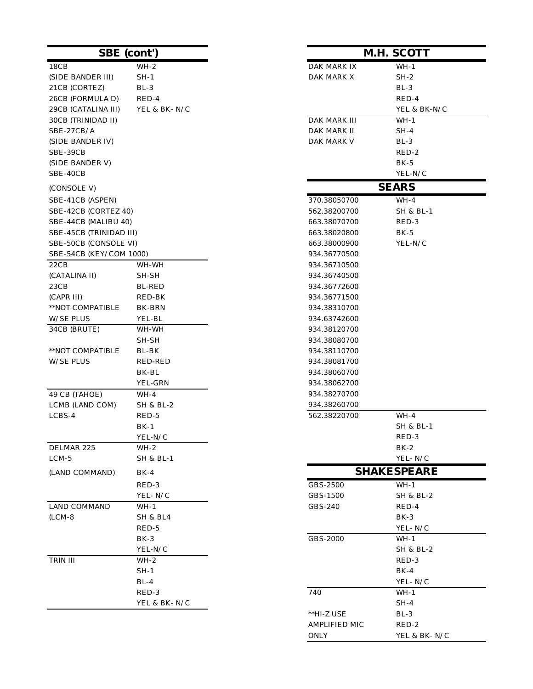|                         | <b>SBE</b> (cont')                  |                       | <b>M.H. SCOTT</b>    |
|-------------------------|-------------------------------------|-----------------------|----------------------|
| 18CB                    | $WH-2$                              | DAK MARK IX           | $WH-1$               |
| (SIDE BANDER III)       | $SH-1$                              | DAK MARK X            | $SH-2$               |
| 21CB (CORTEZ)           | $BL-3$                              |                       | $BL-3$               |
| 26CB (FORMULA D)        | RED-4                               |                       | RED-4                |
| 29CB (CATALINA III)     | YEL & BK-N/C                        |                       | YEL & BK-N/C         |
| 30CB (TRINIDAD II)      |                                     | DAK MARK III          | $WH-1$               |
| SBE-27CB/A              |                                     | DAK MARK II           | $SH-4$               |
| (SIDE BANDER IV)        |                                     | DAK MARK V            | BL-3                 |
| SBE-39CB                |                                     |                       | RED-2                |
| (SIDE BANDER V)         |                                     |                       | $BK-5$               |
| SBE-40CB                |                                     |                       | YEL-N/C              |
| (CONSOLE V)             |                                     |                       | <b>SEARS</b>         |
| SBE-41CB (ASPEN)        |                                     | 370.38050700          | $WH-4$               |
| SBE-42CB (CORTEZ 40)    |                                     | 562.38200700          | SH & BL-1            |
| SBE-44CB (MALIBU 40)    |                                     | 663.38070700          | RED-3                |
| SBE-45CB (TRINIDAD III) |                                     | 663.38020800          | $BK-5$               |
| SBE-50CB (CONSOLE VI)   |                                     | 663.38000900          | YEL-N/C              |
| SBE-54CB (KEY/COM 1000) |                                     | 934.36770500          |                      |
| 22CB                    | WH-WH                               | 934.36710500          |                      |
| (CATALINA II)           | SH-SH                               | 934.36740500          |                      |
| 23CB                    | <b>BL-RED</b>                       | 934.36772600          |                      |
| (CAPR III)              | RED-BK                              | 934.36771500          |                      |
| **NOT COMPATIBLE        | BK-BRN                              | 934.38310700          |                      |
| <b>W/SE PLUS</b>        | YEL-BL                              | 934.63742600          |                      |
| 34CB (BRUTE)            | WH-WH                               | 934.38120700          |                      |
|                         | SH-SH                               | 934.38080700          |                      |
| **NOT COMPATIBLE        | BL-BK                               | 934.38110700          |                      |
| W/SE PLUS               | RED-RED                             | 934.38081700          |                      |
|                         | BK-BL                               | 934.38060700          |                      |
|                         | YEL-GRN                             | 934.38062700          |                      |
| 49 CB (TAHOE)           | $WH-4$                              | 934.38270700          |                      |
| LCMB (LAND COM)         | <b>SH &amp; BL-2</b>                | 934.38260700          |                      |
| LCBS-4                  | RED-5                               | 562.38220700          | $WH-4$               |
|                         | $BK-1$                              |                       | SH & BL-1            |
|                         | ${\it YEL}\mbox{-} {\rm N}/{\rm C}$ |                       | RED-3                |
| DELMAR 225              | $WH-2$                              |                       | $BK-2$               |
| $LCM-5$                 | SH & BL-1                           |                       | YEL-N/C              |
| (LAND COMMAND)          | BK-4                                |                       | <b>SHAKESPEARE</b>   |
|                         | RED-3                               | GBS-2500              | $WH-1$               |
|                         | YEL-N/C                             | GBS-1500              | <b>SH &amp; BL-2</b> |
| LAND COMMAND            | WH-1                                | GBS-240               | RED-4                |
| $(LCM-8)$               | SH & BL4                            |                       | BK-3                 |
|                         | RED-5                               |                       | YEL-N/C              |
|                         | $BK-3$                              | GBS-2000              | WH-1                 |
|                         | YEL-N/C                             |                       | SH & BL-2            |
| TRIN III                | WH-2                                |                       | RED-3                |
|                         | SH-1                                |                       | $BK-4$               |
|                         | $BL-4$                              |                       | YEL-N/C              |
|                         | RED-3                               | 740                   | WH-1                 |
|                         | YEL & BK- N/C                       |                       | $SH-4$               |
|                         |                                     | $*$ $H$ 7 $I$ $R$ $F$ | RI <sub>3</sub>      |

| nt')          | M.H. SCOTT                   |                      |  |  |
|---------------|------------------------------|----------------------|--|--|
| $WH-2$        | DAK MARK IX                  | $WH-1$               |  |  |
| $SH-1$        | DAK MARK X                   | $SH-2$               |  |  |
| BL-3          |                              | BL-3                 |  |  |
| RED-4         |                              | RED-4                |  |  |
| YEL & BK-N/C  |                              | YEL & BK-N/C         |  |  |
|               | DAK MARK III                 | WH-1                 |  |  |
|               | DAK MARK II                  | SH-4                 |  |  |
|               | DAK MARK V                   | BL-3                 |  |  |
|               |                              | RED-2                |  |  |
|               |                              | $BK-5$               |  |  |
|               |                              | YEL-N/C              |  |  |
|               |                              | <b>SEARS</b>         |  |  |
|               | 370.38050700                 | WH-4                 |  |  |
|               | 562.38200700                 | SH & BL-1            |  |  |
|               | 663.38070700                 | RED-3                |  |  |
|               | 663.38020800                 | $BK-5$               |  |  |
|               | 663.38000900                 | YEL-N/C              |  |  |
| 00)           | 934.36770500                 |                      |  |  |
| WH-WH         | 934.36710500                 |                      |  |  |
| $SH-SH$       | 934.36740500                 |                      |  |  |
| <b>BL-RED</b> | 934.36772600                 |                      |  |  |
| RED-BK        | 934.36771500                 |                      |  |  |
| BK-BRN        | 934.38310700                 |                      |  |  |
| YEL-BL        | 934.63742600                 |                      |  |  |
| WH-WH         | 934.38120700                 |                      |  |  |
| SH-SH         | 934.38080700                 |                      |  |  |
| BL-BK         | 934.38110700                 |                      |  |  |
| RED-RED       | 934.38081700                 |                      |  |  |
| BK-BL         | 934.38060700                 |                      |  |  |
| YEL-GRN       | 934.38062700                 |                      |  |  |
| WH-4          | 934.38270700                 |                      |  |  |
| SH & BL-2     | 934.38260700<br>562.38220700 | $WH-4$               |  |  |
| RED-5<br>BK-1 |                              | <b>SH &amp; BL-1</b> |  |  |
| YEL-N/C       |                              | RED-3                |  |  |
| WH-2          |                              | BK-2                 |  |  |
| SH & BL-1     |                              | YEL-N/C              |  |  |
| BK-4          |                              | <b>SHAKESPEARE</b>   |  |  |
| RED-3         | GBS-2500                     | $WH-1$               |  |  |
| YEL-N/C       | GBS-1500                     | SH & BL-2            |  |  |
| WH-1          | GBS-240                      | RED-4                |  |  |
| SH & BL4      |                              | BK-3                 |  |  |
| RED-5         |                              | YEL- N/C             |  |  |
| BK-3          | GBS-2000                     | WH-1                 |  |  |
| YEL-N/C       |                              | <b>SH &amp; BL-2</b> |  |  |
| WH-2          |                              | RED-3                |  |  |
| SH-1          |                              | $BK-4$               |  |  |
| $BL-4$        |                              | YEL-N/C              |  |  |
| RED-3         | 740                          | WH-1                 |  |  |
| YEL & BK- N/C |                              | $SH-4$               |  |  |
|               | **HI-Z USE                   | $BL-3$               |  |  |
|               | AMPLIFIED MIC                | RED-2                |  |  |
|               | <b>ONLY</b>                  | YEL & BK-N/C         |  |  |
|               |                              |                      |  |  |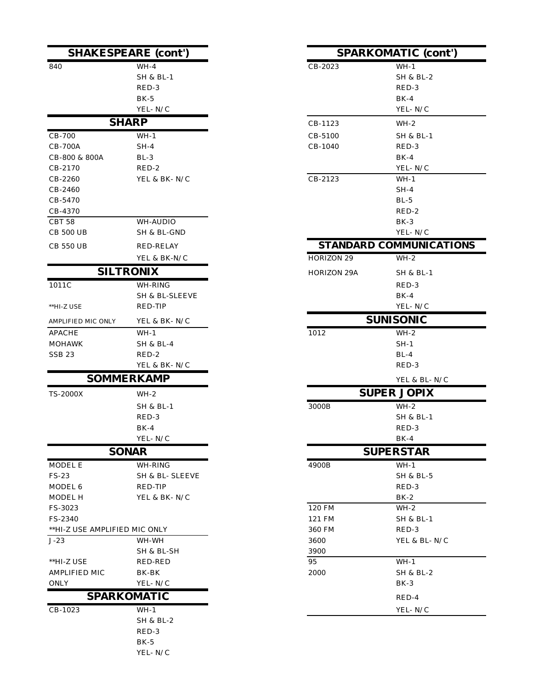|                               | <b>SHAKESPEARE (cont')</b> |                    | <b>SPARKOMATIC (cont</b> |
|-------------------------------|----------------------------|--------------------|--------------------------|
| 840                           | $WH-4$                     | CB-2023            | $WH-1$                   |
|                               | <b>SH &amp; BL-1</b>       |                    | <b>SH &amp; BL-2</b>     |
|                               | RED-3                      |                    | RED-3                    |
|                               | $BK-5$                     |                    | $BK-4$                   |
|                               | YEL-N/C                    |                    | YEL-N/C                  |
|                               | <b>SHARP</b>               | CB-1123            | $WH-2$                   |
| CB-700                        | $WH-1$                     | CB-5100            | <b>SH &amp; BL-1</b>     |
| <b>CB-700A</b>                | $SH-4$                     | CB-1040            | RED-3                    |
| CB-800 & 800A                 | $BL-3$                     |                    | $BK-4$                   |
| CB-2170                       | RED-2                      |                    | YEL-N/C                  |
| CB-2260                       | YEL & BK-N/C               | CB-2123            | $WH-1$                   |
| CB-2460                       |                            |                    | $SH-4$                   |
| CB-5470                       |                            |                    | $BL-5$                   |
| CB-4370                       |                            |                    | RED-2                    |
| CBT 58                        | WH-AUDIO                   |                    | BK-3                     |
| <b>CB 500 UB</b>              | SH & BL-GND                |                    | YEL- ${\rm N}/{\rm C}$   |
| <b>CB 550 UB</b>              | <b>RED-RELAY</b>           |                    | STANDARD COMMUNICAT      |
|                               | YEL & BK-N/C               | HORIZON 29         | $WH-2$                   |
|                               | <b>SILTRONIX</b>           | <b>HORIZON 29A</b> | SH & BL-1                |
| 1011C                         | WH-RING                    |                    | RED-3                    |
|                               | SH & BL-SLEEVE             |                    | $BK-4$                   |
| **HI-Z USE                    | RED-TIP                    |                    | YEL-N/C                  |
| AMPLIFIED MIC ONLY            | YEL & BK-N/C               |                    | <b>SUNISONIC</b>         |
| <b>APACHE</b>                 | $WH-1$                     | 1012               | $WH-2$                   |
| <b>MOHAWK</b>                 | <b>SH &amp; BL-4</b>       |                    | $SH-1$                   |
| <b>SSB 23</b>                 | RED-2                      |                    | $BL-4$                   |
|                               | YEL & BK-N/C               |                    | RED-3                    |
|                               | <b>SOMMERKAMP</b>          |                    | YEL & BL- N/C            |
| <b>TS-2000X</b>               | $WH-2$                     |                    | <b>SUPER JOPIX</b>       |
|                               | <b>SH &amp; BL-1</b>       | 3000B              | $WH-2$                   |
|                               | RED-3                      |                    | SH & BL-1                |
|                               | $BK-4$                     |                    | RED-3                    |
|                               | YEL-N/C                    |                    | $BK-4$                   |
|                               | <b>SONAR</b>               |                    | <b>SUPERSTAR</b>         |
| MODEL E                       | WH-RING                    | 4900B              | $WH-1$                   |
| FS-23                         | SH & BL- SLEEVE            |                    | <b>SH &amp; BL-5</b>     |
| MODEL 6                       | RED-TIP                    |                    | RED-3                    |
| MODEL H                       | YEL & BK-N/C               |                    | $BK-2$                   |
| FS-3023                       |                            | 120 FM             | WH-2                     |
| FS-2340                       |                            | 121 FM             | <b>SH &amp; BL-1</b>     |
| **HI-Z USE AMPLIFIED MIC ONLY |                            | 360 FM             | RED-3                    |
| $J-23$                        | WH-WH                      | 3600               | YEL & BL- N/C            |
|                               | SH & BL-SH                 | 3900               |                          |
| **HI-Z USE                    | RED-RED                    | 95                 | $WH-1$                   |
| AMPLIFIED MIC                 | BK-BK                      | 2000               | <b>SH &amp; BL-2</b>     |
| ONLY                          | YEL-N/C                    |                    | $BK-3$                   |
|                               | <b>SPARKOMATIC</b>         |                    | RED-4                    |
| CB-1023                       | $WH-1$                     |                    | YEL-N/C                  |
|                               | SH & BL-2                  |                    |                          |
|                               | RED-3                      |                    |                          |
|                               | $BK-5$                     |                    |                          |
|                               | YEL-N/C                    |                    |                          |

| <b>RE</b> (cont')         |                    | <b>SPARKOMATIC (cont')</b>     |
|---------------------------|--------------------|--------------------------------|
| WH-4                      | CB-2023            | $WH-1$                         |
| SH & BL-1                 |                    | SH & BL-2                      |
| RED-3                     |                    | RED-3                          |
| BK-5                      |                    | $BK-4$                         |
| YEL-N/C                   |                    | YEL-N/C                        |
| $\bf{P}$                  | CB-1123            | WH-2                           |
| WH-1                      | CB-5100            | SH & BL-1                      |
| $SH-4$                    | CB-1040            | RED-3                          |
| BL-3                      |                    | $BK-4$                         |
| RED-2                     |                    | YEL-N/C                        |
| YEL & BK- N/C             | CB-2123            | $WH-1$                         |
|                           |                    | SH-4                           |
|                           |                    | BL-5                           |
|                           |                    | RED-2<br>$BK-3$                |
| WH-AUDIO<br>SH & BL-GND   |                    | YEL-N/C                        |
| RED-RELAY                 |                    | <b>STANDARD COMMUNICATIONS</b> |
| YEL & BK-N/C              | HORIZON 29         | $WH-2$                         |
| NIX                       |                    |                                |
|                           | <b>HORIZON 29A</b> | SH & BL-1                      |
| WH-RING                   |                    | RED-3                          |
| SH & BL-SLEEVE<br>RED-TIP |                    | $BK-4$<br>YEL-N/C              |
|                           |                    |                                |
| YEL & BK-N/C              |                    | <b>SUNISONIC</b>               |
| WH-1                      | 1012               | $WH-2$                         |
| SH & BL-4                 |                    | $SH-1$                         |
| RED-2<br>YEL & BK-N/C     |                    | $BL-4$<br>RED-3                |
|                           |                    |                                |
| KAMP                      |                    | YEL & BL- N/C                  |
| WH-2                      |                    | <b>SUPER JOPIX</b>             |
| SH & BL-1                 | 3000B              | $WH-2$                         |
| RED-3                     |                    | SH & BL-1                      |
| BK-4                      |                    | RED-3                          |
| YEL- N/C                  |                    | BK-4                           |
| $\mathbf R$               |                    | <b>SUPERSTAR</b>               |
| WH-RING                   | 4900B              | $WH-1$                         |
| SH & BL- SLEEVE           |                    | SH & BL-5                      |
| RED-TIP                   |                    | RED-3                          |
| YEL & BK- N/C             | 120 FM             | $BK-2$<br>$WH-2$               |
|                           | 121 FM             | SH & BL-1                      |
| IIC ONLY                  | 360 FM             | RED-3                          |
| WH-WH                     | 3600               | YEL & BL- N/C                  |
| SH & BL-SH                | 3900               |                                |
| RED-RED                   | 95                 | WH-1                           |
| BK-BK                     | 2000               | SH & BL-2                      |
| YEL- N/C                  |                    | BK-3                           |
| AATIC                     |                    | RED-4                          |
| WH-1                      |                    | YEL-N/C                        |
|                           |                    |                                |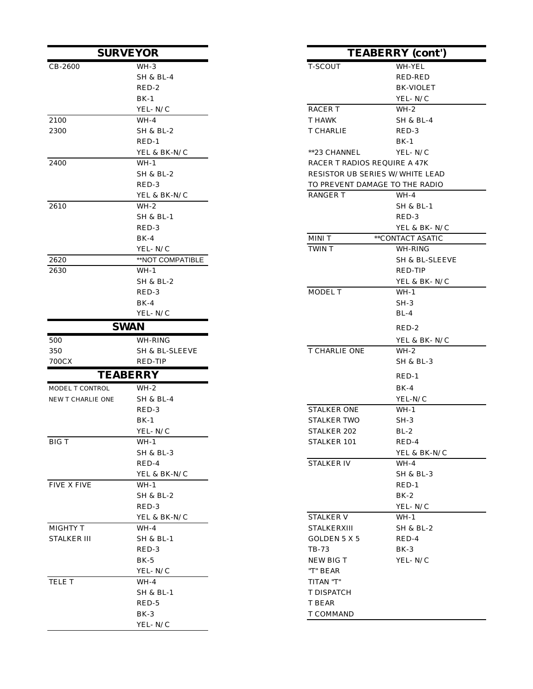|                    | <b>SURVEYOR</b>      |                                 | <b>TEABERRY</b> (cont') |
|--------------------|----------------------|---------------------------------|-------------------------|
| $CB-2600$          | $WH-3$               | T-SCOUT                         | WH-YEL                  |
|                    | <b>SH &amp; BL-4</b> |                                 | RED-RED                 |
|                    | RED-2                |                                 | <b>BK-VIOLET</b>        |
|                    | $BK-1$               |                                 | YEL-N/C                 |
|                    | YEL-N/C              | <b>RACERT</b>                   | $WH-2$                  |
| 2100               | $WH-4$               | T HAWK                          | <b>SH &amp; BL-4</b>    |
| 2300               | <b>SH &amp; BL-2</b> | T CHARLIE                       | RED-3                   |
|                    | $RED-1$              |                                 | $BK-1$                  |
|                    | YEL & BK-N/C         | **23 CHANNEL                    | YEL-N/C                 |
| 2400               | $WH-1$               | RACER T RADIOS REQUIRE A 47K    |                         |
|                    | SH & BL-2            | RESISTOR UB SERIES W/WHITE LEAD |                         |
|                    | RED-3                | TO PREVENT DAMAGE TO THE RADIO  |                         |
|                    | YEL & BK-N/C         | RANGER T                        | WH-4                    |
| 2610               | $WH-2$               |                                 | <b>SH &amp; BL-1</b>    |
|                    | SH & BL-1            |                                 | RED-3                   |
|                    | RED-3                |                                 | YEL & BK-N/C            |
|                    | $BK-4$               | MINI T                          | **CONTACT ASATIC        |
|                    | YEL-N/C              | TWIN T                          | WH-RING                 |
| 2620               | **NOT COMPATIBLE     |                                 | SH & BL-SLEEVE          |
| 2630               | $WH-1$               |                                 | RED-TIP                 |
|                    | SH & BL-2            |                                 | YEL & BK-N/C            |
|                    | RED-3                | MODEL T                         | $WH-1$                  |
|                    | $BK-4$               |                                 | $SH-3$                  |
|                    | YEL-N/C              |                                 | $BL-4$                  |
|                    | <b>SWAN</b>          |                                 | RED-2                   |
| 500                | WH-RING              |                                 | YEL & BK- N/C           |
| 350                | SH & BL-SLEEVE       | T CHARLIE ONE                   | $WH-2$                  |
| 700CX              | RED-TIP              |                                 | <b>SH &amp; BL-3</b>    |
|                    | <b>TEABERRY</b>      |                                 | $RED-1$                 |
| MODEL T CONTROL    | $WH-2$               |                                 | $BK-4$                  |
| NEW T CHARLIE ONE  | <b>SH &amp; BL-4</b> |                                 | YEL-N/C                 |
|                    | RED-3                | <b>STALKER ONE</b>              | WH-1                    |
|                    | $BK-1$               | <b>STALKER TWO</b>              | $SH-3$                  |
|                    | YEL-N/C              | STALKER 202                     | $BL-2$                  |
| <b>BIG T</b>       | WH-1                 | STALKER 101                     | RED-4                   |
|                    | <b>SH &amp; BL-3</b> |                                 | YEL & BK-N/C            |
|                    | RED-4                | STALKER IV                      | WH-4                    |
|                    | YEL & BK-N/C         |                                 | SH & BL-3               |
| FIVE X FIVE        | $WH-1$               |                                 | $RED-1$                 |
|                    | SH & BL-2            |                                 | $BK-2$                  |
|                    | RED-3                |                                 | YEL-N/C                 |
|                    | YEL & BK-N/C         | STALKER V                       | $WH-1$                  |
| MIGHTY T           | WH-4                 | <b>STALKERXIII</b>              | SH & BL-2               |
| <b>STALKER III</b> | <b>SH &amp; BL-1</b> | GOLDEN 5 X 5                    | RED-4                   |
|                    | RED-3                | TB-73                           | $BK-3$                  |
|                    | BK-5                 | NEW BIG T                       | YEL- N/C                |
|                    | YEL- N/C             | "T" BEAR                        |                         |
| TELE T             | $WH-4$               | TITAN "T"                       |                         |
|                    | SH & BL-1            | T DISPATCH                      |                         |
|                    | RED-5                | T BEAR                          |                         |
|                    | $BK-3$               | T COMMAND                       |                         |
|                    | YEL-N/C              |                                 |                         |

| <b>SURVEYOR</b> |                      | <b>TEABERRY</b> (cont') |                              |                                 |
|-----------------|----------------------|-------------------------|------------------------------|---------------------------------|
|                 | $WH-3$               |                         | T-SCOUT                      | WH-YEL                          |
|                 | <b>SH &amp; BL-4</b> |                         |                              | RED-RED                         |
|                 | RED-2                |                         |                              | BK-VIOLET                       |
|                 | BK-1                 |                         |                              | YEL-N/C                         |
|                 | YEL-N/C              |                         | <b>RACERT</b>                | $WH-2$                          |
|                 | $WH-4$               |                         | T HAWK                       | SH & BL-4                       |
|                 | SH & BL-2            |                         | T CHARLIE                    | RED-3                           |
|                 | $RED-1$              |                         |                              | $BK-1$                          |
|                 | YEL & BK-N/C         |                         | **23 CHANNEL                 | YEL-N/C                         |
|                 | $WH-1$               |                         | RACER T RADIOS REQUIRE A 47K |                                 |
|                 | SH & BL-2            |                         |                              | RESISTOR UB SERIES W/WHITE LEAD |
|                 | RED-3                |                         |                              | TO PREVENT DAMAGE TO THE RADIO  |
|                 | YEL & BK-N/C         |                         | <b>RANGER T</b>              | $WH-4$                          |
|                 | $WH-2$               |                         |                              | SH & BL-1                       |
|                 | SH & BL-1            |                         |                              | RED-3                           |
|                 | RED-3                |                         |                              | YEL & BK-N/C                    |
|                 | $BK-4$               |                         | MINI T                       | **CONTACT ASATIC                |
|                 | YEL-N/C              |                         | TWIN T                       | WH-RING                         |
|                 | **NOT COMPATIBLE     |                         |                              | SH & BL-SLEEVE                  |
|                 | $WH-1$               |                         |                              | RED-TIP                         |
|                 | SH & BL-2            |                         |                              | YEL & BK-N/C                    |
|                 | RED-3                |                         | MODEL T                      | $WH-1$                          |
|                 | $BK-4$               |                         |                              | $SH-3$                          |
|                 | YEL-N/C              |                         |                              | $BL-4$                          |
|                 | <b>SWAN</b>          |                         |                              | RED-2                           |
|                 | WH-RING              |                         |                              | YEL & BK- N/C                   |
|                 | SH & BL-SLEEVE       |                         | T CHARLIE ONE                | $WH-2$                          |
|                 | RED-TIP              |                         |                              | SH & BL-3                       |
|                 | <b>TEABERRY</b>      |                         |                              | $RED-1$                         |
| ROL             | WH-2                 |                         |                              | $BK-4$                          |
| <b>CONE</b>     | <b>SH &amp; BL-4</b> |                         |                              | YEL-N/C                         |
|                 | RED-3                |                         | <b>STALKER ONE</b>           | $WH-1$                          |
|                 | $BK-1$               |                         | STALKER TWO                  | SH-3                            |
|                 | YEL-N/C              |                         | STALKER 202                  | $BL-2$                          |
|                 | $WH-1$               |                         | STALKER 101                  | RED-4                           |
|                 | <b>SH &amp; BL-3</b> |                         |                              | YEL & BK-N/C                    |
|                 | RED-4                |                         | STALKER IV                   | WH-4                            |
|                 | YEL & BK-N/C         |                         |                              | SH & BL-3                       |
|                 | WH-1                 |                         |                              | $RED-1$                         |
|                 | SH & BL-2            |                         |                              | $BK-2$                          |
|                 | RED-3                |                         |                              | YEL- ${\rm N}/{\rm C}$          |
|                 | YEL & BK-N/C         |                         | <b>STALKER V</b>             | WH-1                            |
|                 | WH-4                 |                         | STALKERXIII                  | SH & BL-2                       |
|                 | SH & BL-1            |                         | GOLDEN 5 X 5                 | RED-4                           |
|                 | RED-3                |                         | TB-73                        | $BK-3$                          |
|                 | $BK-5$               |                         | NEW BIG T                    | YEL-N/C                         |
|                 | YEL-N/C              |                         | "T" BEAR                     |                                 |
|                 | WH-4                 |                         | TITAN "T"                    |                                 |
|                 | <b>SH &amp; BL-1</b> |                         | T DISPATCH                   |                                 |
|                 | RED-5                |                         | T BEAR                       |                                 |
|                 | BK-3                 |                         | T COMMAND                    |                                 |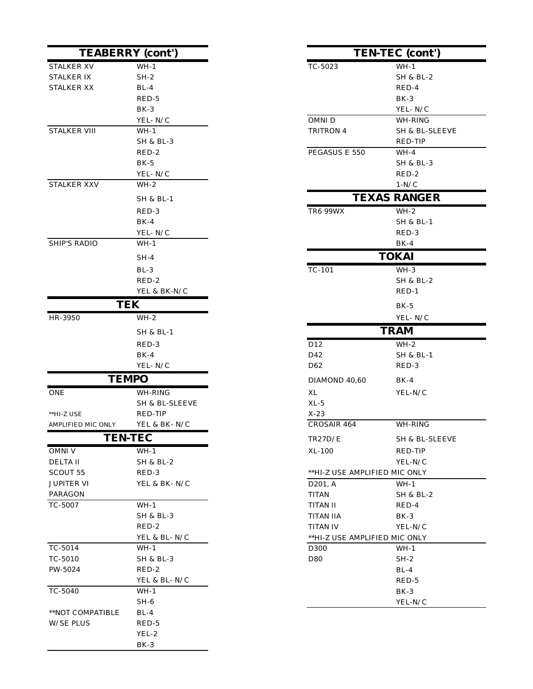|                     | <b>TEABERRY</b> (cont') |                               | TEN-TEC (cont')      |
|---------------------|-------------------------|-------------------------------|----------------------|
| <b>STALKER XV</b>   | $WH-1$                  | TC-5023                       | $WH-1$               |
| STALKER IX          | $SH-2$                  |                               | SH & BL-2            |
| <b>STALKER XX</b>   | $BL-4$                  |                               | RED-4                |
|                     | RED-5                   |                               | BK-3                 |
|                     | $BK-3$                  |                               | YEL-N/C              |
|                     | YEL-N/C                 | OMNI D                        | WH-RING              |
| <b>STALKER VIII</b> | $WH-1$                  | TRITRON 4                     | SH & BL-SLEEVE       |
|                     | <b>SH &amp; BL-3</b>    |                               | RED-TIP              |
|                     | RED-2                   | PEGASUS E 550                 | $WH-4$               |
|                     | $BK-5$                  |                               | <b>SH &amp; BL-3</b> |
|                     | YEL-N/C                 |                               | RED-2                |
| STALKER XXV         | $WH-2$                  |                               | $1-N/C$              |
|                     | <b>SH &amp; BL-1</b>    |                               | <b>TEXAS RANGER</b>  |
|                     | RED-3                   | <b>TR6 99WX</b>               | $WH-2$               |
|                     | $BK-4$                  |                               | SH & BL-1            |
|                     | YEL-N/C                 |                               | RED-3                |
| <b>SHIP'S RADIO</b> | $WH-1$                  |                               | $BK-4$               |
|                     | $SH-4$                  |                               | <b>TOKAI</b>         |
|                     | $BL-3$                  | $TC-101$                      | $WH-3$               |
|                     | RED-2                   |                               | SH & BL-2            |
|                     | YEL & BK-N/C            |                               | $RED-1$              |
|                     | <b>TEK</b>              |                               | $BK-5$               |
| HR-3950             | $WH-2$                  |                               | YEL-N/C              |
|                     | SH & BL-1               |                               | <b>TRAM</b>          |
|                     | RED-3                   | D12                           | $WH-2$               |
|                     | $BK-4$                  | D42                           | SH & BL-1            |
|                     | YEL-N/C                 | D <sub>62</sub>               | RED-3                |
|                     | <b>TEMPO</b>            | DIAMOND 40,60                 | $BK-4$               |
| <b>ONE</b>          | WH-RING                 | XL                            | YEL-N/C              |
|                     | SH & BL-SLEEVE          | $XL-5$                        |                      |
| $*HI-Z$ USE         | RED-TIP                 | $X-23$                        |                      |
| AMPLIFIED MIC ONLY  | YEL & BK-N/C            | CROSAIR 464                   | WH-RING              |
|                     | <b>TEN-TEC</b>          | <b>TR27D/E</b>                | SH & BL-SLEEVE       |
| OMNI V              | $WH-1$                  | XL-100                        | RED-TIP              |
| <b>DELTAII</b>      | <b>SH &amp; BL-2</b>    |                               | YEL-N/C              |
| SCOUT 55            | RED-3                   | **HI-Z USE AMPLIFIED MIC ONLY |                      |
| <b>JUPITER VI</b>   | YEL & BK-N/C            | D <sub>201</sub> , A          | WH-1                 |
| PARAGON             |                         | <b>TITAN</b>                  | <b>SH &amp; BL-2</b> |
| TC-5007             | $WH-1$                  | <b>TITAN II</b>               | RED-4                |
|                     | SH & BL-3               | <b>TITAN IIA</b>              | $BK-3$               |
|                     | RED-2                   | <b>TITAN IV</b>               | YEL-N/C              |
|                     | YEL & BL-N/C            | **HI-Z USE AMPLIFIED MIC ONLY |                      |
| TC-5014             | $WH-1$                  | D300                          | $WH-1$               |
| TC-5010             | <b>SH &amp; BL-3</b>    | D80                           | $SH-2$               |
| PW-5024             | RED-2                   |                               | $BL-4$               |
|                     | YEL & BL-N/C            |                               | RED-5                |
| TC-5040             | $WH-1$                  |                               | $BK-3$               |
|                     | $SH-6$                  |                               | YEL-N/C              |
| **NOT COMPATIBLE    | BL-4                    |                               |                      |
| <b>W/SE PLUS</b>    | RED-5                   |                               |                      |
|                     | YEL-2                   |                               |                      |
|                     | $\rm BK\text{-}3$       |                               |                      |

|                              | <b>TEABERRY</b> (cont') |                               | TEN-TEC (cont')      |
|------------------------------|-------------------------|-------------------------------|----------------------|
| $\overline{\text{X}}$ s      | $WH-1$                  | TC-5023                       | $WH-1$               |
| S IX                         | $SH-2$                  |                               | <b>SH &amp; BL-2</b> |
| XX S                         | $BL-4$                  |                               | RED-4                |
|                              | RED-5                   |                               | $BK-3$               |
|                              | BK-3                    |                               | YEL-N/C              |
|                              | YEL- N/C                | OMNI D                        | WH-RING              |
| UIIV 5                       | $WH-1$                  | TRITRON 4                     | SH & BL-SLEEVE       |
|                              | <b>SH &amp; BL-3</b>    |                               | RED-TIP              |
|                              | $RED-2$                 | PEGASUS E 550                 | $WH-4$               |
|                              | $BK-5$                  |                               | <b>SH &amp; BL-3</b> |
|                              | YEL-N/C                 |                               | RED-2                |
| $\overline{\mathcal{X}}$ XXV | $WH-2$                  |                               | $1-N/C$              |
|                              | <b>SH &amp; BL-1</b>    |                               | <b>TEXAS RANGER</b>  |
|                              | RED-3                   | <b>TR6 99WX</b>               | $WH-2$               |
|                              | $BK-4$                  |                               | <b>SH &amp; BL-1</b> |
|                              | YEL-N/C                 |                               | RED-3                |
| <b>ADIO</b>                  | $WH-1$                  |                               | $BK-4$               |
|                              | $SH-4$                  |                               | <b>TOKAI</b>         |
|                              | $BL-3$                  | $TC-101$                      | $WH-3$               |
|                              | RED-2                   |                               | <b>SH &amp; BL-2</b> |
|                              | YEL & BK-N/C            |                               | $RED-1$              |
|                              | <b>TEK</b>              |                               | $BK-5$               |
|                              | $WH-2$                  |                               | YEL-N/C              |
|                              | <b>SH &amp; BL-1</b>    |                               | <b>TRAM</b>          |
|                              | RED-3                   | D12                           | $WH-2$               |
|                              | $BK-4$                  | D42                           | <b>SH &amp; BL-1</b> |
|                              | YEL-N/C                 | D <sub>62</sub>               | RED-3                |
|                              | <b>TEMPO</b>            | DIAMOND 40,60                 | $BK-4$               |
|                              | WH-RING                 | $\mathbf{XL}$                 | YEL-N/C              |
|                              | SH & BL-SLEEVE          | $XL-5$                        |                      |
| Ξ                            | RED-TIP                 | $X-23$                        |                      |
| D MIC ONLY                   | YEL & BK-N/C            | CROSAIR 464                   | WH-RING              |
|                              | <b>TEN-TEC</b>          | <b>TR27D/E</b>                | SH & BL-SLEEVE       |
|                              | $WH-1$                  | XL-100                        | RED-TIP              |
|                              | SH & BL-2               |                               | YEL-N/C              |
| 55                           | RED-3                   | **HI-Z USE AMPLIFIED MIC ONLY |                      |
| VI.                          | YEL & BK-N/C            | D201, A                       | $WH-1$               |
| N                            |                         | <b>TITAN</b>                  | SH & BL-2            |
|                              | $WH-1$                  | <b>TITAN II</b>               | RED-4                |
|                              | <b>SH &amp; BL-3</b>    | <b>TITAN IIA</b>              | $BK-3$               |
|                              | RED-2                   | <b>TITAN IV</b>               | YEL-N/C              |
|                              | YEL & BL-N/C            | **HI-Z USE AMPLIFIED MIC ONLY |                      |
|                              | $WH-1$                  | D <sub>300</sub>              | $WH-1$               |
|                              | <b>SH &amp; BL-3</b>    | D80                           | $SH-2$               |
|                              | RED-2                   |                               | $BL-4$               |
|                              | YEL & BL-N/C            |                               | RED-5                |
|                              | $WH-1$<br>$SH-6$        |                               | $BK-3$               |
| <b>DMPATIRI F</b>            | $RI - 4$                |                               | YEL-N/C              |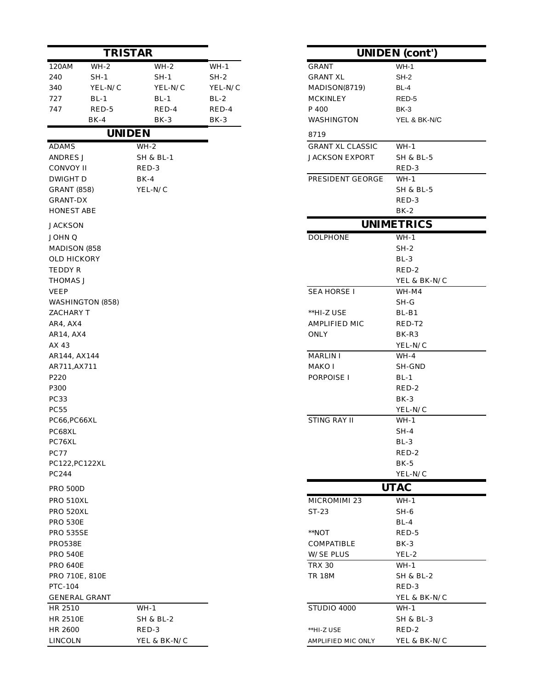| <b>TRISTAR</b>     |                      |                      |            | <b>UNIDEN</b> (cont')   |                      |
|--------------------|----------------------|----------------------|------------|-------------------------|----------------------|
| 120AM              | $WH-2$               | $WH-2$               | $WH-1$     | <b>GRANT</b>            | $WH-1$               |
| 240                | SH-1                 | $SH-1$               | $SH-2$     | <b>GRANT XL</b>         | $SH-2$               |
| 340                | YEL-N/C              | YEL-N/C              | YEL-N/C    | MADISON(8719)           | BL-4                 |
| 727                | $BL-1$               | $BL-1$               | $BL-2$     | <b>MCKINLEY</b>         | RED-5                |
| 747                | $RED-5$              | RED-4                | RED-4      | P 400                   | BK-3                 |
|                    | $BK-4$               | $BK-3$               | BK-3       | WASHINGTON              | YEL & BK-N/C         |
|                    |                      | <b>UNIDEN</b>        |            | 8719                    |                      |
| <b>ADAMS</b>       |                      | $WH-2$               |            | <b>GRANT XL CLASSIC</b> | $WH-1$               |
| ANDRES J           |                      | SH & BL-1            |            | JACKSON EXPORT          | <b>SH &amp; BL-5</b> |
| CONVOY II          |                      | RED-3                |            |                         | RED-3                |
| DWIGHT D           |                      | $BK-4$               |            | PRESIDENT GEORGE        | $WH-1$               |
| <b>GRANT (858)</b> |                      | YEL-N/C              |            |                         | SH & BL-5            |
| GRANT-DX           |                      |                      |            |                         | RED-3                |
| <b>HONEST ABE</b>  |                      |                      |            |                         | $BK-2$               |
| <b>JACKSON</b>     |                      |                      |            |                         | <b>UNIMETRICS</b>    |
| JOHN Q             |                      |                      |            | <b>DOLPHONE</b>         | $WH-1$               |
| MADISON (858       |                      |                      |            |                         | $SH-2$               |
| OLD HICKORY        |                      |                      |            |                         | $BL-3$               |
| <b>TEDDY R</b>     |                      |                      |            |                         | RED-2                |
| THOMAS J           |                      |                      |            |                         | YEL & BK-N/C         |
| <b>VEEP</b>        |                      |                      |            | SEA HORSE I             | WH-M4                |
|                    | WASHINGTON (858)     |                      |            |                         | $SH-G$               |
| ZACHARY T          |                      |                      |            | **HI-Z USE              | $BL-B1$              |
| AR4, AX4           |                      |                      |            | AMPLIFIED MIC           | RED-T2               |
| AR14, AX4          |                      |                      |            | <b>ONLY</b>             | BK-R3                |
| AX 43              |                      |                      |            |                         | YEL-N/C              |
| AR144, AX144       |                      |                      |            | <b>MARLIN I</b>         | $WH-4$               |
| AR711, AX711       |                      |                      |            | MAKO I                  | SH-GND               |
| P220               |                      |                      |            | PORPOISE I              | $BL-1$               |
| P300               |                      |                      |            |                         | RED-2                |
| PC33               |                      |                      |            |                         | $BK-3$               |
| PC55               |                      |                      |            |                         | YEL-N/C              |
| PC66, PC66XL       |                      |                      |            | STING RAY II            | $WH-1$               |
| PC68XL             |                      |                      |            |                         | $SH-4$               |
| PC76XL             |                      |                      |            |                         | $BL-3$               |
| <b>PC77</b>        |                      |                      |            |                         | RED-2                |
|                    | PC122, PC122XL       |                      |            |                         | $BK-5$               |
| PC244              |                      |                      |            |                         | YEL-N/C              |
| <b>PRO 500D</b>    |                      |                      |            |                         | <b>UTAC</b>          |
| PRO 510XL          |                      |                      |            | MICROMIMI 23            | $WH-1$               |
| PRO 520XL          |                      |                      |            | ST-23                   | $SH-6$               |
| <b>PRO 530E</b>    |                      |                      |            |                         | $BL-4$               |
| <b>PRO 535SE</b>   |                      |                      | $*NOT$     | RED-5                   |                      |
| PRO538E            |                      |                      | COMPATIBLE | $BK-3$                  |                      |
| <b>PRO 540E</b>    |                      |                      |            | <b>W/SE PLUS</b>        | YEL-2                |
| <b>PRO 640E</b>    |                      |                      |            | <b>TRX 30</b>           | $WH-1$               |
|                    | PRO 710E, 810E       |                      |            | <b>TR 18M</b>           | SH & BL-2            |
| PTC-104            |                      |                      |            |                         | RED-3                |
|                    | <b>GENERAL GRANT</b> |                      |            |                         | YEL & BK-N/C         |
| HR 2510            |                      | $WH-1$               |            | STUDIO 4000             | $WH-1$               |
| <b>HR 2510E</b>    |                      | <b>SH &amp; BL-2</b> |            |                         | <b>SH &amp; BL-3</b> |
| HR 2600            |                      | RED-3                |            | **HI-Z USE              | RED-2                |
| <b>LINCOLN</b>     |                      | YEL & BK-N/C         |            | AMPLIFIED MIC ONLY      | YEL & BK-N/C         |

| <b>UNIDEN</b> (cont')   |                      |  |
|-------------------------|----------------------|--|
| GRANT                   | $WH-1$               |  |
| <b>GRANT XL</b>         | SH-2                 |  |
| MADISON(8719)           | BL-4                 |  |
| <b>MCKINLEY</b>         | RED-5                |  |
| P 400                   | $BK-3$               |  |
| WASHINGTON              | YEL & BK-N/C         |  |
| 8719                    |                      |  |
| <b>GRANT XL CLASSIC</b> | $WH-1$               |  |
| <b>JACKSON EXPORT</b>   | <b>SH &amp; BL-5</b> |  |
|                         | RED-3                |  |
| PRESIDENT GEORGE        | $WH-1$               |  |
|                         | <b>SH &amp; BL-5</b> |  |
|                         | RED-3                |  |
|                         | $BK-2$               |  |
|                         | <b>UNIMETRICS</b>    |  |
| <b>DOLPHONE</b>         | $WH-1$               |  |
|                         | $SH-2$               |  |
|                         | $BL-3$               |  |
|                         | RED-2                |  |
|                         | YEL & BK-N/C         |  |
| <b>SEA HORSE I</b>      | WH-M4                |  |
|                         | SH-G                 |  |
| **HI-Z USE              | $BL-B1$              |  |
| AMPLIFIED MIC           | RED-T2               |  |
| ONLY                    | BK-R3                |  |
|                         | YEL-N/C              |  |
| <b>MARLIN I</b>         | WH-4                 |  |
| MAKO I                  | SH-GND               |  |
| PORPOISE I              | $BL-1$               |  |
|                         | RED-2                |  |
|                         | BK-3                 |  |
| <b>STING RAY II</b>     | YEL-N/C              |  |
|                         | $WH-1$               |  |
|                         | $SH-4$<br>$BL-3$     |  |
|                         | RED-2                |  |
|                         | $BK-5$               |  |
|                         | YEL-N/C              |  |
|                         | <b>UTAC</b>          |  |
| MICROMIMI 23            | $WH-1$               |  |
| $ST-23$                 | SH-6                 |  |
|                         | $BL-4$               |  |
| $*$ NOT                 | RED-5                |  |
| COMPATIBLE              | $BK-3$               |  |
| W/SE PLUS               | YEL-2                |  |
| <b>TRX 30</b>           | $WH-1$               |  |
| TR 18M                  | SH & BL-2            |  |
|                         | RED-3                |  |
|                         | YEL & BK-N/C         |  |
| STUDIO 4000             | WH-1                 |  |
|                         | SH & BL-3            |  |
| **HI-Z USE              | RED-2                |  |
| AMPLIFIED MIC ONLY      | YEL & BK-N/C         |  |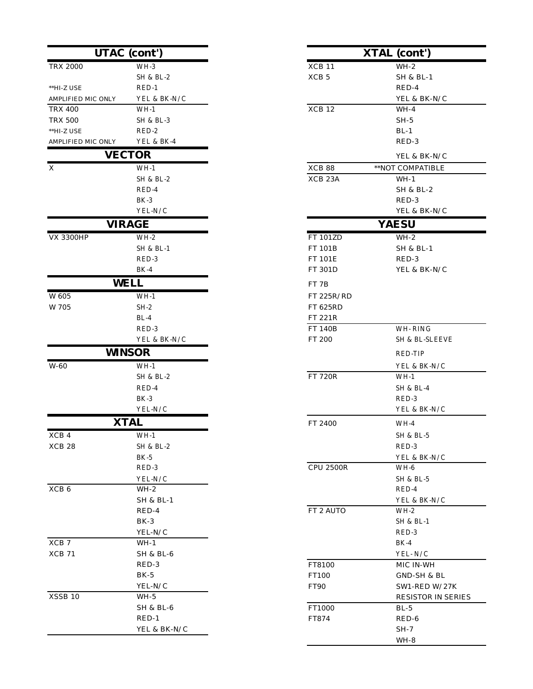|                        | <b>UTAC</b> (cont')  |                     |                      |
|------------------------|----------------------|---------------------|----------------------|
|                        |                      |                     | <b>XTAL</b> (cont')  |
| <b>TRX 2000</b>        | $WH-3$               | XCB <sub>11</sub>   | $WH-2$               |
|                        | <b>SH &amp; BL-2</b> | XCB <sub>5</sub>    | <b>SH &amp; BL-1</b> |
| **HI-Z USE             | RED-1                |                     | RED-4                |
| AMPLIFIED MIC ONLY     | YEL & BK-N/C         |                     | YEL & BK-N/C         |
| <b>TRX 400</b>         | $WH-1$               | XCB 12              | $WH-4$               |
| <b>TRX 500</b>         | <b>SH &amp; BL-3</b> |                     | $SH-5$               |
| $^{\ast\ast}$ HI-Z USE | RED-2                |                     | $BL-1$               |
| AMPLIFIED MIC ONLY     | YEL & BK-4           |                     | RED-3                |
|                        | <b>VECTOR</b>        |                     | YEL & BK-N/C         |
| $\mathbf X$            | $WH-1$               | XCB 88              | **NOT COMPATIBLE     |
|                        | SH & BL-2            | XCB <sub>23</sub> A | $WH-1$               |
|                        | RED-4                |                     | <b>SH &amp; BL-2</b> |
|                        | $BK-3$               |                     | RED-3                |
|                        | YEL-N/C              |                     | YEL & BK-N/C         |
|                        | <b>VIRAGE</b>        |                     | <b>YAESU</b>         |
| <b>VX 3300HP</b>       | $WH-2$               | <b>FT 101ZD</b>     | $WH-2$               |
|                        | <b>SH &amp; BL-1</b> | FT 101B             | <b>SH &amp; BL-1</b> |
|                        | RED-3                | FT 101E             | RED-3                |
|                        | $BK-4$               | FT 301D             | YEL & BK-N/C         |
|                        | <b>WELL</b>          | FT <sub>7B</sub>    |                      |
| W 605                  | $WH-1$               | FT 225R/RD          |                      |
| W 705                  | $SH-2$               | FT 625RD            |                      |
|                        | $BL-4$               | FT 221R             |                      |
|                        | RED-3                | <b>FT 140B</b>      | WH-RING              |
|                        | YEL & BK-N/C         | FT 200              | SH & BL-SLEEV        |
|                        | <b>WINSOR</b>        |                     | <b>RED-TIP</b>       |
| W-60                   | $WH-1$               |                     | YEL & BK-N/C         |
|                        | SH & BL-2            | <b>FT 720R</b>      | $WH-1$               |
|                        | RED-4                |                     | <b>SH &amp; BL-4</b> |
|                        | $BK-3$               |                     | RED-3                |
|                        | YEL-N/C              |                     | YEL & BK-N/C         |
|                        | <b>XTAL</b>          | FT 2400             | $WH-4$               |
| XCB 4                  | $WH-1$               |                     | SH & BL-5            |
| XCB <sub>28</sub>      | SH & BL-2            |                     | RED-3                |
|                        | $BK-5$               |                     | YEL & BK-N/C         |
|                        | RED-3                | <b>CPU 2500R</b>    | WH-6                 |
|                        | YEL-N/C              |                     | <b>SH &amp; BL-5</b> |
| XCB <sub>6</sub>       | $WH-2$               |                     | RED-4                |
|                        | <b>SH &amp; BL-1</b> |                     | YEL & BK-N/C         |
|                        | RED-4                | FT 2 AUTO           | $WH-2$               |
|                        | $BK-3$               |                     | <b>SH &amp; BL-1</b> |
|                        | YEL-N/C              |                     | RED-3                |
| $\rm XCB$ 7            | $WH-1$               |                     | $BK-4$               |
| XCB 71                 | <b>SH &amp; BL-6</b> |                     | YEL-N/C              |
|                        | RED-3                | FT8100              | MIC IN-WH            |
|                        | $BK-5$               | FT100               | GND-SH & BL          |
|                        | YEL-N/C              | FT90                | SW1-RED W/2          |
| XSSB 10                | $WH-5$               |                     | RESISTOR IN S        |
|                        | <b>SH &amp; BL-6</b> | FT1000              | $BL-5$               |
|                        | $RED-1$              | FT874               | RED-6                |
|                        | YEL & BK-N/C         |                     | $SH-7$               |

|                         | UTAC (cont')           |                    | <b>XTAL</b> (cont')            |
|-------------------------|------------------------|--------------------|--------------------------------|
| <b>TRX 2000</b>         | $WH-3$                 | XCB 11             | $WH-2$                         |
|                         | <b>SH &amp; BL-2</b>   | XCB <sub>5</sub>   | <b>SH &amp; BL-1</b>           |
| **HI-Z USE              | RED-1                  |                    | RED-4                          |
| AMPLIFIED MIC ONLY      | YEL & BK-N/C           |                    | YEL & BK-N/C                   |
| <b>TRX 400</b>          | $WH-1$                 | XCB 12             | $WH-4$                         |
| <b>TRX 500</b>          | <b>SH &amp; BL-3</b>   |                    | $SH-5$                         |
| **HI-Z USE              | RED-2                  |                    | $BL-1$                         |
| AMPLIFIED MIC ONLY      | YEL & BK-4             |                    | RED-3                          |
|                         | <b>VECTOR</b>          |                    | YEL & BK-N/C                   |
| $\overline{\mathrm{X}}$ | $WH-1$                 | XCB 88             | **NOT COMPATIBLE               |
|                         | <b>SH &amp; BL-2</b>   | XCB <sub>23A</sub> | $WH-1$                         |
|                         | RED-4                  |                    | SH & BL-2                      |
|                         | $BK-3$                 |                    | RED-3                          |
|                         | ${\rm YEL\text{-}N/C}$ |                    | YEL & BK-N/C                   |
|                         | <b>VIRAGE</b>          |                    | <b>YAESU</b>                   |
| <b>VX 3300HP</b>        | $WH-2$                 | FT 101ZD           | $WH-2$                         |
|                         | <b>SH &amp; BL-1</b>   | FT 101B            | <b>SH &amp; BL-1</b>           |
|                         | RED-3                  | FT 101E            | RED-3                          |
|                         | $BK-4$                 | FT 301D            | YEL & BK-N/C                   |
|                         | WELL                   | FT <sub>7B</sub>   |                                |
| W 605                   | $WH-1$                 | FT 225R/RD         |                                |
| W 705                   | $SH-2$                 | FT 625RD           |                                |
|                         | $BL-4$                 | FT 221R            |                                |
|                         | RED-3                  | <b>FT 140B</b>     | WH-RING                        |
|                         | YEL & BK-N/C           | FT 200             | SH & BL-SLEEVE                 |
|                         | <b>WINSOR</b>          |                    | <b>RED-TIP</b>                 |
|                         |                        |                    |                                |
| W-60                    | $WH-1$                 |                    | YEL & BK-N/C                   |
|                         | <b>SH &amp; BL-2</b>   | <b>FT 720R</b>     | $WH-1$                         |
|                         | RED-4                  |                    | <b>SH &amp; BL-4</b>           |
|                         | $BK-3$                 |                    | RED-3<br>YEL & BK-N/C          |
|                         | YEL-N/C                |                    |                                |
|                         | <b>XTAL</b>            | FT 2400            | WH-4                           |
| XCB 4                   | $WH-1$                 |                    | SH & BL-5                      |
| XCB 28                  | <b>SH &amp; BL-2</b>   |                    | RED-3                          |
|                         | $BK-5$                 |                    | YEL & BK-N/C                   |
|                         | RED-3                  | <b>CPU 2500R</b>   | WH-6                           |
|                         | YEL-N/C                |                    | <b>SH &amp; BL-5</b>           |
| XCB <sub>6</sub>        | $WH-2$                 |                    | RED-4                          |
|                         | <b>SH &amp; BL-1</b>   | FT 2 AUTO          | YEL & BK-N/C                   |
|                         | RED-4<br>$BK-3$        |                    | $WH-2$<br><b>SH &amp; BL-1</b> |
|                         | YEL-N/C                |                    | RED-3                          |
| XCB 7                   | $WH-1$                 |                    | $BK-4$                         |
| XCB 71                  | SH & BL-6              |                    | YEL-N/C                        |
|                         | RED-3                  | FT8100             | MIC IN-WH                      |
|                         | $BK-5$                 | FT100              | GND-SH & BL                    |
|                         | YEL-N/C                | FT90               | SW1-RED W/27K                  |
| XSSB 10                 | $WH-5$                 |                    | RESISTOR IN SERIES             |
|                         | <b>SH &amp; BL-6</b>   | FT1000             | $BL-5$                         |
|                         | $RED-1$                | FT874              | RED-6                          |
|                         | YEL & BK-N/C           |                    | $SH-7$                         |
|                         |                        |                    | WH-8                           |
|                         |                        |                    |                                |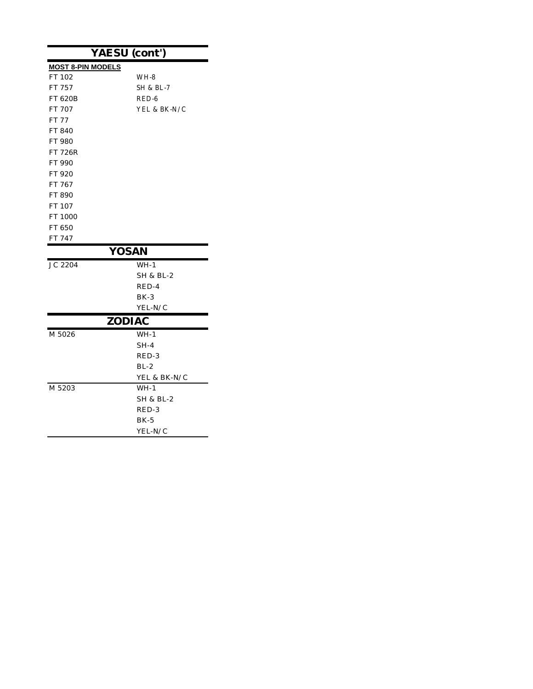| YAESU (cont')            |                      |  |  |
|--------------------------|----------------------|--|--|
| <b>MOST 8-PIN MODELS</b> |                      |  |  |
| FT 102                   | WH-8                 |  |  |
| FT 757                   | <b>SH &amp; BL-7</b> |  |  |
| FT 620B                  | RED-6                |  |  |
| FT 707                   | YEL & BK-N/C         |  |  |
| <b>FT 77</b>             |                      |  |  |
| FT 840                   |                      |  |  |
| FT 980                   |                      |  |  |
| FT 726R                  |                      |  |  |
| FT 990                   |                      |  |  |
| FT 920                   |                      |  |  |
| FT 767                   |                      |  |  |
| FT 890                   |                      |  |  |
| FT 107                   |                      |  |  |
| FT 1000                  |                      |  |  |
| FT 650                   |                      |  |  |
| FT 747                   |                      |  |  |
| <b>YOSAN</b>             |                      |  |  |
| JC 2204                  | $WH-1$               |  |  |
|                          | SH & BL-2            |  |  |
|                          | RED-4                |  |  |
|                          | $BK-3$               |  |  |
|                          | YEL-N/C              |  |  |
| <b>ZODIAC</b>            |                      |  |  |
| M 5026                   | $WH-1$               |  |  |
|                          | SH-4                 |  |  |
|                          | RED-3                |  |  |
|                          | $BL-2$               |  |  |
|                          | YEL & BK-N/C         |  |  |
| M 5203                   | $WH-1$               |  |  |
|                          | SH & BL-2            |  |  |
|                          | RED-3                |  |  |
|                          | $BK-5$               |  |  |
|                          |                      |  |  |